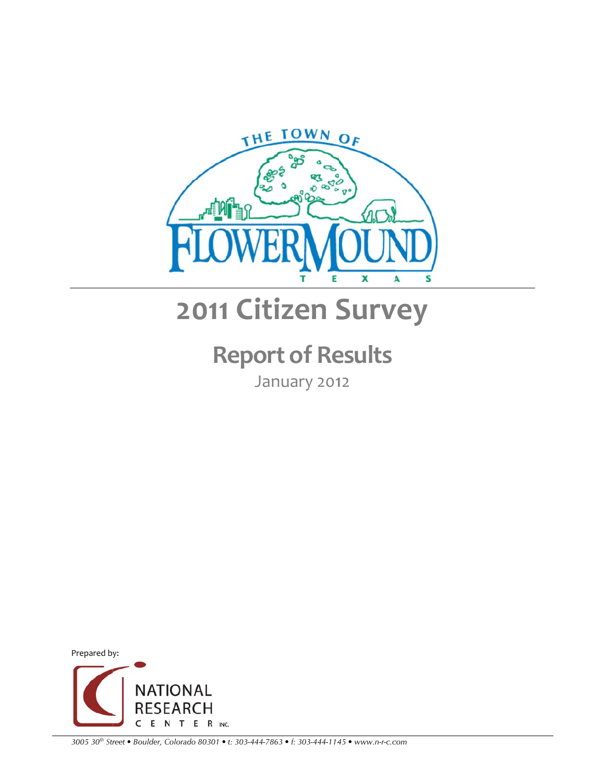

# **2011 Citiz zen S Surv vey**

# **R Report t of Re esults**

January 2012



*3005 30th Str reet • Boulder, Colorado 80301 • t: 303-444-7863 • f: 303-444-114 45 • www.n-r-c.c com*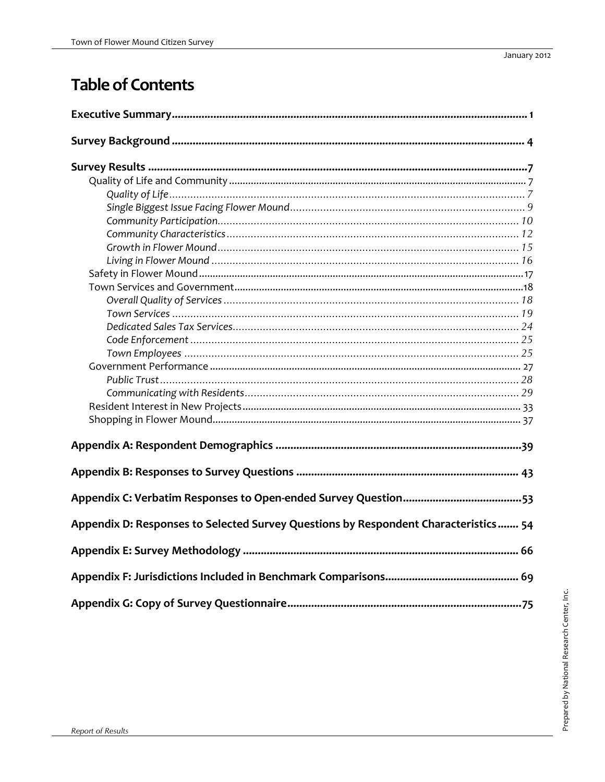# **Table of Contents**

| Appendix D: Responses to Selected Survey Questions by Respondent Characteristics 54 |
|-------------------------------------------------------------------------------------|
|                                                                                     |
|                                                                                     |
|                                                                                     |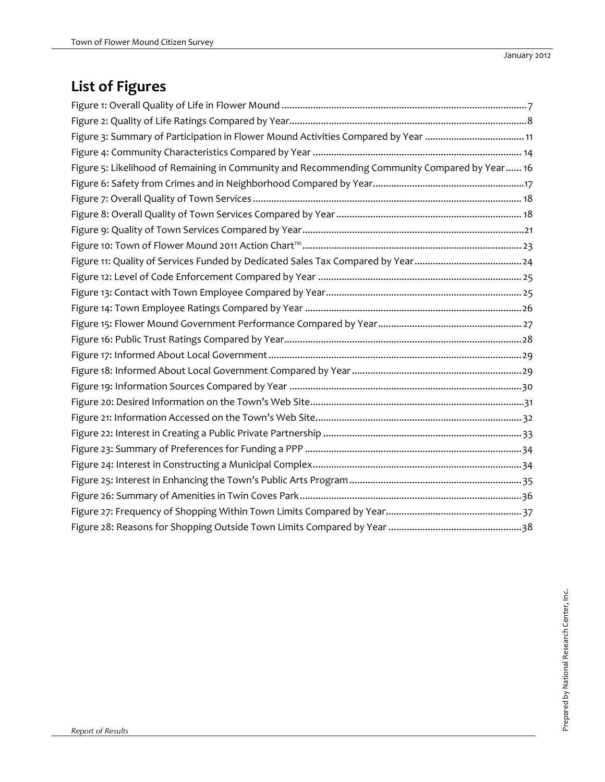# **List of Figures**

| Figure 3: Summary of Participation in Flower Mound Activities Compared by Year  11             |
|------------------------------------------------------------------------------------------------|
|                                                                                                |
| Figure 5: Likelihood of Remaining in Community and Recommending Community Compared by Year  16 |
|                                                                                                |
|                                                                                                |
|                                                                                                |
|                                                                                                |
|                                                                                                |
|                                                                                                |
|                                                                                                |
|                                                                                                |
|                                                                                                |
|                                                                                                |
|                                                                                                |
|                                                                                                |
|                                                                                                |
|                                                                                                |
|                                                                                                |
|                                                                                                |
|                                                                                                |
|                                                                                                |
|                                                                                                |
|                                                                                                |
|                                                                                                |
|                                                                                                |
|                                                                                                |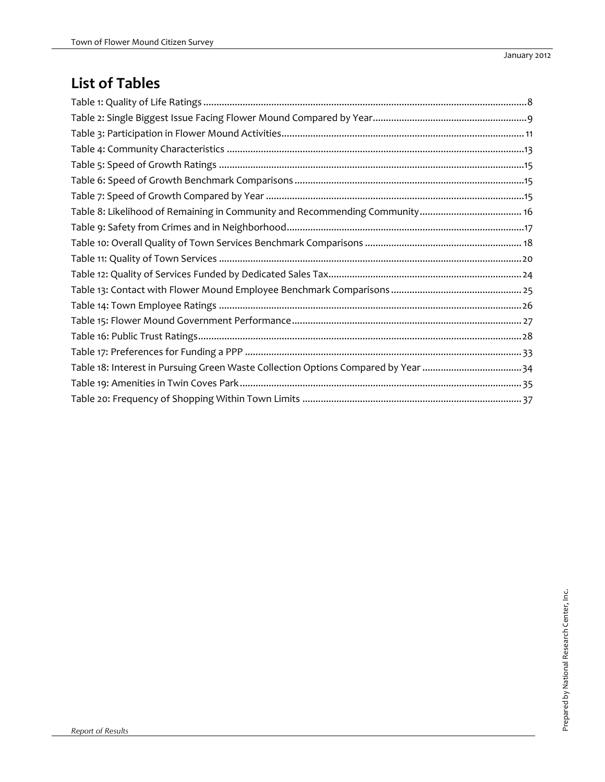# **List of Tables**

| Table 18: Interest in Pursuing Green Waste Collection Options Compared by Year 34 |
|-----------------------------------------------------------------------------------|
|                                                                                   |
|                                                                                   |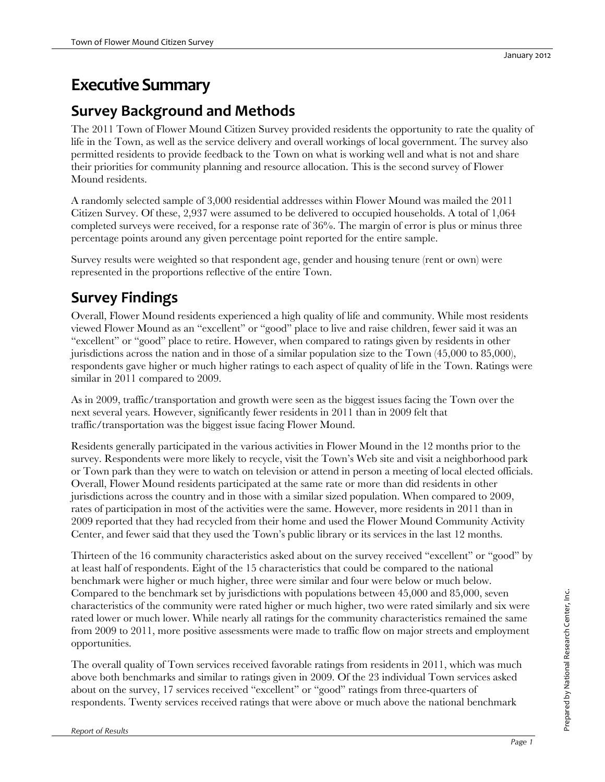# **Executive Summary**

# **Survey Background and Methods**

The 2011 Town of Flower Mound Citizen Survey provided residents the opportunity to rate the quality of life in the Town, as well as the service delivery and overall workings of local government. The survey also permitted residents to provide feedback to the Town on what is working well and what is not and share their priorities for community planning and resource allocation. This is the second survey of Flower Mound residents.

A randomly selected sample of 3,000 residential addresses within Flower Mound was mailed the 2011 Citizen Survey. Of these, 2,937 were assumed to be delivered to occupied households. A total of 1,064 completed surveys were received, for a response rate of 36%. The margin of error is plus or minus three percentage points around any given percentage point reported for the entire sample.

Survey results were weighted so that respondent age, gender and housing tenure (rent or own) were represented in the proportions reflective of the entire Town.

# **Survey Findings**

Overall, Flower Mound residents experienced a high quality of life and community. While most residents viewed Flower Mound as an "excellent" or "good" place to live and raise children, fewer said it was an "excellent" or "good" place to retire. However, when compared to ratings given by residents in other jurisdictions across the nation and in those of a similar population size to the Town (45,000 to 85,000), respondents gave higher or much higher ratings to each aspect of quality of life in the Town. Ratings were similar in 2011 compared to 2009.

As in 2009, traffic/transportation and growth were seen as the biggest issues facing the Town over the next several years. However, significantly fewer residents in 2011 than in 2009 felt that traffic/transportation was the biggest issue facing Flower Mound.

Residents generally participated in the various activities in Flower Mound in the 12 months prior to the survey. Respondents were more likely to recycle, visit the Town's Web site and visit a neighborhood park or Town park than they were to watch on television or attend in person a meeting of local elected officials. Overall, Flower Mound residents participated at the same rate or more than did residents in other jurisdictions across the country and in those with a similar sized population. When compared to 2009, rates of participation in most of the activities were the same. However, more residents in 2011 than in 2009 reported that they had recycled from their home and used the Flower Mound Community Activity Center, and fewer said that they used the Town's public library or its services in the last 12 months.

Thirteen of the 16 community characteristics asked about on the survey received "excellent" or "good" by at least half of respondents. Eight of the 15 characteristics that could be compared to the national benchmark were higher or much higher, three were similar and four were below or much below. Compared to the benchmark set by jurisdictions with populations between 45,000 and 85,000, seven characteristics of the community were rated higher or much higher, two were rated similarly and six were rated lower or much lower. While nearly all ratings for the community characteristics remained the same from 2009 to 2011, more positive assessments were made to traffic flow on major streets and employment opportunities.

The overall quality of Town services received favorable ratings from residents in 2011, which was much above both benchmarks and similar to ratings given in 2009. Of the 23 individual Town services asked about on the survey, 17 services received "excellent" or "good" ratings from three-quarters of respondents. Twenty services received ratings that were above or much above the national benchmark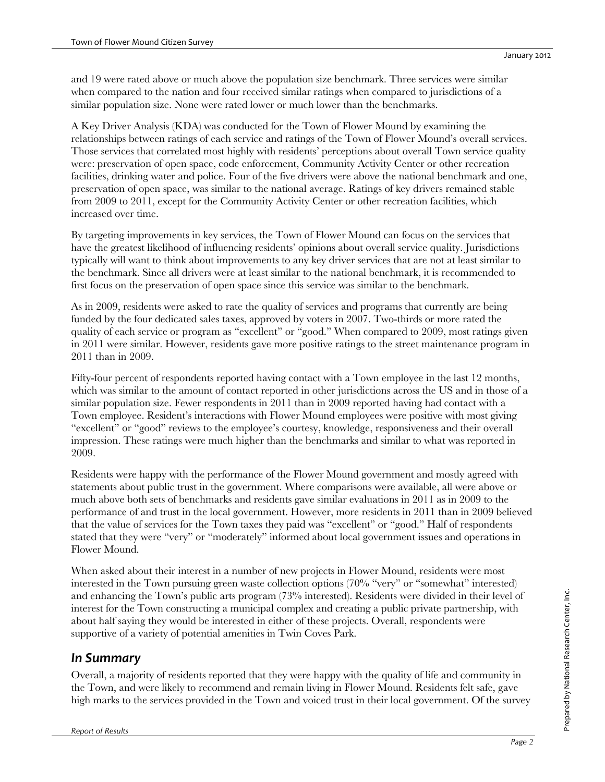and 19 were rated above or much above the population size benchmark. Three services were similar when compared to the nation and four received similar ratings when compared to jurisdictions of a similar population size. None were rated lower or much lower than the benchmarks.

A Key Driver Analysis (KDA) was conducted for the Town of Flower Mound by examining the relationships between ratings of each service and ratings of the Town of Flower Mound's overall services. Those services that correlated most highly with residents' perceptions about overall Town service quality were: preservation of open space, code enforcement, Community Activity Center or other recreation facilities, drinking water and police. Four of the five drivers were above the national benchmark and one, preservation of open space, was similar to the national average. Ratings of key drivers remained stable from 2009 to 2011, except for the Community Activity Center or other recreation facilities, which increased over time.

By targeting improvements in key services, the Town of Flower Mound can focus on the services that have the greatest likelihood of influencing residents' opinions about overall service quality. Jurisdictions typically will want to think about improvements to any key driver services that are not at least similar to the benchmark. Since all drivers were at least similar to the national benchmark, it is recommended to first focus on the preservation of open space since this service was similar to the benchmark.

As in 2009, residents were asked to rate the quality of services and programs that currently are being funded by the four dedicated sales taxes, approved by voters in 2007. Two-thirds or more rated the quality of each service or program as "excellent" or "good." When compared to 2009, most ratings given in 2011 were similar. However, residents gave more positive ratings to the street maintenance program in 2011 than in 2009.

Fifty-four percent of respondents reported having contact with a Town employee in the last 12 months, which was similar to the amount of contact reported in other jurisdictions across the US and in those of a similar population size. Fewer respondents in 2011 than in 2009 reported having had contact with a Town employee. Resident's interactions with Flower Mound employees were positive with most giving "excellent" or "good" reviews to the employee's courtesy, knowledge, responsiveness and their overall impression. These ratings were much higher than the benchmarks and similar to what was reported in 2009.

Residents were happy with the performance of the Flower Mound government and mostly agreed with statements about public trust in the government. Where comparisons were available, all were above or much above both sets of benchmarks and residents gave similar evaluations in 2011 as in 2009 to the performance of and trust in the local government. However, more residents in 2011 than in 2009 believed that the value of services for the Town taxes they paid was "excellent" or "good." Half of respondents stated that they were "very" or "moderately" informed about local government issues and operations in Flower Mound.

When asked about their interest in a number of new projects in Flower Mound, residents were most interested in the Town pursuing green waste collection options (70% "very" or "somewhat" interested) and enhancing the Town's public arts program (73% interested). Residents were divided in their level of interest for the Town constructing a municipal complex and creating a public private partnership, with about half saying they would be interested in either of these projects. Overall, respondents were supportive of a variety of potential amenities in Twin Coves Park.

### *In Summary*

Overall, a majority of residents reported that they were happy with the quality of life and community in the Town, and were likely to recommend and remain living in Flower Mound. Residents felt safe, gave high marks to the services provided in the Town and voiced trust in their local government. Of the survey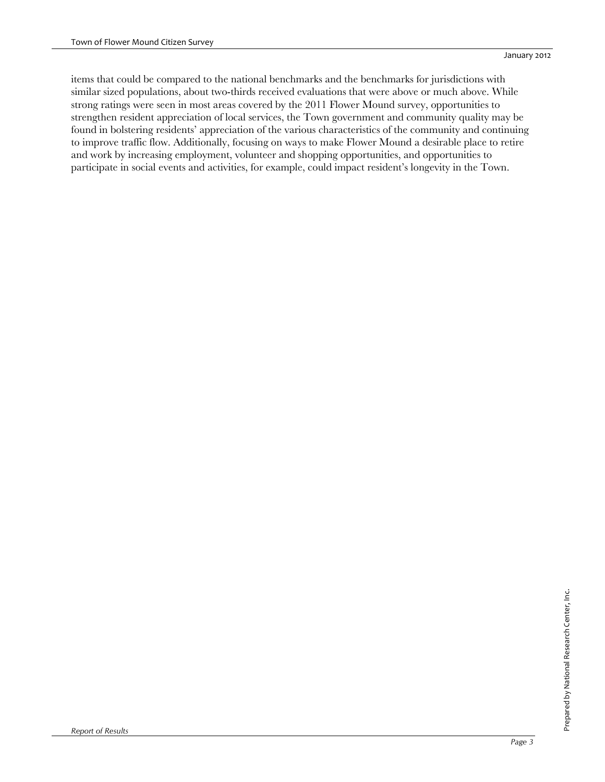items that could be compared to the national benchmarks and the benchmarks for jurisdictions with similar sized populations, about two-thirds received evaluations that were above or much above. While strong ratings were seen in most areas covered by the 2011 Flower Mound survey, opportunities to strengthen resident appreciation of local services, the Town government and community quality may be found in bolstering residents' appreciation of the various characteristics of the community and continuing to improve traffic flow. Additionally, focusing on ways to make Flower Mound a desirable place to retire and work by increasing employment, volunteer and shopping opportunities, and opportunities to participate in social events and activities, for example, could impact resident's longevity in the Town.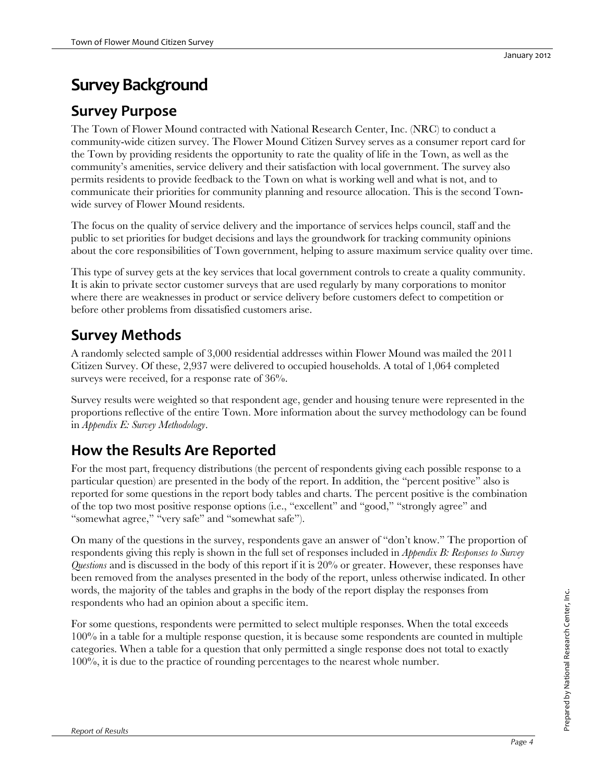# **Survey Background**

## **Survey Purpose**

The Town of Flower Mound contracted with National Research Center, Inc. (NRC) to conduct a community-wide citizen survey. The Flower Mound Citizen Survey serves as a consumer report card for the Town by providing residents the opportunity to rate the quality of life in the Town, as well as the community's amenities, service delivery and their satisfaction with local government. The survey also permits residents to provide feedback to the Town on what is working well and what is not, and to communicate their priorities for community planning and resource allocation. This is the second Townwide survey of Flower Mound residents.

The focus on the quality of service delivery and the importance of services helps council, staff and the public to set priorities for budget decisions and lays the groundwork for tracking community opinions about the core responsibilities of Town government, helping to assure maximum service quality over time.

This type of survey gets at the key services that local government controls to create a quality community. It is akin to private sector customer surveys that are used regularly by many corporations to monitor where there are weaknesses in product or service delivery before customers defect to competition or before other problems from dissatisfied customers arise.

# **Survey Methods**

A randomly selected sample of 3,000 residential addresses within Flower Mound was mailed the 2011 Citizen Survey. Of these, 2,937 were delivered to occupied households. A total of 1,064 completed surveys were received, for a response rate of  $36\%$ .

Survey results were weighted so that respondent age, gender and housing tenure were represented in the proportions reflective of the entire Town. More information about the survey methodology can be found in *Appendix E: Survey Methodology*.

# **How the Results Are Reported**

For the most part, frequency distributions (the percent of respondents giving each possible response to a particular question) are presented in the body of the report. In addition, the "percent positive" also is reported for some questions in the report body tables and charts. The percent positive is the combination of the top two most positive response options (i.e., "excellent" and "good," "strongly agree" and "somewhat agree," "very safe" and "somewhat safe").

On many of the questions in the survey, respondents gave an answer of "don't know." The proportion of respondents giving this reply is shown in the full set of responses included in *Appendix B: Responses to Survey Questions* and is discussed in the body of this report if it is 20% or greater. However, these responses have been removed from the analyses presented in the body of the report, unless otherwise indicated. In other words, the majority of the tables and graphs in the body of the report display the responses from respondents who had an opinion about a specific item.

For some questions, respondents were permitted to select multiple responses. When the total exceeds 100% in a table for a multiple response question, it is because some respondents are counted in multiple categories. When a table for a question that only permitted a single response does not total to exactly 100%, it is due to the practice of rounding percentages to the nearest whole number.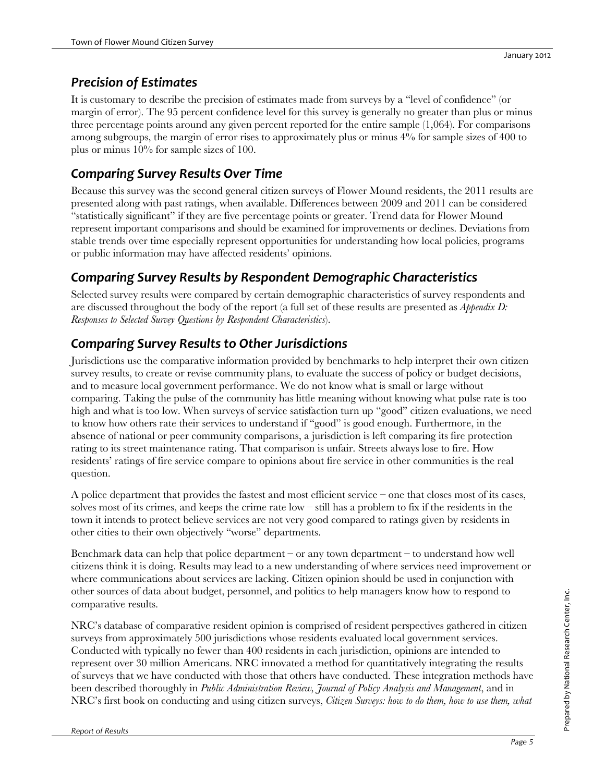### *Precision of Estimates*

It is customary to describe the precision of estimates made from surveys by a "level of confidence" (or margin of error). The 95 percent confidence level for this survey is generally no greater than plus or minus three percentage points around any given percent reported for the entire sample (1,064). For comparisons among subgroups, the margin of error rises to approximately plus or minus 4% for sample sizes of 400 to plus or minus 10% for sample sizes of 100.

# *Comparing Survey Results Over Time*

Because this survey was the second general citizen surveys of Flower Mound residents, the 2011 results are presented along with past ratings, when available. Differences between 2009 and 2011 can be considered "statistically significant" if they are five percentage points or greater. Trend data for Flower Mound represent important comparisons and should be examined for improvements or declines. Deviations from stable trends over time especially represent opportunities for understanding how local policies, programs or public information may have affected residents' opinions.

### *Comparing Survey Results by Respondent Demographic Characteristics*

Selected survey results were compared by certain demographic characteristics of survey respondents and are discussed throughout the body of the report (a full set of these results are presented as *Appendix D: Responses to Selected Survey Questions by Respondent Characteristics*).

### *Comparing Survey Results to Other Jurisdictions*

Jurisdictions use the comparative information provided by benchmarks to help interpret their own citizen survey results, to create or revise community plans, to evaluate the success of policy or budget decisions, and to measure local government performance. We do not know what is small or large without comparing. Taking the pulse of the community has little meaning without knowing what pulse rate is too high and what is too low. When surveys of service satisfaction turn up "good" citizen evaluations, we need to know how others rate their services to understand if "good" is good enough. Furthermore, in the absence of national or peer community comparisons, a jurisdiction is left comparing its fire protection rating to its street maintenance rating. That comparison is unfair. Streets always lose to fire. How residents' ratings of fire service compare to opinions about fire service in other communities is the real question.

A police department that provides the fastest and most efficient service – one that closes most of its cases, solves most of its crimes, and keeps the crime rate low – still has a problem to fix if the residents in the town it intends to protect believe services are not very good compared to ratings given by residents in other cities to their own objectively "worse" departments.

Benchmark data can help that police department – or any town department – to understand how well citizens think it is doing. Results may lead to a new understanding of where services need improvement or where communications about services are lacking. Citizen opinion should be used in conjunction with other sources of data about budget, personnel, and politics to help managers know how to respond to comparative results.

NRC's database of comparative resident opinion is comprised of resident perspectives gathered in citizen surveys from approximately 500 jurisdictions whose residents evaluated local government services. Conducted with typically no fewer than 400 residents in each jurisdiction, opinions are intended to represent over 30 million Americans. NRC innovated a method for quantitatively integrating the results of surveys that we have conducted with those that others have conducted. These integration methods have been described thoroughly in *Public Administration Review, Journal of Policy Analysis and Management*, and in NRC's first book on conducting and using citizen surveys, *Citizen Surveys: how to do them, how to use them, what*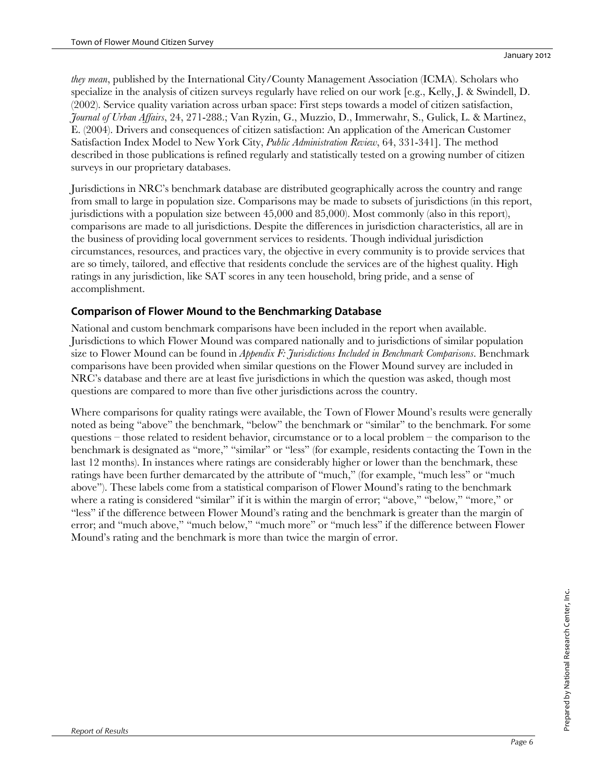*they mean*, published by the International City/County Management Association (ICMA). Scholars who specialize in the analysis of citizen surveys regularly have relied on our work [e.g., Kelly, J. & Swindell, D. (2002). Service quality variation across urban space: First steps towards a model of citizen satisfaction, *Journal of Urban Affairs*, 24, 271-288.; Van Ryzin, G., Muzzio, D., Immerwahr, S., Gulick, L. & Martinez, E. (2004). Drivers and consequences of citizen satisfaction: An application of the American Customer Satisfaction Index Model to New York City, *Public Administration Review*, 64, 331-341]. The method described in those publications is refined regularly and statistically tested on a growing number of citizen surveys in our proprietary databases.

Jurisdictions in NRC's benchmark database are distributed geographically across the country and range from small to large in population size. Comparisons may be made to subsets of jurisdictions (in this report, jurisdictions with a population size between 45,000 and 85,000). Most commonly (also in this report), comparisons are made to all jurisdictions. Despite the differences in jurisdiction characteristics, all are in the business of providing local government services to residents. Though individual jurisdiction circumstances, resources, and practices vary, the objective in every community is to provide services that are so timely, tailored, and effective that residents conclude the services are of the highest quality. High ratings in any jurisdiction, like SAT scores in any teen household, bring pride, and a sense of accomplishment.

### **Comparison of Flower Mound to the Benchmarking Database**

National and custom benchmark comparisons have been included in the report when available. Jurisdictions to which Flower Mound was compared nationally and to jurisdictions of similar population size to Flower Mound can be found in *Appendix F: Jurisdictions Included in Benchmark Comparisons*. Benchmark comparisons have been provided when similar questions on the Flower Mound survey are included in NRC's database and there are at least five jurisdictions in which the question was asked, though most questions are compared to more than five other jurisdictions across the country.

Where comparisons for quality ratings were available, the Town of Flower Mound's results were generally noted as being "above" the benchmark, "below" the benchmark or "similar" to the benchmark. For some questions – those related to resident behavior, circumstance or to a local problem – the comparison to the benchmark is designated as "more," "similar" or "less" (for example, residents contacting the Town in the last 12 months). In instances where ratings are considerably higher or lower than the benchmark, these ratings have been further demarcated by the attribute of "much," (for example, "much less" or "much above"). These labels come from a statistical comparison of Flower Mound's rating to the benchmark where a rating is considered "similar" if it is within the margin of error; "above," "below," "more," or "less" if the difference between Flower Mound's rating and the benchmark is greater than the margin of error; and "much above," "much below," "much more" or "much less" if the difference between Flower Mound's rating and the benchmark is more than twice the margin of error.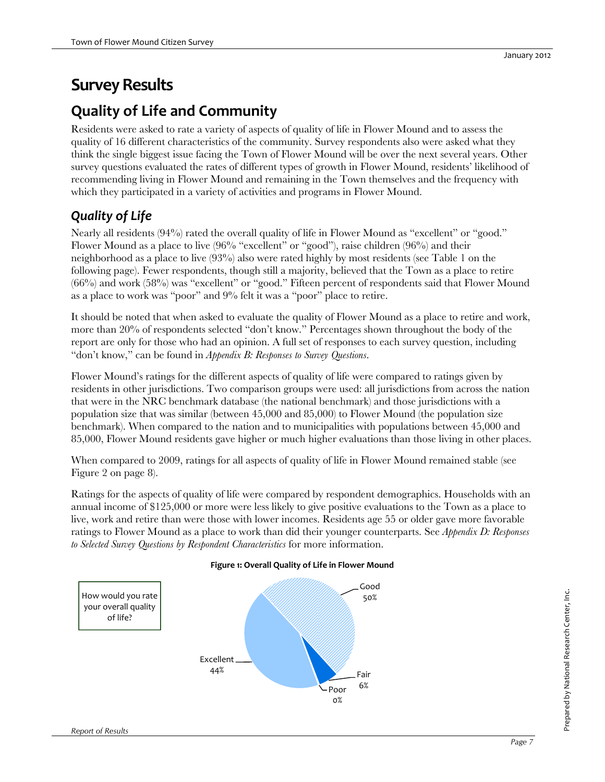# **Survey Results**

# **Quality of Life and Community**

Residents were asked to rate a variety of aspects of quality of life in Flower Mound and to assess the quality of 16 different characteristics of the community. Survey respondents also were asked what they think the single biggest issue facing the Town of Flower Mound will be over the next several years. Other survey questions evaluated the rates of different types of growth in Flower Mound, residents' likelihood of recommending living in Flower Mound and remaining in the Town themselves and the frequency with which they participated in a variety of activities and programs in Flower Mound.

# *Quality of Life*

Nearly all residents (94%) rated the overall quality of life in Flower Mound as "excellent" or "good." Flower Mound as a place to live (96% "excellent" or "good"), raise children (96%) and their neighborhood as a place to live (93%) also were rated highly by most residents (see Table 1 on the following page). Fewer respondents, though still a majority, believed that the Town as a place to retire  $(66%)$  and work  $(58%)$  was "excellent" or "good." Fifteen percent of respondents said that Flower Mound as a place to work was "poor" and 9% felt it was a "poor" place to retire.

It should be noted that when asked to evaluate the quality of Flower Mound as a place to retire and work, more than 20% of respondents selected "don't know." Percentages shown throughout the body of the report are only for those who had an opinion. A full set of responses to each survey question, including "don't know," can be found in *Appendix B: Responses to Survey Questions*.

Flower Mound's ratings for the different aspects of quality of life were compared to ratings given by residents in other jurisdictions. Two comparison groups were used: all jurisdictions from across the nation that were in the NRC benchmark database (the national benchmark) and those jurisdictions with a population size that was similar (between 45,000 and 85,000) to Flower Mound (the population size benchmark). When compared to the nation and to municipalities with populations between 45,000 and 85,000, Flower Mound residents gave higher or much higher evaluations than those living in other places.

When compared to 2009, ratings for all aspects of quality of life in Flower Mound remained stable (see Figure 2 on page 8).

Ratings for the aspects of quality of life were compared by respondent demographics. Households with an annual income of \$125,000 or more were less likely to give positive evaluations to the Town as a place to live, work and retire than were those with lower incomes. Residents age 55 or older gave more favorable ratings to Flower Mound as a place to work than did their younger counterparts. See *Appendix D: Responses to Selected Survey Questions by Respondent Characteristics* for more information.



### **Figure 1: Overall Quality of Life in Flower Mound**

Prepared by National Research Center, Inc.

Prepared by National Research Center, Inc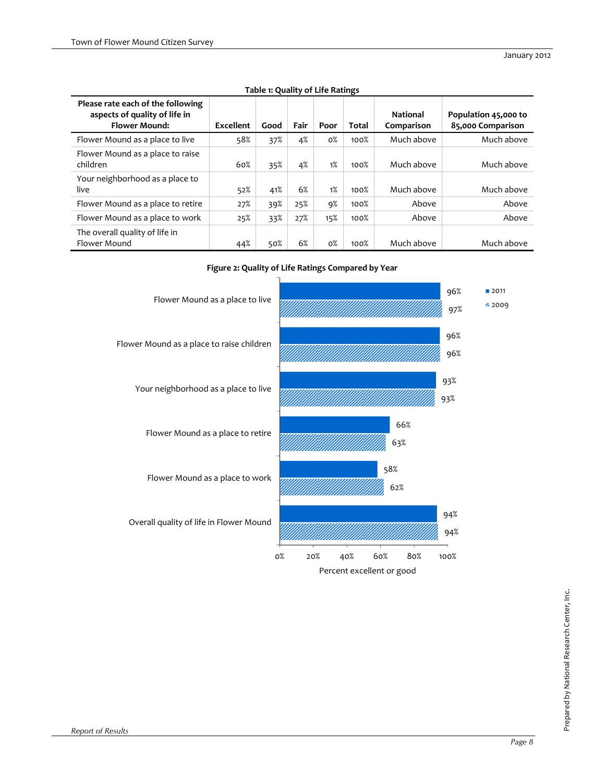| Please rate each of the following<br>aspects of quality of life in<br><b>Flower Mound:</b> | Excellent | Good | Fair | Poor  | Total | <b>National</b><br>Comparison | Population 45,000 to<br>85,000 Comparison |
|--------------------------------------------------------------------------------------------|-----------|------|------|-------|-------|-------------------------------|-------------------------------------------|
| Flower Mound as a place to live                                                            | 58%       | 37%  | 4%   | $0\%$ | 100%  | Much above                    | Much above                                |
| Flower Mound as a place to raise<br>children                                               | 60%       | 35%  | 4%   | 1%    | 100%  | Much above                    | Much above                                |
| Your neighborhood as a place to<br>live                                                    | 52%       | 41%  | 6%   | 1%    | 100%  | Much above                    | Much above                                |
| Flower Mound as a place to retire                                                          | 27%       | 39%  | 25%  | 9%    | 100%  | Above                         | Above                                     |
| Flower Mound as a place to work                                                            | 25%       | 33%  | 27%  | 15%   | 100%  | Above                         | Above                                     |
| The overall quality of life in<br>Flower Mound                                             | 44%       | 50%  | 6%   | $0\%$ | 100%  | Much above                    | Much above                                |

### **Table 1: Quality of Life Ratings**



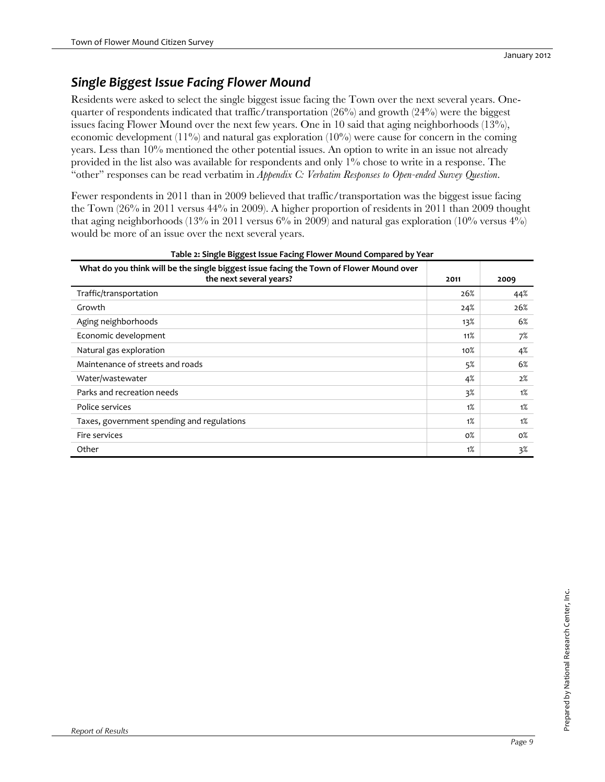### *Single Biggest Issue Facing Flower Mound*

Residents were asked to select the single biggest issue facing the Town over the next several years. Onequarter of respondents indicated that traffic/transportation  $(26%)$  and growth  $(24%)$  were the biggest issues facing Flower Mound over the next few years. One in 10 said that aging neighborhoods (13%), economic development  $(11\%)$  and natural gas exploration  $(10\%)$  were cause for concern in the coming years. Less than 10% mentioned the other potential issues. An option to write in an issue not already provided in the list also was available for respondents and only 1% chose to write in a response. The "other" responses can be read verbatim in *Appendix C: Verbatim Responses to Open-ended Survey Question*.

Fewer respondents in 2011 than in 2009 believed that traffic/transportation was the biggest issue facing the Town (26% in 2011 versus 44% in 2009). A higher proportion of residents in 2011 than 2009 thought that aging neighborhoods (13% in 2011 versus  $6\%$  in 2009) and natural gas exploration (10% versus  $4\%$ ) would be more of an issue over the next several years.

| What do you think will be the single biggest issue facing the Town of Flower Mound over<br>the next several years? | 2011   | 2009  |
|--------------------------------------------------------------------------------------------------------------------|--------|-------|
| Traffic/transportation                                                                                             | 26%    | 44%   |
| Growth                                                                                                             | 24%    | 26%   |
| Aging neighborhoods                                                                                                | 13%    | 6%    |
| Economic development                                                                                               | 11%    | 7%    |
| Natural gas exploration                                                                                            | $10\%$ | 4%    |
| Maintenance of streets and roads                                                                                   | 5%     | 6%    |
| Water/wastewater                                                                                                   | 4%     | 2%    |
| Parks and recreation needs                                                                                         | $3\%$  | 1%    |
| Police services                                                                                                    | 1%     | 1%    |
| Taxes, government spending and regulations                                                                         | 1%     | 1%    |
| Fire services                                                                                                      | $0\%$  | $0\%$ |
| Other                                                                                                              | 1%     | 3%    |

### **Table 2: Single Biggest Issue Facing Flower Mound Compared by Year**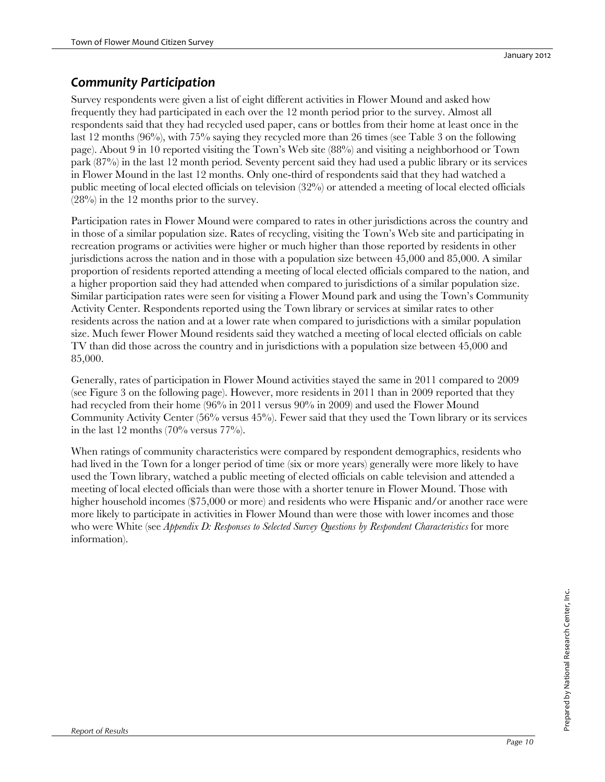### *Community Participation*

Survey respondents were given a list of eight different activities in Flower Mound and asked how frequently they had participated in each over the 12 month period prior to the survey. Almost all respondents said that they had recycled used paper, cans or bottles from their home at least once in the last 12 months (96%), with 75% saying they recycled more than 26 times (see Table 3 on the following page). About 9 in 10 reported visiting the Town's Web site (88%) and visiting a neighborhood or Town park (87%) in the last 12 month period. Seventy percent said they had used a public library or its services in Flower Mound in the last 12 months. Only one-third of respondents said that they had watched a public meeting of local elected officials on television (32%) or attended a meeting of local elected officials (28%) in the 12 months prior to the survey.

Participation rates in Flower Mound were compared to rates in other jurisdictions across the country and in those of a similar population size. Rates of recycling, visiting the Town's Web site and participating in recreation programs or activities were higher or much higher than those reported by residents in other jurisdictions across the nation and in those with a population size between 45,000 and 85,000. A similar proportion of residents reported attending a meeting of local elected officials compared to the nation, and a higher proportion said they had attended when compared to jurisdictions of a similar population size. Similar participation rates were seen for visiting a Flower Mound park and using the Town's Community Activity Center. Respondents reported using the Town library or services at similar rates to other residents across the nation and at a lower rate when compared to jurisdictions with a similar population size. Much fewer Flower Mound residents said they watched a meeting of local elected officials on cable TV than did those across the country and in jurisdictions with a population size between 45,000 and 85,000.

Generally, rates of participation in Flower Mound activities stayed the same in 2011 compared to 2009 (see Figure 3 on the following page). However, more residents in 2011 than in 2009 reported that they had recycled from their home (96% in 2011 versus 90% in 2009) and used the Flower Mound Community Activity Center (56% versus 45%). Fewer said that they used the Town library or its services in the last 12 months  $(70\% \text{ versus } 77\%)$ .

When ratings of community characteristics were compared by respondent demographics, residents who had lived in the Town for a longer period of time (six or more years) generally were more likely to have used the Town library, watched a public meeting of elected officials on cable television and attended a meeting of local elected officials than were those with a shorter tenure in Flower Mound. Those with higher household incomes (\$75,000 or more) and residents who were Hispanic and/or another race were more likely to participate in activities in Flower Mound than were those with lower incomes and those who were White (see *Appendix D: Responses to Selected Survey Questions by Respondent Characteristics* for more information).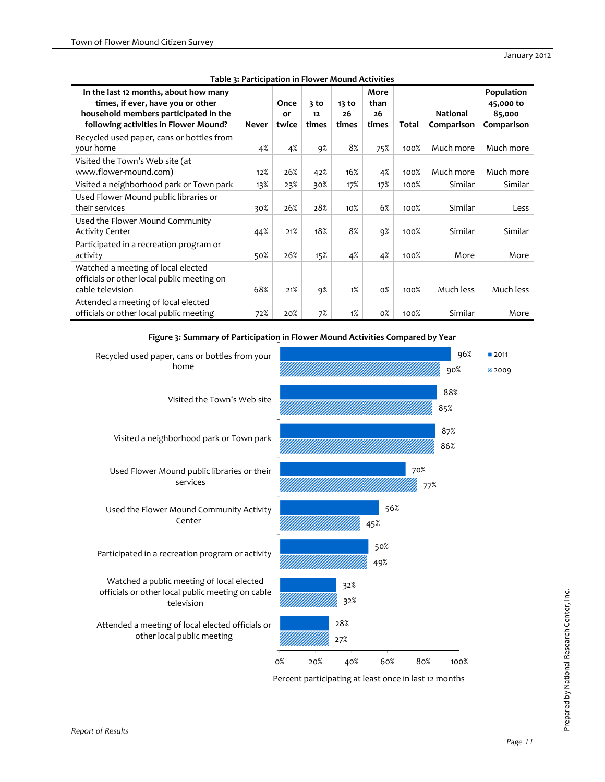| In the last 12 months, about how many<br>times, if ever, have you or other<br>household members participated in the<br>following activities in Flower Mound? | Never | Once<br>or<br>twice | 3 to<br>12<br>times | $13$ to<br>26<br>times | More<br>than<br>26<br>times | Total | <b>National</b><br>Comparison | Population<br>45,000 to<br>85,000<br>Comparison |
|--------------------------------------------------------------------------------------------------------------------------------------------------------------|-------|---------------------|---------------------|------------------------|-----------------------------|-------|-------------------------------|-------------------------------------------------|
| Recycled used paper, cans or bottles from<br>your home                                                                                                       | 4%    | 4%                  | 9%                  | 8%                     | 75%                         | 100%  | Much more                     | Much more                                       |
| Visited the Town's Web site (at<br>www.flower-mound.com)                                                                                                     | 12%   | 26%                 | 42%                 | 16%                    | 4%                          | 100%  | Much more                     | Much more                                       |
| Visited a neighborhood park or Town park                                                                                                                     | 13%   | 23%                 | 30%                 | 17%                    | 17%                         | 100%  | Similar                       | Similar                                         |
| Used Flower Mound public libraries or<br>their services                                                                                                      | 30%   | 26%                 | 28%                 | 10%                    | 6%                          | 100%  | Similar                       | Less                                            |
| Used the Flower Mound Community<br><b>Activity Center</b>                                                                                                    | 44%   | 21%                 | 18%                 | 8%                     | 9%                          | 100%  | Similar                       | Similar                                         |
| Participated in a recreation program or<br>activity                                                                                                          | 50%   | 26%                 | 15%                 | 4%                     | 4%                          | 100%  | More                          | More                                            |
| Watched a meeting of local elected<br>officials or other local public meeting on<br>cable television                                                         | 68%   | 21%                 | 9%                  | 1%                     | $0\%$                       | 100%  | Much less                     | Much less                                       |
| Attended a meeting of local elected<br>officials or other local public meeting                                                                               | 72%   | 20%                 | 7%                  | 1%                     | $0\%$                       | 100%  | Similar                       | More                                            |

**Table 3: Participation in Flower Mound Activities**



**Figure 3: Summary of Participation in Flower Mound Activities Compared by Year**

Percent participating at least once in last 12 months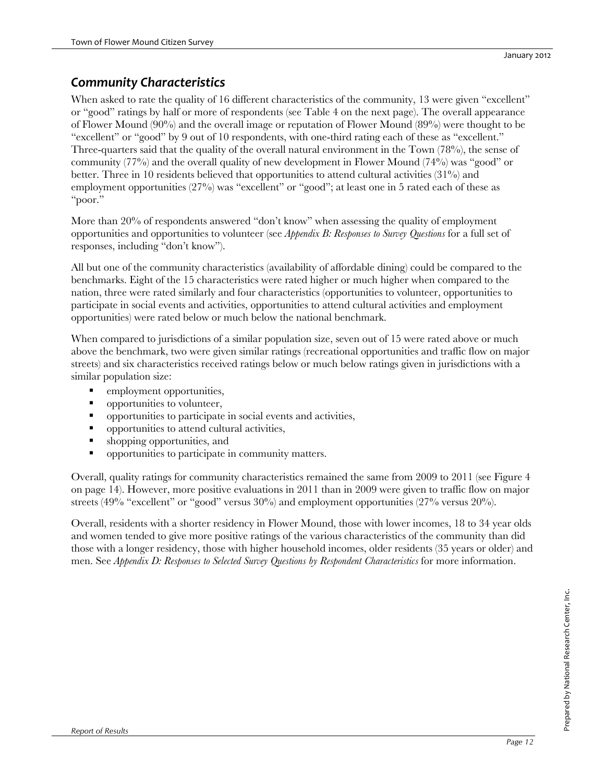### *Community Characteristics*

When asked to rate the quality of 16 different characteristics of the community, 13 were given "excellent" or "good" ratings by half or more of respondents (see Table 4 on the next page). The overall appearance of Flower Mound (90%) and the overall image or reputation of Flower Mound (89%) were thought to be "excellent" or "good" by 9 out of 10 respondents, with one-third rating each of these as "excellent." Three-quarters said that the quality of the overall natural environment in the Town (78%), the sense of community (77%) and the overall quality of new development in Flower Mound (74%) was "good" or better. Three in 10 residents believed that opportunities to attend cultural activities (31%) and employment opportunities (27%) was "excellent" or "good"; at least one in 5 rated each of these as "poor."

More than 20% of respondents answered "don't know" when assessing the quality of employment opportunities and opportunities to volunteer (see *Appendix B: Responses to Survey Questions* for a full set of responses, including "don't know").

All but one of the community characteristics (availability of affordable dining) could be compared to the benchmarks. Eight of the 15 characteristics were rated higher or much higher when compared to the nation, three were rated similarly and four characteristics (opportunities to volunteer, opportunities to participate in social events and activities, opportunities to attend cultural activities and employment opportunities) were rated below or much below the national benchmark.

When compared to jurisdictions of a similar population size, seven out of 15 were rated above or much above the benchmark, two were given similar ratings (recreational opportunities and traffic flow on major streets) and six characteristics received ratings below or much below ratings given in jurisdictions with a similar population size:

- employment opportunities,
- **•** opportunities to volunteer,
- opportunities to participate in social events and activities,
- **•** opportunities to attend cultural activities,
- shopping opportunities, and
- opportunities to participate in community matters.

Overall, quality ratings for community characteristics remained the same from 2009 to 2011 (see Figure 4 on page 14). However, more positive evaluations in 2011 than in 2009 were given to traffic flow on major streets (49% "excellent" or "good" versus 30%) and employment opportunities (27% versus 20%).

Overall, residents with a shorter residency in Flower Mound, those with lower incomes, 18 to 34 year olds and women tended to give more positive ratings of the various characteristics of the community than did those with a longer residency, those with higher household incomes, older residents (35 years or older) and men. See *Appendix D: Responses to Selected Survey Questions by Respondent Characteristics* for more information.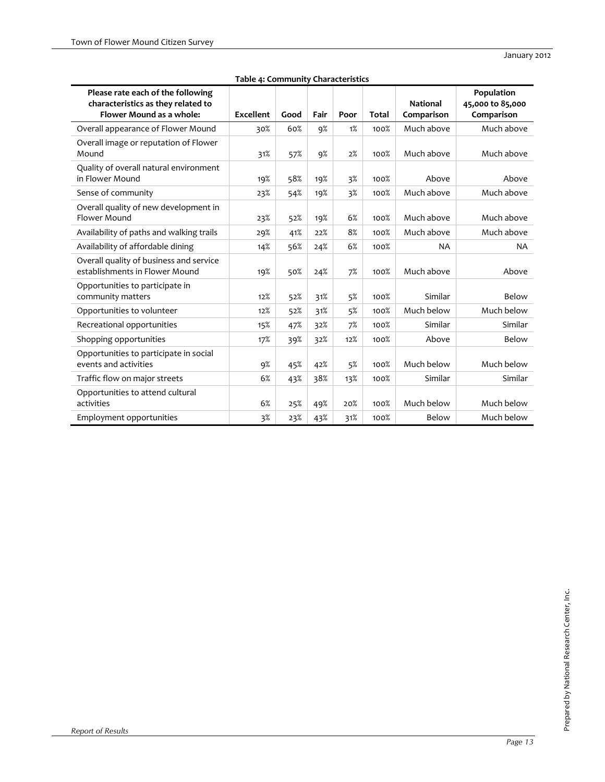| Please rate each of the following<br>characteristics as they related to<br>Flower Mound as a whole: | <b>Excellent</b> | Good | Fair | Poor | <b>Total</b> | <b>National</b><br>Comparison | Population<br>45,000 to 85,000<br>Comparison |
|-----------------------------------------------------------------------------------------------------|------------------|------|------|------|--------------|-------------------------------|----------------------------------------------|
| Overall appearance of Flower Mound                                                                  | 30%              | 60%  | 9%   | 1%   | 100%         | Much above                    | Much above                                   |
| Overall image or reputation of Flower<br>Mound                                                      | 31%              | 57%  | 9%   | 2%   | 100%         | Much above                    | Much above                                   |
| Quality of overall natural environment<br>in Flower Mound                                           | 19%              | 58%  | 19%  | 3%   | 100%         | Above                         | Above                                        |
| Sense of community                                                                                  | 23%              | 54%  | 19%  | 3%   | 100%         | Much above                    | Much above                                   |
| Overall quality of new development in<br>Flower Mound                                               | 23%              | 52%  | 19%  | 6%   | 100%         | Much above                    | Much above                                   |
| Availability of paths and walking trails                                                            | 29%              | 41%  | 22%  | 8%   | 100%         | Much above                    | Much above                                   |
| Availability of affordable dining                                                                   | 14%              | 56%  | 24%  | 6%   | 100%         | <b>NA</b>                     | <b>NA</b>                                    |
| Overall quality of business and service<br>establishments in Flower Mound                           | 19%              | 50%  | 24%  | 7%   | 100%         | Much above                    | Above                                        |
| Opportunities to participate in<br>community matters                                                | 12%              | 52%  | 31%  | 5%   | 100%         | Similar                       | Below                                        |
| Opportunities to volunteer                                                                          | 12%              | 52%  | 31%  | 5%   | 100%         | Much below                    | Much below                                   |
| Recreational opportunities                                                                          | 15%              | 47%  | 32%  | 7%   | 100%         | Similar                       | Similar                                      |
| Shopping opportunities                                                                              | 17%              | 39%  | 32%  | 12%  | 100%         | Above                         | Below                                        |
| Opportunities to participate in social<br>events and activities                                     | 9%               | 45%  | 42%  | 5%   | 100%         | Much below                    | Much below                                   |
| Traffic flow on major streets                                                                       | 6%               | 43%  | 38%  | 13%  | 100%         | Similar                       | Similar                                      |
| Opportunities to attend cultural<br>activities                                                      | 6%               | 25%  | 49%  | 20%  | 100%         | Much below                    | Much below                                   |
| Employment opportunities                                                                            | $3\%$            | 23%  | 43%  | 31%  | 100%         | Below                         | Much below                                   |

### **Table 4: Community Characteristics**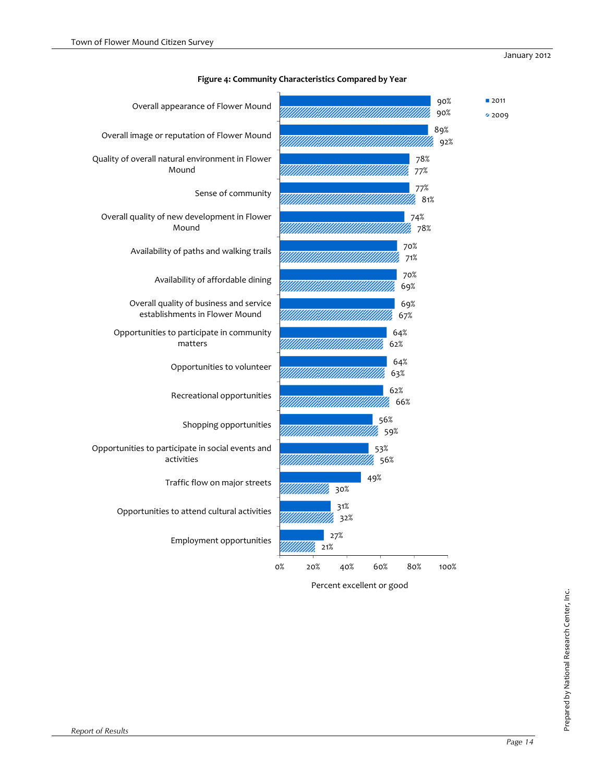

**Figure 4: Community Characteristics Compared by Year**

Percent excellent or good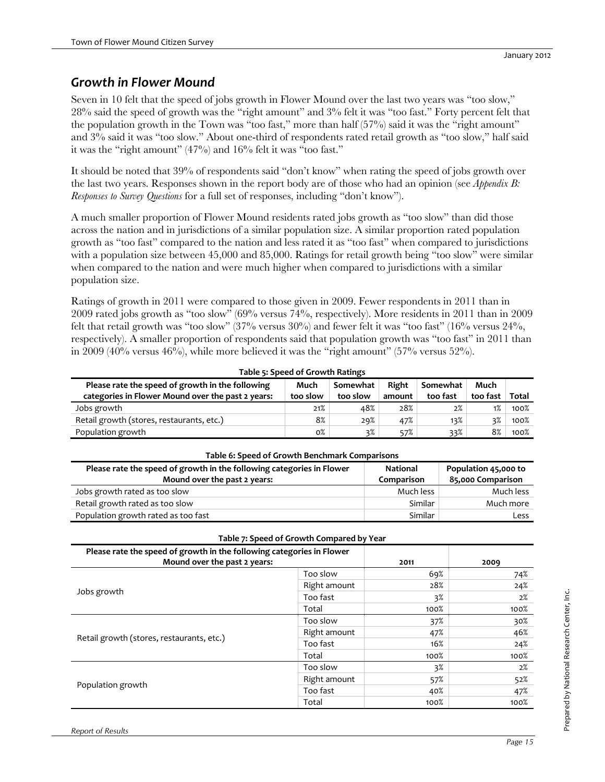### *Growth in Flower Mound*

Seven in 10 felt that the speed of jobs growth in Flower Mound over the last two years was "too slow," 28% said the speed of growth was the "right amount" and 3% felt it was "too fast." Forty percent felt that the population growth in the Town was "too fast," more than half (57%) said it was the "right amount" and 3% said it was "too slow." About one-third of respondents rated retail growth as "too slow," half said it was the "right amount" (47%) and 16% felt it was "too fast."

It should be noted that 39% of respondents said "don't know" when rating the speed of jobs growth over the last two years. Responses shown in the report body are of those who had an opinion (see *Appendix B: Responses to Survey Questions* for a full set of responses, including "don't know").

A much smaller proportion of Flower Mound residents rated jobs growth as "too slow" than did those across the nation and in jurisdictions of a similar population size. A similar proportion rated population growth as "too fast" compared to the nation and less rated it as "too fast" when compared to jurisdictions with a population size between 45,000 and 85,000. Ratings for retail growth being "too slow" were similar when compared to the nation and were much higher when compared to jurisdictions with a similar population size.

Ratings of growth in 2011 were compared to those given in 2009. Fewer respondents in 2011 than in 2009 rated jobs growth as "too slow" (69% versus 74%, respectively). More residents in 2011 than in 2009 felt that retail growth was "too slow" (37% versus  $30\%$ ) and fewer felt it was "too fast" (16% versus  $24\%$ , respectively). A smaller proportion of respondents said that population growth was "too fast" in 2011 than in 2009 (40% versus 46%), while more believed it was the "right amount" (57% versus 52%).

| Table 5: Speed of Growth Ratings                                                                      |                  |                      |                 |                      |                  |       |  |
|-------------------------------------------------------------------------------------------------------|------------------|----------------------|-----------------|----------------------|------------------|-------|--|
| Please rate the speed of growth in the following<br>categories in Flower Mound over the past 2 years: | Much<br>too slow | Somewhat<br>too slow | Right<br>amount | Somewhat<br>too fast | Much<br>too fast | Total |  |
| Jobs growth                                                                                           | 21%              | 48%                  | 28%             | 2%                   | 1%               | 100%  |  |
| Retail growth (stores, restaurants, etc.)                                                             | 8%               | 29%                  | 47%             | 13%                  | 3%               | 100%  |  |
| Population growth                                                                                     | 0%               | 3%                   | 57%             | 33%                  | 8%               | 100%  |  |

| Table 6: Speed of Growth Benchmark Comparisons                                                        |                        |                                           |  |  |  |  |  |
|-------------------------------------------------------------------------------------------------------|------------------------|-------------------------------------------|--|--|--|--|--|
| Please rate the speed of growth in the following categories in Flower<br>Mound over the past 2 years: | National<br>Comparison | Population 45,000 to<br>85,000 Comparison |  |  |  |  |  |
| Jobs growth rated as too slow                                                                         | Much less              | Much less                                 |  |  |  |  |  |
| Retail growth rated as too slow                                                                       | Similar                | Much more                                 |  |  |  |  |  |
| Population growth rated as too fast                                                                   | Similar                | Less                                      |  |  |  |  |  |

|                                                                                                       | Table 7: Speed of Growth Compared by Year |      |      |
|-------------------------------------------------------------------------------------------------------|-------------------------------------------|------|------|
| Please rate the speed of growth in the following categories in Flower<br>Mound over the past 2 years: |                                           | 2011 | 2009 |
|                                                                                                       | Too slow                                  | 69%  | 74%  |
| Jobs growth                                                                                           | Right amount                              | 28%  | 24%  |
|                                                                                                       | Too fast                                  | 3%   | 2%   |
|                                                                                                       | Total                                     | 100% | 100% |
|                                                                                                       | Too slow                                  | 37%  | 30%  |
|                                                                                                       | Right amount                              | 47%  | 46%  |
| Retail growth (stores, restaurants, etc.)                                                             | Too fast                                  | 16%  | 24%  |
|                                                                                                       | Total                                     | 100% | 100% |
|                                                                                                       | Too slow                                  | 3%   | 2%   |
|                                                                                                       | Right amount                              | 57%  | 52%  |
| Population growth                                                                                     | Too fast                                  | 40%  | 47%  |
|                                                                                                       | Total                                     | 100% | 100% |

# Prepared by National Research Center, Inc. Prepared by National Research Center, Inc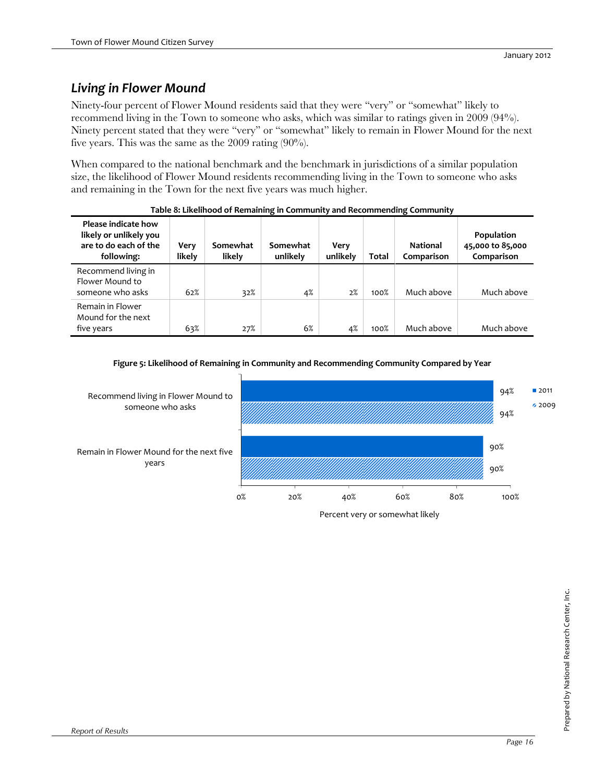### *Living in Flower Mound*

Ninety-four percent of Flower Mound residents said that they were "very" or "somewhat" likely to recommend living in the Town to someone who asks, which was similar to ratings given in 2009 (94%). Ninety percent stated that they were "very" or "somewhat" likely to remain in Flower Mound for the next five years. This was the same as the 2009 rating (90%).

When compared to the national benchmark and the benchmark in jurisdictions of a similar population size, the likelihood of Flower Mound residents recommending living in the Town to someone who asks and remaining in the Town for the next five years was much higher.

| Please indicate how<br>likely or unlikely you<br>are to do each of the<br>following: | Very<br>likely | Somewhat<br>likely | Somewhat<br>unlikely | Very<br>unlikely | Total | <b>National</b><br>Comparison | Population<br>45,000 to 85,000<br>Comparison |
|--------------------------------------------------------------------------------------|----------------|--------------------|----------------------|------------------|-------|-------------------------------|----------------------------------------------|
| Recommend living in<br>Flower Mound to<br>someone who asks                           | 62%            | 32%                | 4%                   | 2%               | 100%  | Much above                    | Much above                                   |
| Remain in Flower<br>Mound for the next<br>five years                                 | 63%            | 27%                | 6%                   | 4%               | 100%  | Much above                    | Much above                                   |

| Table 8: Likelihood of Remaining in Community and Recommending Community |  |
|--------------------------------------------------------------------------|--|
|                                                                          |  |

### **Figure 5: Likelihood of Remaining in Community and Recommending Community Compared by Year**

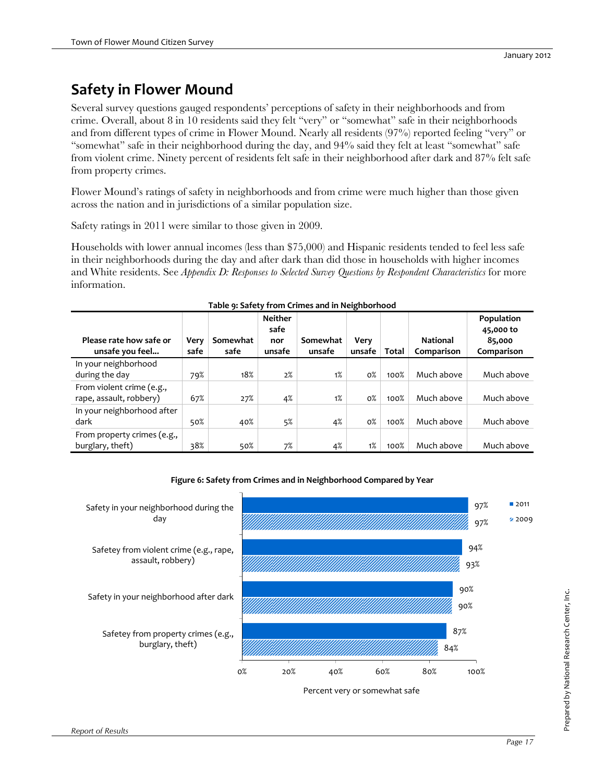# **Safety in Flower Mound**

Several survey questions gauged respondents' perceptions of safety in their neighborhoods and from crime. Overall, about 8 in 10 residents said they felt "very" or "somewhat" safe in their neighborhoods and from different types of crime in Flower Mound. Nearly all residents (97%) reported feeling "very" or "somewhat" safe in their neighborhood during the day, and 94% said they felt at least "somewhat" safe from violent crime. Ninety percent of residents felt safe in their neighborhood after dark and 87% felt safe from property crimes.

Flower Mound's ratings of safety in neighborhoods and from crime were much higher than those given across the nation and in jurisdictions of a similar population size.

Safety ratings in 2011 were similar to those given in 2009.

Households with lower annual incomes (less than \$75,000) and Hispanic residents tended to feel less safe in their neighborhoods during the day and after dark than did those in households with higher incomes and White residents. See *Appendix D: Responses to Selected Survey Questions by Respondent Characteristics* for more information.

| Table 9: Safety from Crimes and in Neighborhood      |              |                  |                                         |                    |                |       |                               |                                                 |  |  |  |
|------------------------------------------------------|--------------|------------------|-----------------------------------------|--------------------|----------------|-------|-------------------------------|-------------------------------------------------|--|--|--|
| Please rate how safe or<br>unsafe you feel           | Very<br>safe | Somewhat<br>safe | <b>Neither</b><br>safe<br>nor<br>unsafe | Somewhat<br>unsafe | Very<br>unsafe | Total | <b>National</b><br>Comparison | Population<br>45,000 to<br>85,000<br>Comparison |  |  |  |
| In your neighborhood<br>during the day               | 79%          | 18%              | 2%                                      | 1%                 | $0\%$          | 100%  | Much above                    | Much above                                      |  |  |  |
| From violent crime (e.g.,<br>rape, assault, robbery) | 67%          | 27%              | 4%                                      | 1%                 | $0\%$          | 100%  | Much above                    | Much above                                      |  |  |  |
| In your neighborhood after<br>dark                   | 50%          | 40%              | 5%                                      | 4%                 | $0\%$          | 100%  | Much above                    | Much above                                      |  |  |  |
| From property crimes (e.g.,<br>burglary, theft)      | 38%          | 50%              | 7%                                      | 4%                 | 1%             | 100%  | Much above                    | Much above                                      |  |  |  |



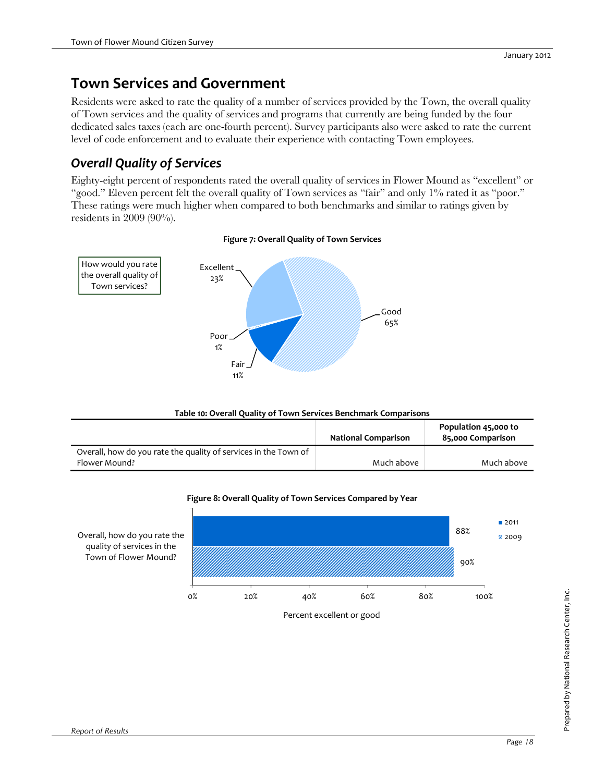## **Town Services and Government**

Residents were asked to rate the quality of a number of services provided by the Town, the overall quality of Town services and the quality of services and programs that currently are being funded by the four dedicated sales taxes (each are one-fourth percent). Survey participants also were asked to rate the current level of code enforcement and to evaluate their experience with contacting Town employees.

### *Overall Quality of Services*

Eighty-eight percent of respondents rated the overall quality of services in Flower Mound as "excellent" or "good." Eleven percent felt the overall quality of Town services as "fair" and only 1% rated it as "poor." These ratings were much higher when compared to both benchmarks and similar to ratings given by residents in 2009 (90%).



### **Figure 7: Overall Quality of Town Services**

### **Table 10: Overall Quality of Town Services Benchmark Comparisons**

|                                                                 | <b>National Comparison</b> | Population 45,000 to<br>85,000 Comparison |
|-----------------------------------------------------------------|----------------------------|-------------------------------------------|
| Overall, how do you rate the quality of services in the Town of |                            |                                           |
| Flower Mound?                                                   | Much above                 | Much above                                |



### **Figure 8: Overall Quality of Town Services Compared by Year**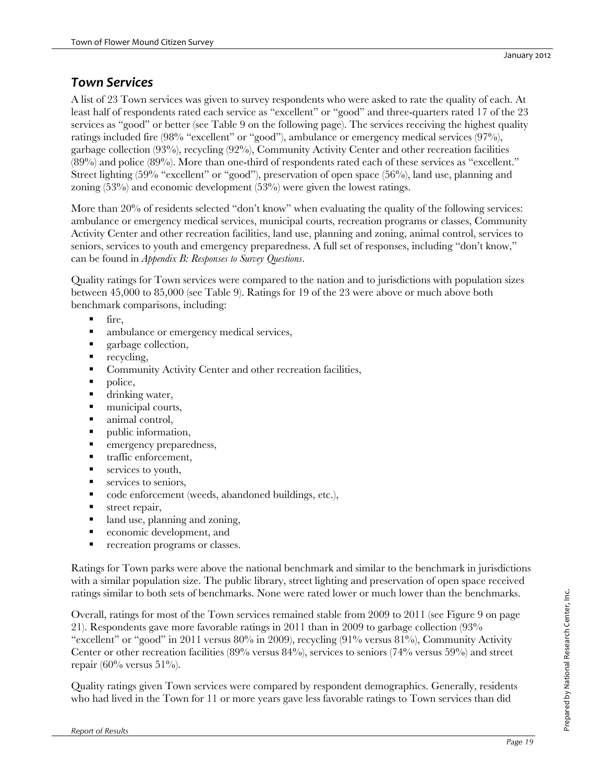### *Town Services*

A list of 23 Town services was given to survey respondents who were asked to rate the quality of each. At least half of respondents rated each service as "excellent" or "good" and three-quarters rated 17 of the 23 services as "good" or better (see Table 9 on the following page). The services receiving the highest quality ratings included fire (98% "excellent" or "good"), ambulance or emergency medical services (97%), garbage collection (93%), recycling (92%), Community Activity Center and other recreation facilities (89%) and police (89%). More than one-third of respondents rated each of these services as "excellent." Street lighting (59% "excellent" or "good"), preservation of open space (56%), land use, planning and zoning (53%) and economic development (53%) were given the lowest ratings.

More than 20% of residents selected "don't know" when evaluating the quality of the following services: ambulance or emergency medical services, municipal courts, recreation programs or classes, Community Activity Center and other recreation facilities, land use, planning and zoning, animal control, services to seniors, services to youth and emergency preparedness. A full set of responses, including "don't know," can be found in *Appendix B: Responses to Survey Questions*.

Quality ratings for Town services were compared to the nation and to jurisdictions with population sizes between 45,000 to 85,000 (see Table 9). Ratings for 19 of the 23 were above or much above both benchmark comparisons, including:

- $\blacksquare$  fire,
- ambulance or emergency medical services,
- garbage collection,
- **recycling,**
- **Community Activity Center and other recreation facilities,**
- police,
- **drinking water,**
- $\blacksquare$  municipal courts,
- animal control.
- public information,
- **EXECUTE:** emergency preparedness,
- traffic enforcement,
- **services to youth,**
- **services to seniors,**
- code enforcement (weeds, abandoned buildings, etc.),
- street repair,
- land use, planning and zoning,
- economic development, and
- **recreation programs or classes.**

Ratings for Town parks were above the national benchmark and similar to the benchmark in jurisdictions with a similar population size. The public library, street lighting and preservation of open space received ratings similar to both sets of benchmarks. None were rated lower or much lower than the benchmarks.

Overall, ratings for most of the Town services remained stable from 2009 to 2011 (see Figure 9 on page 21). Respondents gave more favorable ratings in 2011 than in 2009 to garbage collection (93% "excellent" or "good" in 2011 versus 80% in 2009), recycling (91% versus 81%), Community Activity Center or other recreation facilities  $(89\%$  versus  $84\%)$ , services to seniors  $(74\%$  versus 59%) and street repair (60% versus  $51\%$ ).

Quality ratings given Town services were compared by respondent demographics. Generally, residents who had lived in the Town for 11 or more years gave less favorable ratings to Town services than did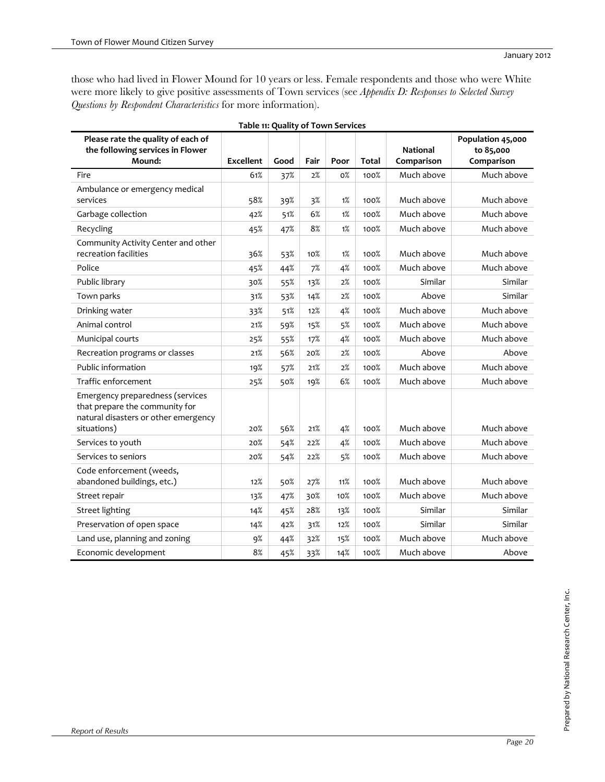those who had lived in Flower Mound for 10 years or less. Female respondents and those who were White were more likely to give positive assessments of Town services (see *Appendix D: Responses to Selected Survey Questions by Respondent Characteristics* for more information).

| Please rate the quality of each of                                                                                        |                  |      |      |       |              |                 | Population 45,000 |
|---------------------------------------------------------------------------------------------------------------------------|------------------|------|------|-------|--------------|-----------------|-------------------|
| the following services in Flower                                                                                          |                  |      |      |       |              | <b>National</b> | to 85,000         |
| Mound:                                                                                                                    | <b>Excellent</b> | Good | Fair | Poor  | <b>Total</b> | Comparison      | Comparison        |
| Fire                                                                                                                      | 61%              | 37%  | 2%   | $0\%$ | 100%         | Much above      | Much above        |
| Ambulance or emergency medical                                                                                            |                  |      |      |       |              |                 |                   |
| services                                                                                                                  | 58%              | 39%  | 3%   | 1%    | 100%         | Much above      | Much above        |
| Garbage collection                                                                                                        | 42%              | 51%  | 6%   | 1%    | 100%         | Much above      | Much above        |
| Recycling                                                                                                                 | 45%              | 47%  | 8%   | 1%    | 100%         | Much above      | Much above        |
| Community Activity Center and other<br>recreation facilities                                                              | 36%              | 53%  | 10%  | 1%    | 100%         | Much above      | Much above        |
| Police                                                                                                                    | 45%              | 44%  | 7%   | 4%    | 100%         | Much above      | Much above        |
| Public library                                                                                                            | 30%              | 55%  | 13%  | 2%    | 100%         | Similar         | Similar           |
| Town parks                                                                                                                | 31%              | 53%  | 14%  | 2%    | 100%         | Above           | Similar           |
| Drinking water                                                                                                            | 33%              | 51%  | 12%  | 4%    | 100%         | Much above      | Much above        |
| Animal control                                                                                                            | 21%              | 59%  | 15%  | 5%    | 100%         | Much above      | Much above        |
| Municipal courts                                                                                                          | 25%              | 55%  | 17%  | 4%    | 100%         | Much above      | Much above        |
| Recreation programs or classes                                                                                            | 21%              | 56%  | 20%  | 2%    | 100%         | Above           | Above             |
| Public information                                                                                                        | 19%              | 57%  | 21%  | 2%    | 100%         | Much above      | Much above        |
| Traffic enforcement                                                                                                       | 25%              | 50%  | 19%  | 6%    | 100%         | Much above      | Much above        |
| Emergency preparedness (services<br>that prepare the community for<br>natural disasters or other emergency<br>situations) | 20%              | 56%  | 21%  | 4%    | 100%         | Much above      | Much above        |
| Services to youth                                                                                                         | 20%              | 54%  | 22%  | 4%    | 100%         | Much above      | Much above        |
| Services to seniors                                                                                                       | 20%              | 54%  | 22%  | 5%    | 100%         | Much above      | Much above        |
| Code enforcement (weeds,<br>abandoned buildings, etc.)                                                                    | 12%              | 50%  | 27%  | 11%   | 100%         | Much above      | Much above        |
| Street repair                                                                                                             | 13%              | 47%  | 30%  | 10%   | 100%         | Much above      | Much above        |
| <b>Street lighting</b>                                                                                                    | 14%              | 45%  | 28%  | 13%   | 100%         | Similar         | Similar           |
| Preservation of open space                                                                                                | 14%              | 42%  | 31%  | 12%   | 100%         | Similar         | Similar           |
| Land use, planning and zoning                                                                                             | 9%               | 44%  | 32%  | 15%   | 100%         | Much above      | Much above        |
| Economic development                                                                                                      | 8%               | 45%  | 33%  | 14%   | 100%         | Much above      | Above             |

**Table 11: Quality of Town Services**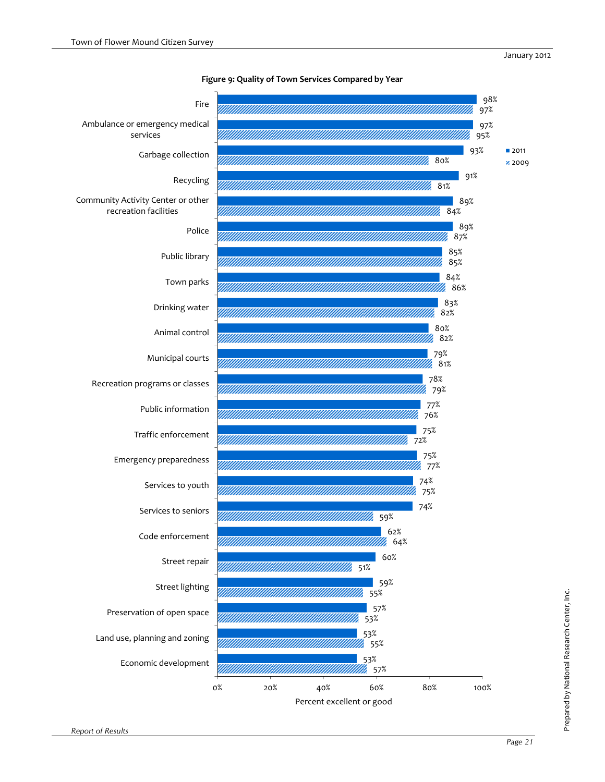

### **Figure 9: Quality of Town Services Compared by Year**

Prepared by National Research Center, Inc.

Prepared by National Research Center, Inc.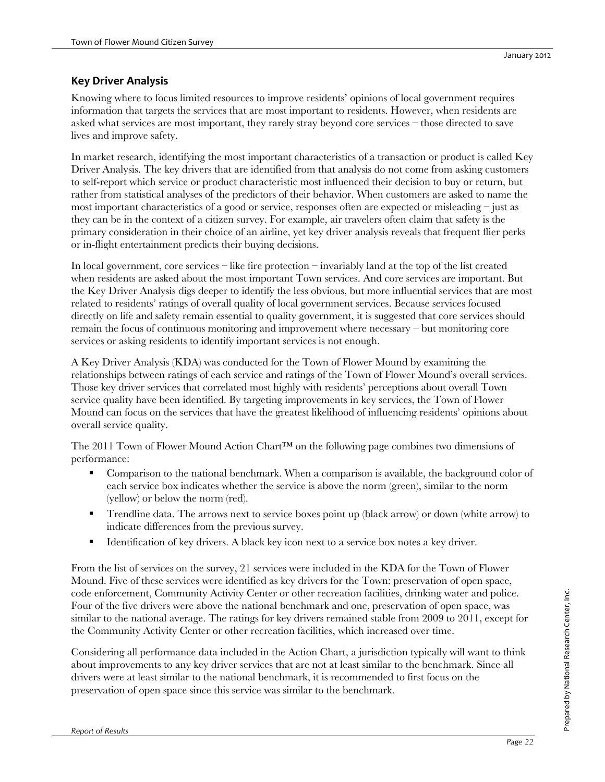### **Key Driver Analysis**

Knowing where to focus limited resources to improve residents' opinions of local government requires information that targets the services that are most important to residents. However, when residents are asked what services are most important, they rarely stray beyond core services – those directed to save lives and improve safety.

In market research, identifying the most important characteristics of a transaction or product is called Key Driver Analysis. The key drivers that are identified from that analysis do not come from asking customers to self-report which service or product characteristic most influenced their decision to buy or return, but rather from statistical analyses of the predictors of their behavior. When customers are asked to name the most important characteristics of a good or service, responses often are expected or misleading – just as they can be in the context of a citizen survey. For example, air travelers often claim that safety is the primary consideration in their choice of an airline, yet key driver analysis reveals that frequent flier perks or in-flight entertainment predicts their buying decisions.

In local government, core services – like fire protection – invariably land at the top of the list created when residents are asked about the most important Town services. And core services are important. But the Key Driver Analysis digs deeper to identify the less obvious, but more influential services that are most related to residents' ratings of overall quality of local government services. Because services focused directly on life and safety remain essential to quality government, it is suggested that core services should remain the focus of continuous monitoring and improvement where necessary – but monitoring core services or asking residents to identify important services is not enough.

A Key Driver Analysis (KDA) was conducted for the Town of Flower Mound by examining the relationships between ratings of each service and ratings of the Town of Flower Mound's overall services. Those key driver services that correlated most highly with residents' perceptions about overall Town service quality have been identified. By targeting improvements in key services, the Town of Flower Mound can focus on the services that have the greatest likelihood of influencing residents' opinions about overall service quality.

The 2011 Town of Flower Mound Action Chart™ on the following page combines two dimensions of performance:

- Comparison to the national benchmark. When a comparison is available, the background color of each service box indicates whether the service is above the norm (green), similar to the norm (yellow) or below the norm (red).
- Trendline data. The arrows next to service boxes point up (black arrow) or down (white arrow) to indicate differences from the previous survey.
- Identification of key drivers. A black key icon next to a service box notes a key driver.

From the list of services on the survey, 21 services were included in the KDA for the Town of Flower Mound. Five of these services were identified as key drivers for the Town: preservation of open space, code enforcement, Community Activity Center or other recreation facilities, drinking water and police. Four of the five drivers were above the national benchmark and one, preservation of open space, was similar to the national average. The ratings for key drivers remained stable from 2009 to 2011, except for the Community Activity Center or other recreation facilities, which increased over time.

Considering all performance data included in the Action Chart, a jurisdiction typically will want to think about improvements to any key driver services that are not at least similar to the benchmark. Since all drivers were at least similar to the national benchmark, it is recommended to first focus on the preservation of open space since this service was similar to the benchmark.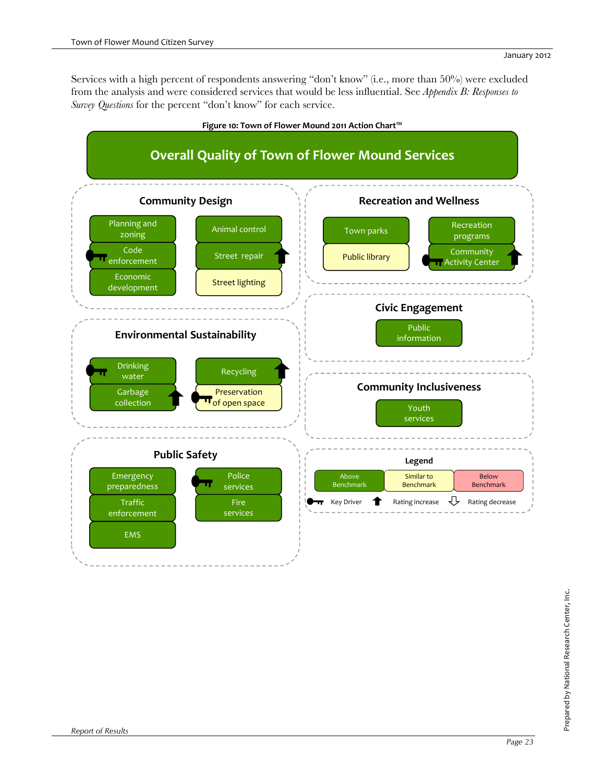Services with a high percent of respondents answering "don't know" (i.e., more than 50%) were excluded from the analysis and were considered services that would be less influential. See *Appendix B: Responses to Survey Questions* for the percent "don't know" for each service.

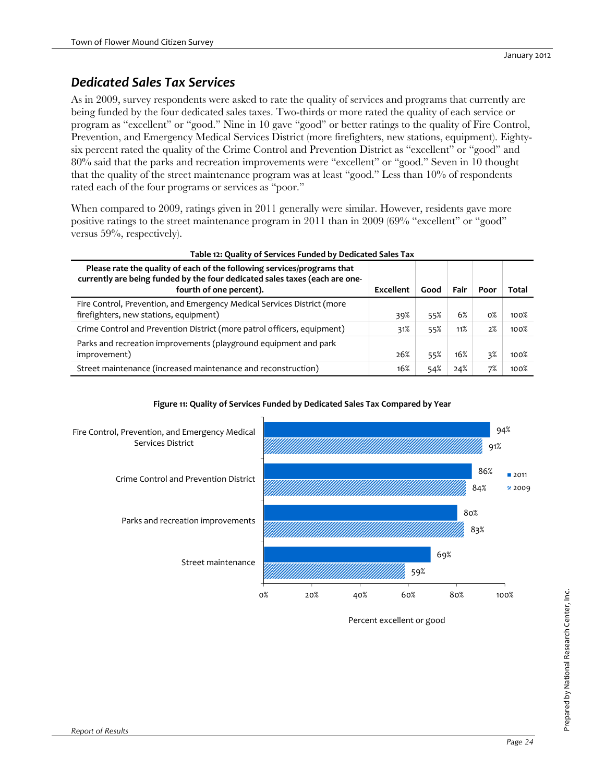### *Dedicated Sales Tax Services*

As in 2009, survey respondents were asked to rate the quality of services and programs that currently are being funded by the four dedicated sales taxes. Two-thirds or more rated the quality of each service or program as "excellent" or "good." Nine in 10 gave "good" or better ratings to the quality of Fire Control, Prevention, and Emergency Medical Services District (more firefighters, new stations, equipment). Eightysix percent rated the quality of the Crime Control and Prevention District as "excellent" or "good" and 80% said that the parks and recreation improvements were "excellent" or "good." Seven in 10 thought that the quality of the street maintenance program was at least "good." Less than 10% of respondents rated each of the four programs or services as "poor."

When compared to 2009, ratings given in 2011 generally were similar. However, residents gave more positive ratings to the street maintenance program in 2011 than in 2009 (69% "excellent" or "good" versus 59%, respectively).

| Table 12: Quality of Services Funded by Dedicated Sales Tax                                                                                                                       |           |      |      |       |       |  |  |  |  |
|-----------------------------------------------------------------------------------------------------------------------------------------------------------------------------------|-----------|------|------|-------|-------|--|--|--|--|
| Please rate the quality of each of the following services/programs that<br>currently are being funded by the four dedicated sales taxes (each are one-<br>fourth of one percent). | Excellent | Good | Fair | Poor  | Total |  |  |  |  |
| Fire Control, Prevention, and Emergency Medical Services District (more<br>firefighters, new stations, equipment)                                                                 | 39%       | 55%  | 6%   | $0\%$ | 100%  |  |  |  |  |
| Crime Control and Prevention District (more patrol officers, equipment)                                                                                                           | 31%       | 55%  | 11%  | 2%    | 100%  |  |  |  |  |
| Parks and recreation improvements (playground equipment and park<br>improvement)                                                                                                  | 26%       | 55%  | 16%  | 3%    | 100%  |  |  |  |  |
| Street maintenance (increased maintenance and reconstruction)                                                                                                                     | 16%       | 54%  | 24%  | 7%    | 100%  |  |  |  |  |



### **Figure 11: Quality of Services Funded by Dedicated Sales Tax Compared by Year**

Percent excellent or good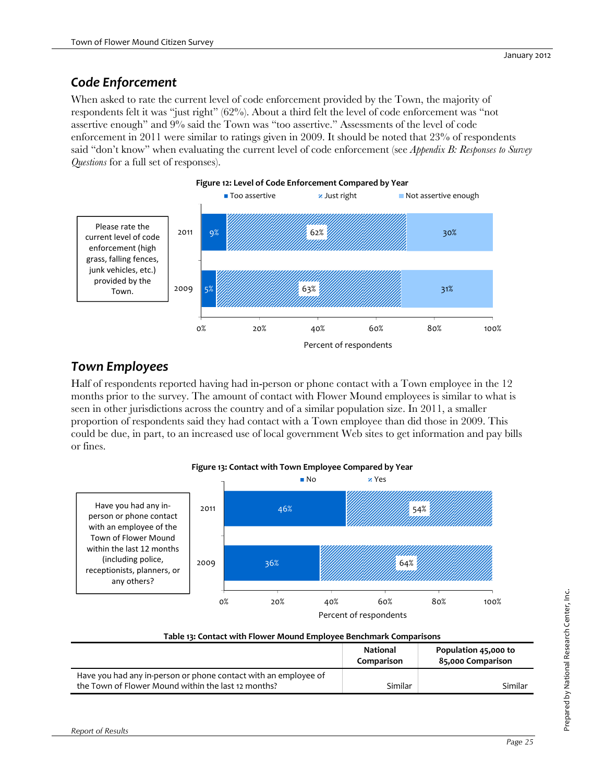### *Code Enforcement*

When asked to rate the current level of code enforcement provided by the Town, the majority of respondents felt it was "just right" (62%). About a third felt the level of code enforcement was "not assertive enough" and 9% said the Town was "too assertive." Assessments of the level of code enforcement in 2011 were similar to ratings given in 2009. It should be noted that 23% of respondents said "don't know" when evaluating the current level of code enforcement (see *Appendix B: Responses to Survey Questions* for a full set of responses).



### *Town Employees*

Half of respondents reported having had in-person or phone contact with a Town employee in the 12 months prior to the survey. The amount of contact with Flower Mound employees is similar to what is seen in other jurisdictions across the country and of a similar population size. In 2011, a smaller proportion of respondents said they had contact with a Town employee than did those in 2009. This could be due, in part, to an increased use of local government Web sites to get information and pay bills or fines.



| Table 13: Contact with Flower Mound Employee Benchmark Comparisons                                                     |                        |                                           |  |  |  |  |
|------------------------------------------------------------------------------------------------------------------------|------------------------|-------------------------------------------|--|--|--|--|
|                                                                                                                        | National<br>Comparison | Population 45,000 to<br>85,000 Comparison |  |  |  |  |
| Have you had any in-person or phone contact with an employee of<br>the Town of Flower Mound within the last 12 months? | Similar                | Similar                                   |  |  |  |  |

**Figure 13: Contact with Town Employee Compared by Year**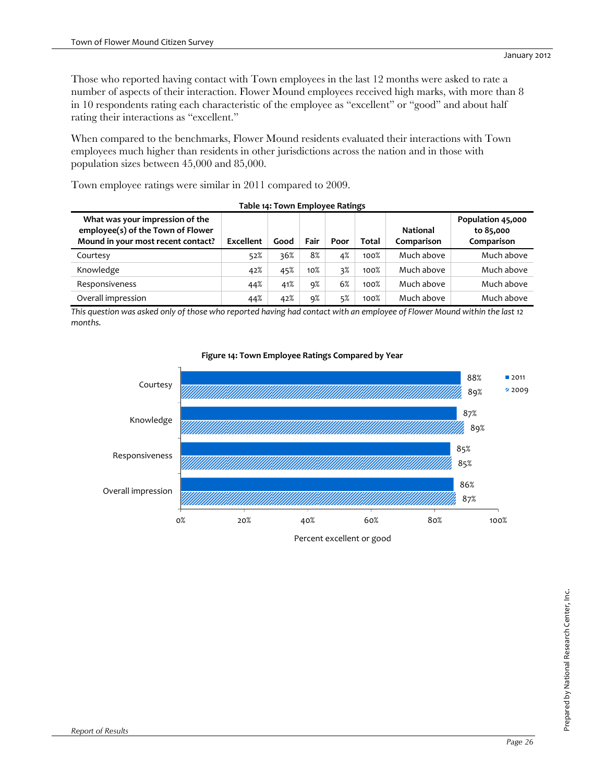Those who reported having contact with Town employees in the last 12 months were asked to rate a number of aspects of their interaction. Flower Mound employees received high marks, with more than 8 in 10 respondents rating each characteristic of the employee as "excellent" or "good" and about half rating their interactions as "excellent."

When compared to the benchmarks, Flower Mound residents evaluated their interactions with Town employees much higher than residents in other jurisdictions across the nation and in those with population sizes between 45,000 and 85,000.

Town employee ratings were similar in 2011 compared to 2009.

| Table 14: Town Employee Ratings                                                                            |           |      |        |      |       |                               |                                              |  |  |  |  |
|------------------------------------------------------------------------------------------------------------|-----------|------|--------|------|-------|-------------------------------|----------------------------------------------|--|--|--|--|
| What was your impression of the<br>employee(s) of the Town of Flower<br>Mound in your most recent contact? | Excellent | Good | Fair   | Poor | Total | <b>National</b><br>Comparison | Population 45,000<br>to 85,000<br>Comparison |  |  |  |  |
| Courtesy                                                                                                   | 52%       | 36%  | 8%     | 4%   | 100%  | Much above                    | Much above                                   |  |  |  |  |
| Knowledge                                                                                                  | 42%       | 45%  | $10\%$ | 3%   | 100%  | Much above                    | Much above                                   |  |  |  |  |
| Responsiveness                                                                                             | 44%       | 41%  | 9%     | 6%   | 100%  | Much above                    | Much above                                   |  |  |  |  |
| Overall impression                                                                                         | 44%       | 42%  | 9%     | 5%   | 100%  | Much above                    | Much above                                   |  |  |  |  |

This question was asked only of those who reported having had contact with an employee of Flower Mound within the last 12 *months.* 



### **Figure 14: Town Employee Ratings Compared by Year**

Percent excellent or good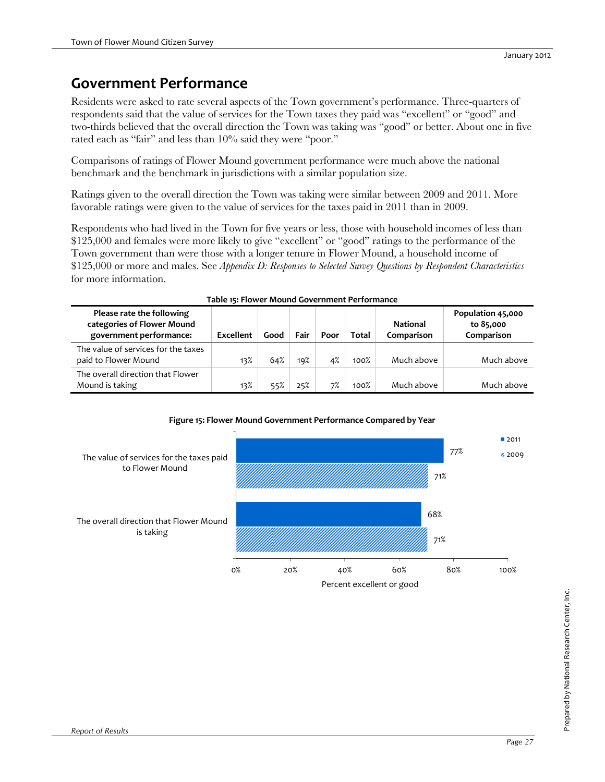## **Government Performance**

Residents were asked to rate several aspects of the Town government's performance. Three-quarters of respondents said that the value of services for the Town taxes they paid was "excellent" or "good" and two-thirds believed that the overall direction the Town was taking was "good" or better. About one in five rated each as "fair" and less than 10% said they were "poor."

Comparisons of ratings of Flower Mound government performance were much above the national benchmark and the benchmark in jurisdictions with a similar population size.

Ratings given to the overall direction the Town was taking were similar between 2009 and 2011. More favorable ratings were given to the value of services for the taxes paid in 2011 than in 2009.

Respondents who had lived in the Town for five years or less, those with household incomes of less than \$125,000 and females were more likely to give "excellent" or "good" ratings to the performance of the Town government than were those with a longer tenure in Flower Mound, a household income of \$125,000 or more and males. See *Appendix D: Responses to Selected Survey Questions by Respondent Characteristics* for more information.

| Please rate the following<br>categories of Flower Mound<br>government performance: | Excellent | Good | Fair | Poor | Total | <b>National</b><br>Comparison | Population 45,000<br>to 85,000<br>Comparison |  |  |  |
|------------------------------------------------------------------------------------|-----------|------|------|------|-------|-------------------------------|----------------------------------------------|--|--|--|
| The value of services for the taxes<br>paid to Flower Mound                        | 13%       | 64%  | 19%  | 4%   | 100%  | Much above                    | Much above                                   |  |  |  |
| The overall direction that Flower<br>Mound is taking                               | 13%       | 55%  | 25%  | 7%   | 100%  | Much above                    | Much above                                   |  |  |  |





**Figure 15: Flower Mound Government Performance Compared by Year**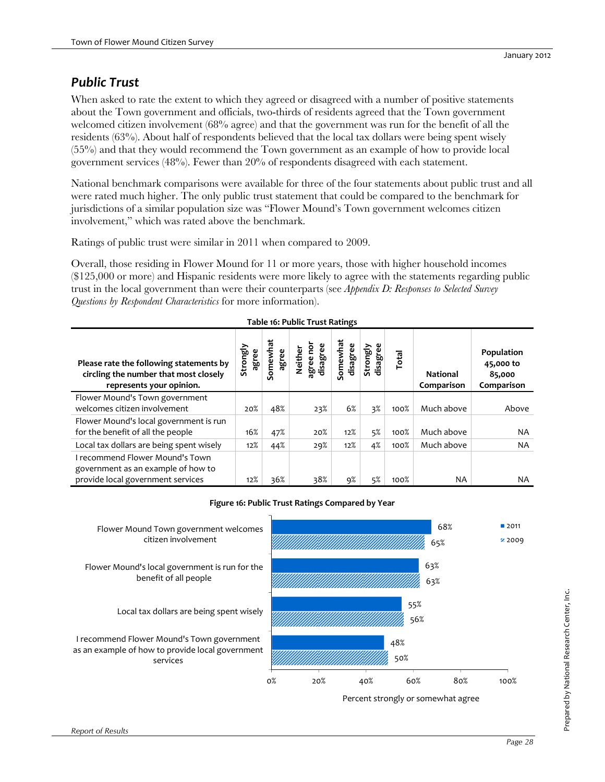### *Public Trust*

When asked to rate the extent to which they agreed or disagreed with a number of positive statements about the Town government and officials, two-thirds of residents agreed that the Town government welcomed citizen involvement (68% agree) and that the government was run for the benefit of all the residents (63%). About half of respondents believed that the local tax dollars were being spent wisely (55%) and that they would recommend the Town government as an example of how to provide local government services (48%). Fewer than 20% of respondents disagreed with each statement.

National benchmark comparisons were available for three of the four statements about public trust and all were rated much higher. The only public trust statement that could be compared to the benchmark for jurisdictions of a similar population size was "Flower Mound's Town government welcomes citizen involvement," which was rated above the benchmark.

Ratings of public trust were similar in 2011 when compared to 2009.

Overall, those residing in Flower Mound for 11 or more years, those with higher household incomes (\$125,000 or more) and Hispanic residents were more likely to agree with the statements regarding public trust in the local government than were their counterparts (see *Appendix D: Responses to Selected Survey Questions by Respondent Characteristics* for more information).

| Please rate the following statements by<br>circling the number that most closely<br>represents your opinion. | Strongly<br>agree | Somewhat<br>agree | disagree<br>ē<br>Neither<br>agree I | Somewhat<br>disagree | Strongly<br>disagree | Total | <b>National</b><br>Comparison | Population<br>45,000 to<br>85,000<br>Comparison |
|--------------------------------------------------------------------------------------------------------------|-------------------|-------------------|-------------------------------------|----------------------|----------------------|-------|-------------------------------|-------------------------------------------------|
| Flower Mound's Town government                                                                               |                   |                   |                                     |                      |                      |       |                               |                                                 |
| welcomes citizen involvement                                                                                 | 20%               | 48%               | 23%                                 | 6%                   | 3%                   | 100%  | Much above                    | Above                                           |
| Flower Mound's local government is run                                                                       |                   |                   |                                     |                      |                      |       |                               |                                                 |
| for the benefit of all the people                                                                            | 16%               | 47%               | 20%                                 | 12%                  | 5%                   | 100%  | Much above                    | <b>NA</b>                                       |
| Local tax dollars are being spent wisely                                                                     | 12%               | 44%               | 29%                                 | 12%                  | 4%                   | 100%  | Much above                    | <b>NA</b>                                       |
| recommend Flower Mound's Town<br>government as an example of how to                                          |                   |                   |                                     |                      |                      |       |                               |                                                 |
| provide local government services                                                                            | 12%               | 36%               | 38%                                 | 9%                   | 5%                   | 100%  | NA                            | NA                                              |



Percent strongly or somewhat agree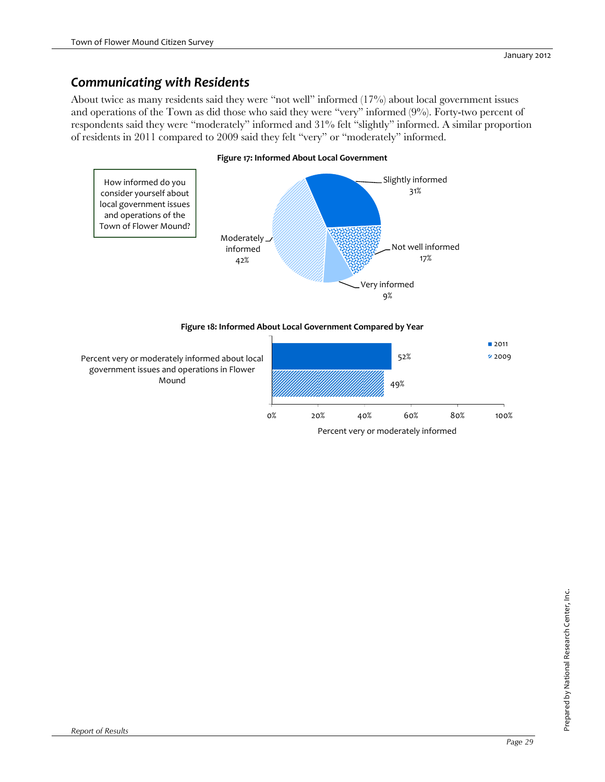### *Communicating with Residents*

About twice as many residents said they were "not well" informed (17%) about local government issues and operations of the Town as did those who said they were "very" informed (9%). Forty-two percent of respondents said they were "moderately" informed and 31% felt "slightly" informed. A similar proportion of residents in 2011 compared to 2009 said they felt "very" or "moderately" informed.

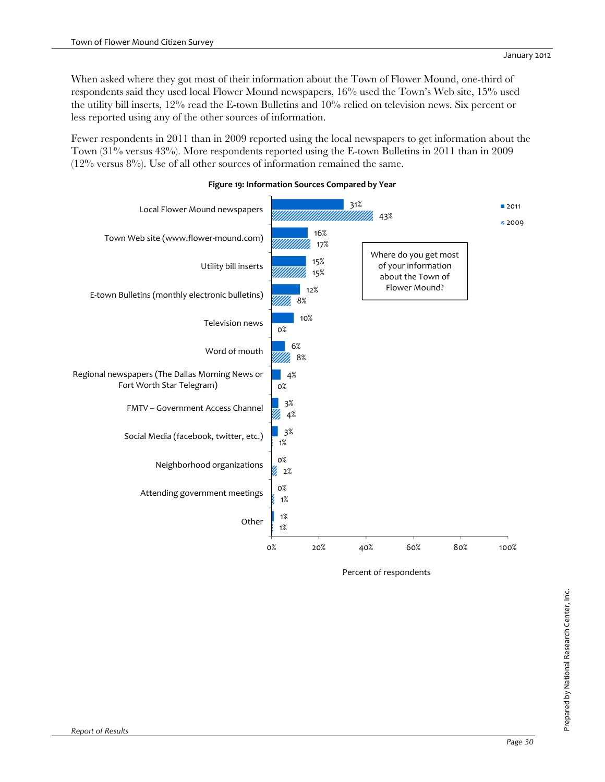When asked where they got most of their information about the Town of Flower Mound, one-third of respondents said they used local Flower Mound newspapers, 16% used the Town's Web site, 15% used the utility bill inserts, 12% read the E-town Bulletins and 10% relied on television news. Six percent or less reported using any of the other sources of information.

Fewer respondents in 2011 than in 2009 reported using the local newspapers to get information about the Town (31% versus 43%). More respondents reported using the E-town Bulletins in 2011 than in 2009  $(12\%$  versus 8%). Use of all other sources of information remained the same.



### **Figure 19: Information Sources Compared by Year**

Percent of respondents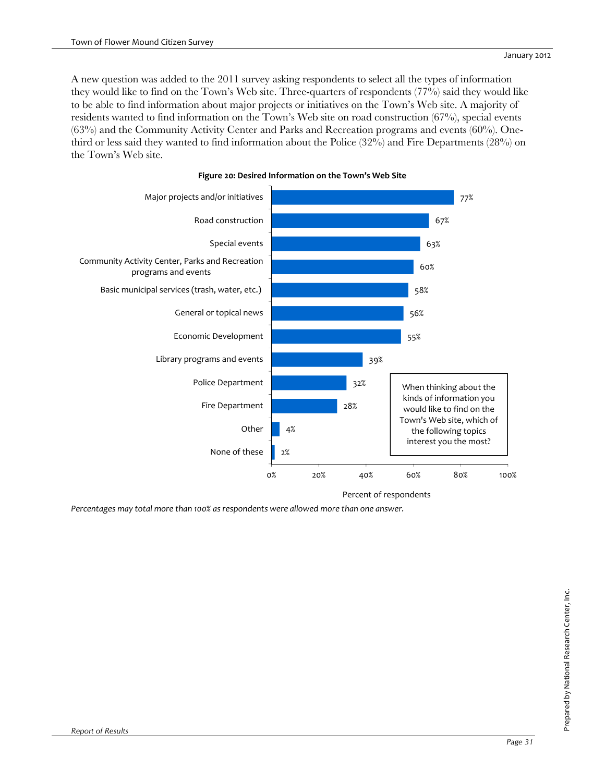A new question was added to the 2011 survey asking respondents to select all the types of information they would like to find on the Town's Web site. Three-quarters of respondents (77%) said they would like to be able to find information about major projects or initiatives on the Town's Web site. A majority of residents wanted to find information on the Town's Web site on road construction (67%), special events (63%) and the Community Activity Center and Parks and Recreation programs and events (60%). Onethird or less said they wanted to find information about the Police (32%) and Fire Departments (28%) on the Town's Web site.



### **Figure 20: Desired Information on the Town's Web Site**

*Percentages may total more than 100% as respondents were allowed more than one answer.*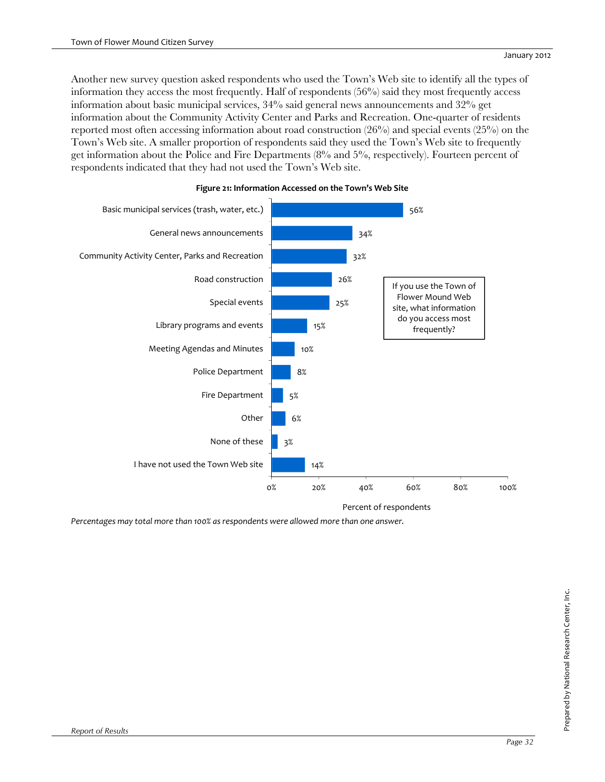Another new survey question asked respondents who used the Town's Web site to identify all the types of information they access the most frequently. Half of respondents (56%) said they most frequently access information about basic municipal services, 34% said general news announcements and 32% get information about the Community Activity Center and Parks and Recreation. One-quarter of residents reported most often accessing information about road construction (26%) and special events (25%) on the Town's Web site. A smaller proportion of respondents said they used the Town's Web site to frequently get information about the Police and Fire Departments (8% and 5%, respectively). Fourteen percent of respondents indicated that they had not used the Town's Web site.



### **Figure 21: Information Accessed on the Town's Web Site**

*Percentages may total more than 100% as respondents were allowed more than one answer.*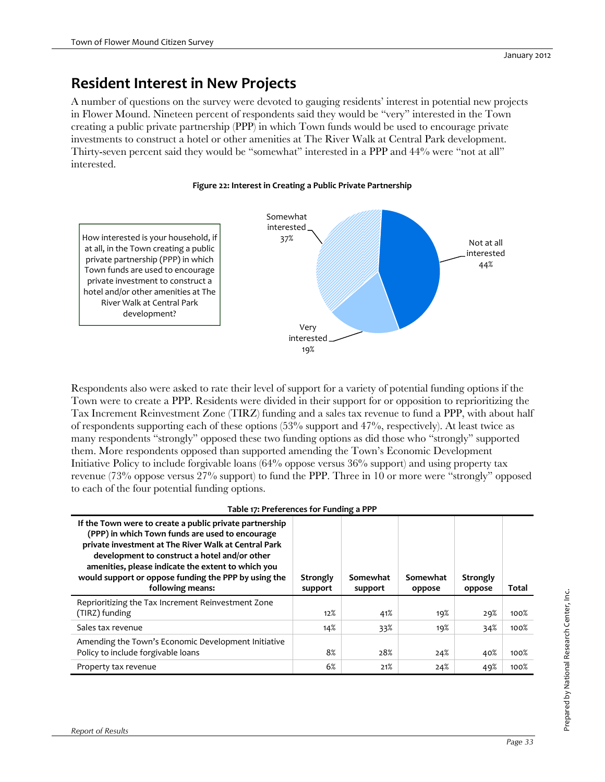# **Resident Interest in New Projects**

A number of questions on the survey were devoted to gauging residents' interest in potential new projects in Flower Mound. Nineteen percent of respondents said they would be "very" interested in the Town creating a public private partnership (PPP) in which Town funds would be used to encourage private investments to construct a hotel or other amenities at The River Walk at Central Park development. Thirty-seven percent said they would be "somewhat" interested in a PPP and 44% were "not at all" interested.

### **Figure 22: Interest in Creating a Public Private Partnership**

How interested is your household, if at all, in the Town creating a public private partnership (PPP) in which Town funds are used to encourage private investment to construct a hotel and/or other amenities at The River Walk at Central Park development?



Respondents also were asked to rate their level of support for a variety of potential funding options if the Town were to create a PPP. Residents were divided in their support for or opposition to reprioritizing the Tax Increment Reinvestment Zone (TIRZ) funding and a sales tax revenue to fund a PPP, with about half of respondents supporting each of these options (53% support and 47%, respectively). At least twice as many respondents "strongly" opposed these two funding options as did those who "strongly" supported them. More respondents opposed than supported amending the Town's Economic Development Initiative Policy to include forgivable loans (64% oppose versus 36% support) and using property tax revenue (73% oppose versus 27% support) to fund the PPP. Three in 10 or more were "strongly" opposed to each of the four potential funding options.

#### **Table 17: Preferences for Funding a PPP**

| If the Town were to create a public private partnership<br>(PPP) in which Town funds are used to encourage<br>private investment at The River Walk at Central Park<br>development to construct a hotel and/or other<br>amenities, please indicate the extent to which you<br>would support or oppose funding the PPP by using the<br>following means: | Strongly<br>support | Somewhat<br>support | Somewhat<br>oppose | Strongly<br>oppose | Total |
|-------------------------------------------------------------------------------------------------------------------------------------------------------------------------------------------------------------------------------------------------------------------------------------------------------------------------------------------------------|---------------------|---------------------|--------------------|--------------------|-------|
| Reprioritizing the Tax Increment Reinvestment Zone<br>(TIRZ) funding                                                                                                                                                                                                                                                                                  | 12%                 | 41%                 | 19%                | 29%                | 100%  |
| Sales tax revenue                                                                                                                                                                                                                                                                                                                                     | 14%                 | 33%                 | 19%                | 34%                | 100%  |
| Amending the Town's Economic Development Initiative<br>Policy to include forgivable loans                                                                                                                                                                                                                                                             | 8%                  | 28%                 | 24%                | 40%                | 100%  |
| Property tax revenue                                                                                                                                                                                                                                                                                                                                  | 6%                  | 21%                 | 24%                | 49%                | 100%  |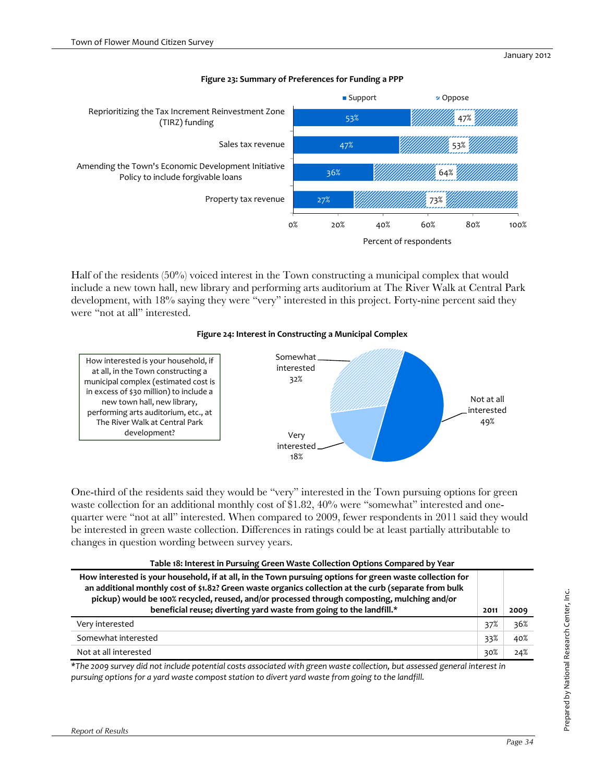

#### **Figure 23: Summary of Preferences for Funding a PPP**

Half of the residents (50%) voiced interest in the Town constructing a municipal complex that would include a new town hall, new library and performing arts auditorium at The River Walk at Central Park development, with 18% saying they were "very" interested in this project. Forty-nine percent said they were "not at all" interested.

### **Figure 24: Interest in Constructing a Municipal Complex**



One-third of the residents said they would be "very" interested in the Town pursuing options for green waste collection for an additional monthly cost of \$1.82, 40% were "somewhat" interested and onequarter were "not at all" interested. When compared to 2009, fewer respondents in 2011 said they would be interested in green waste collection. Differences in ratings could be at least partially attributable to changes in question wording between survey years.

| Table 18: Interest in Pursuing Green Waste Collection Options Compared by Year                                                                                                                                                                                                                                                                                                           |      |      |
|------------------------------------------------------------------------------------------------------------------------------------------------------------------------------------------------------------------------------------------------------------------------------------------------------------------------------------------------------------------------------------------|------|------|
| How interested is your household, if at all, in the Town pursuing options for green waste collection for<br>an additional monthly cost of \$1.82? Green waste organics collection at the curb (separate from bulk<br>pickup) would be 100% recycled, reused, and/or processed through composting, mulching and/or<br>beneficial reuse; diverting yard waste from going to the landfill.* | 2011 | 2009 |
| Very interested                                                                                                                                                                                                                                                                                                                                                                          | 37%  | 36%  |
| Somewhat interested                                                                                                                                                                                                                                                                                                                                                                      | 33%  | 40%  |
| Not at all interested                                                                                                                                                                                                                                                                                                                                                                    | 30%  | 24%  |

\*The 2009 survey did not include potential costs associated with green waste collection, but assessed general interest in *pursuing options for a yard waste compost station to divert yard waste from going to the landfill.*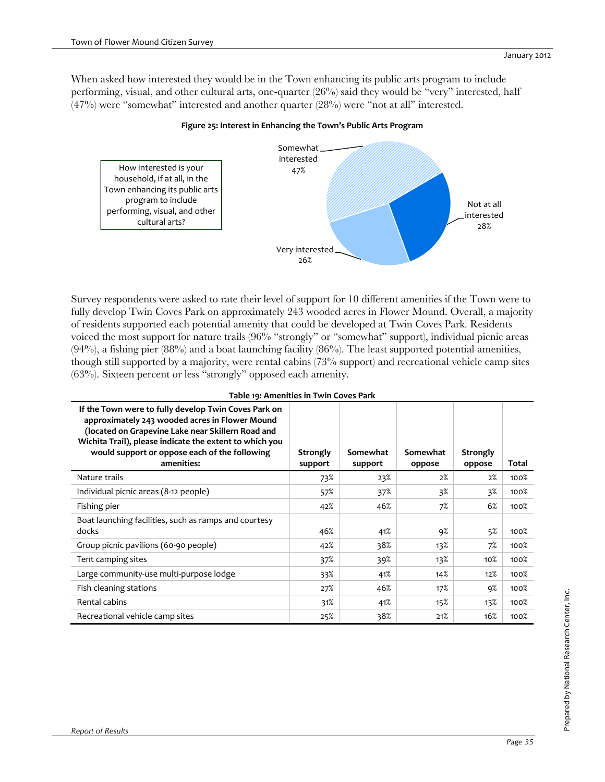When asked how interested they would be in the Town enhancing its public arts program to include performing, visual, and other cultural arts, one-quarter (26%) said they would be "very" interested, half (47%) were "somewhat" interested and another quarter (28%) were "not at all" interested.

### **Figure 25: Interest in Enhancing the Town's Public Arts Program**



Survey respondents were asked to rate their level of support for 10 different amenities if the Town were to fully develop Twin Coves Park on approximately 243 wooded acres in Flower Mound. Overall, a majority of residents supported each potential amenity that could be developed at Twin Coves Park. Residents voiced the most support for nature trails (96% "strongly" or "somewhat" support), individual picnic areas  $(94%)$ , a fishing pier  $(88%)$  and a boat launching facility  $(86%)$ . The least supported potential amenities, though still supported by a majority, were rental cabins (73% support) and recreational vehicle camp sites (63%). Sixteen percent or less "strongly" opposed each amenity.

| Table 19: Amenities in Twin Coves Park                                                                                                                                                                                                                                                |                     |                     |                    |                    |       |
|---------------------------------------------------------------------------------------------------------------------------------------------------------------------------------------------------------------------------------------------------------------------------------------|---------------------|---------------------|--------------------|--------------------|-------|
| If the Town were to fully develop Twin Coves Park on<br>approximately 243 wooded acres in Flower Mound<br>(located on Grapevine Lake near Skillern Road and<br>Wichita Trail), please indicate the extent to which you<br>would support or oppose each of the following<br>amenities: | Strongly<br>support | Somewhat<br>support | Somewhat<br>oppose | Strongly<br>oppose | Total |
| Nature trails                                                                                                                                                                                                                                                                         | 73%                 | 23%                 | 2%                 | 2%                 | 100%  |
| Individual picnic areas (8-12 people)                                                                                                                                                                                                                                                 | 57%                 | 37%                 | 3%                 | 3%                 | 100%  |
| Fishing pier                                                                                                                                                                                                                                                                          | 42%                 | 46%                 | 7%                 | 6%                 | 100%  |
| Boat launching facilities, such as ramps and courtesy<br>docks                                                                                                                                                                                                                        | 46%                 | 41%                 | 9%                 | 5%                 | 100%  |
| Group picnic pavilions (60-90 people)                                                                                                                                                                                                                                                 | 42%                 | 38%                 | 13%                | 7%                 | 100%  |
| Tent camping sites                                                                                                                                                                                                                                                                    | 37%                 | 39%                 | 13%                | $10\%$             | 100%  |
| Large community-use multi-purpose lodge                                                                                                                                                                                                                                               | 33%                 | 41%                 | 14%                | 12%                | 100%  |
| Fish cleaning stations                                                                                                                                                                                                                                                                | 27%                 | 46%                 | 17%                | 9%                 | 100%  |
| Rental cabins                                                                                                                                                                                                                                                                         | 31%                 | 41%                 | 15%                | 13%                | 100%  |
| Recreational vehicle camp sites                                                                                                                                                                                                                                                       | 25%                 | 38%                 | 21%                | 16%                | 100%  |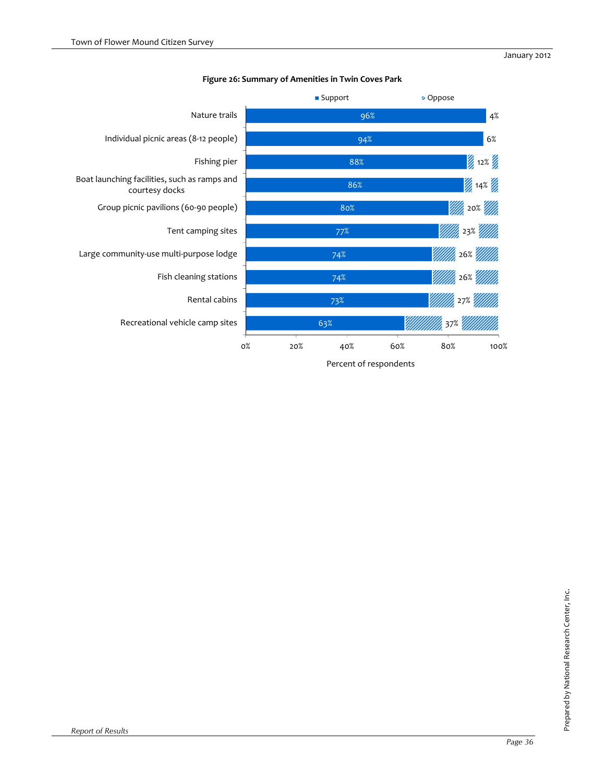

### **Figure 26: Summary of Amenities in Twin Coves Park**

Percent of respondents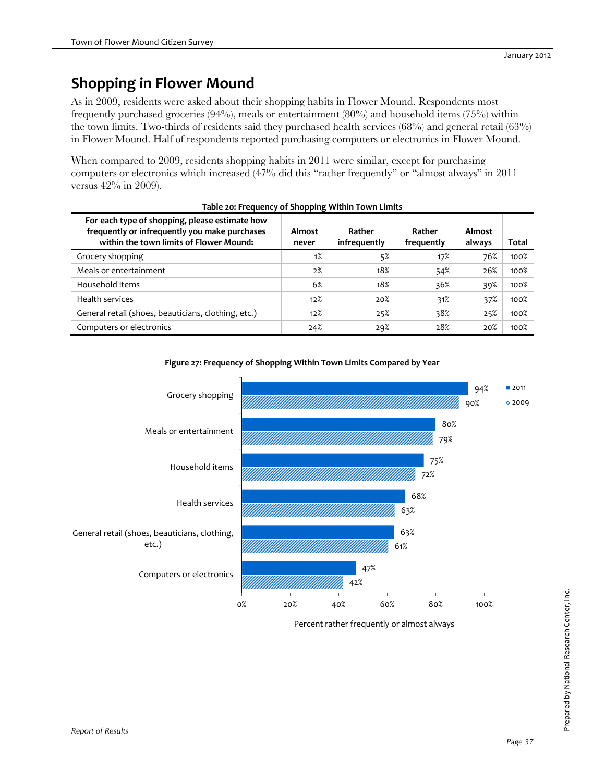# **Shopping in Flower Mound**

As in 2009, residents were asked about their shopping habits in Flower Mound. Respondents most frequently purchased groceries (94%), meals or entertainment (80%) and household items (75%) within the town limits. Two-thirds of residents said they purchased health services (68%) and general retail (63%) in Flower Mound. Half of respondents reported purchasing computers or electronics in Flower Mound.

When compared to 2009, residents shopping habits in 2011 were similar, except for purchasing computers or electronics which increased (47% did this "rather frequently" or "almost always" in 2011 versus 42% in 2009).

| For each type of shopping, please estimate how<br>frequently or infrequently you make purchases<br>within the town limits of Flower Mound: | Almost<br>never | Rather<br>infrequently | Rather<br>frequently | Almost<br>always | Total |
|--------------------------------------------------------------------------------------------------------------------------------------------|-----------------|------------------------|----------------------|------------------|-------|
| Grocery shopping                                                                                                                           | 1%              | 5%                     | 17%                  | 76%              | 100%  |
| Meals or entertainment                                                                                                                     | 2%              | 18%                    | 54%                  | 26%              | 100%  |
| Household items                                                                                                                            | 6%              | 18%                    | 36%                  | 39%              | 100%  |
| Health services                                                                                                                            | 12%             | 20%                    | 31%                  | 37%              | 100%  |
| General retail (shoes, beauticians, clothing, etc.)                                                                                        | 12%             | 25%                    | 38%                  | 25%              | 100%  |
| Computers or electronics                                                                                                                   | 24%             | 29%                    | 28%                  | 20%              | 100%  |

#### **Table 20: Frequency of Shopping Within Town Limits**



#### **Figure 27: Frequency of Shopping Within Town Limits Compared by Year**

Percent rather frequently or almost always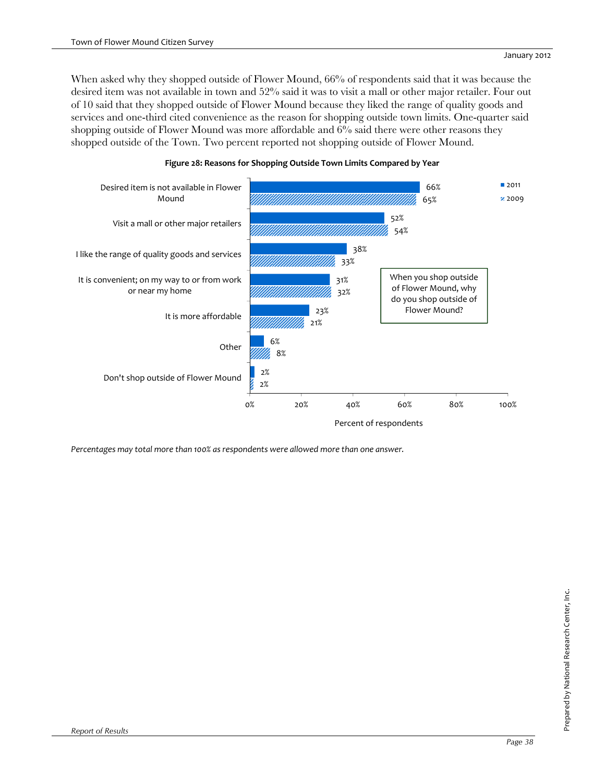When asked why they shopped outside of Flower Mound, 66% of respondents said that it was because the desired item was not available in town and 52% said it was to visit a mall or other major retailer. Four out of 10 said that they shopped outside of Flower Mound because they liked the range of quality goods and services and one-third cited convenience as the reason for shopping outside town limits. One-quarter said shopping outside of Flower Mound was more affordable and 6% said there were other reasons they shopped outside of the Town. Two percent reported not shopping outside of Flower Mound.



### **Figure 28: Reasons for Shopping Outside Town Limits Compared by Year**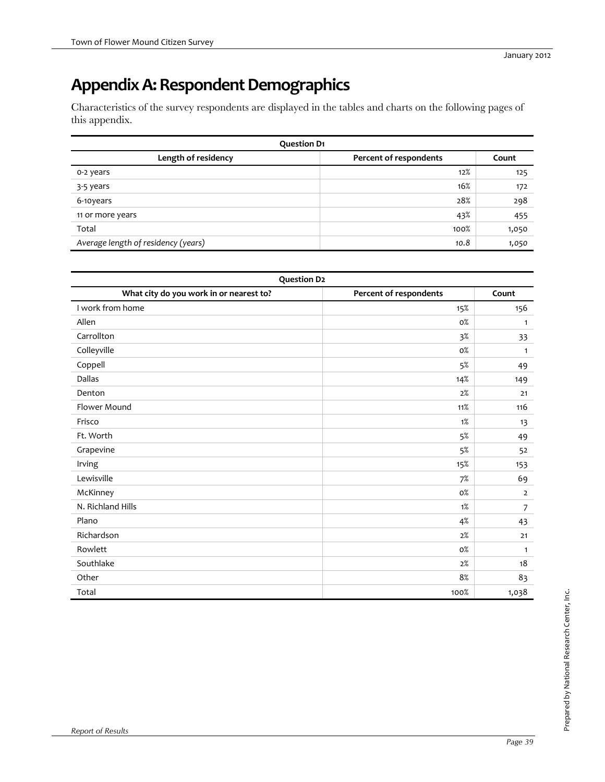# Appendix A: Respondent Demographics

Characteristics of the survey respondents are displayed in the tables and charts on the following pages of this appendix.

| <b>Question D1</b>                  |                        |       |
|-------------------------------------|------------------------|-------|
| Length of residency                 | Percent of respondents | Count |
| o-2 years                           | 12%                    | 125   |
| 3-5 years                           | 16%                    | 172   |
| 6-10years                           | 28%                    | 298   |
| 11 or more years                    | 43%                    | 455   |
| Total                               | 100%                   | 1,050 |
| Average length of residency (years) | 10.8                   | 1,050 |

| <b>Question D2</b>                      |                        |                |
|-----------------------------------------|------------------------|----------------|
| What city do you work in or nearest to? | Percent of respondents | Count          |
| I work from home                        | 15%                    | 156            |
| Allen                                   | $0\%$                  | $\mathbf{1}$   |
| Carrollton                              | $3\%$                  | 33             |
| Colleyville                             | $0\%$                  | $\mathbf{1}$   |
| Coppell                                 | 5%                     | 49             |
| Dallas                                  | 14%                    | 149            |
| Denton                                  | 2%                     | 21             |
| Flower Mound                            | 11%                    | 116            |
| Frisco                                  | $1\%$                  | 13             |
| Ft. Worth                               | 5%                     | 49             |
| Grapevine                               | 5%                     | 52             |
| Irving                                  | 15%                    | 153            |
| Lewisville                              | 7%                     | 69             |
| McKinney                                | 0%                     | $\overline{2}$ |
| N. Richland Hills                       | $1\%$                  | $\overline{7}$ |
| Plano                                   | 4%                     | 43             |
| Richardson                              | 2%                     | 21             |
| Rowlett                                 | $0\%$                  | 1              |
| Southlake                               | 2%                     | 18             |
| Other                                   | 8%                     | 83             |
| Total                                   | 100%                   | 1,038          |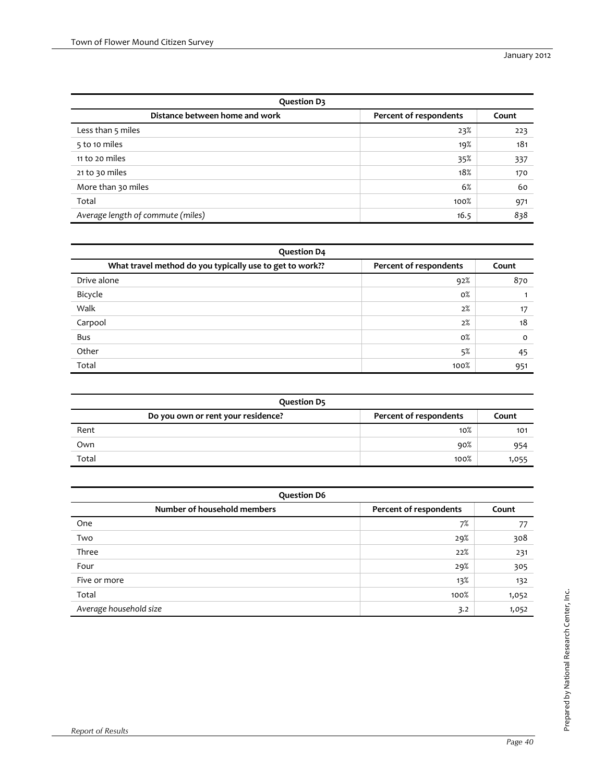| <b>Question D3</b>                |                        |       |
|-----------------------------------|------------------------|-------|
| Distance between home and work    | Percent of respondents | Count |
| Less than 5 miles                 | 23%                    | 223   |
| 5 to 10 miles                     | 19%                    | 181   |
| 11 to 20 miles                    | 35%                    | 337   |
| 21 to 30 miles                    | 18%                    | 170   |
| More than 30 miles                | 6%                     | 60    |
| Total                             | 100%                   | 971   |
| Average length of commute (miles) | 16.5                   | 838   |

| <b>Question D4</b>                                       |                        |          |
|----------------------------------------------------------|------------------------|----------|
| What travel method do you typically use to get to work?? | Percent of respondents | Count    |
| Drive alone                                              | 92%                    | 870      |
| Bicycle                                                  | 0%                     |          |
| Walk                                                     | 2%                     | 17       |
| Carpool                                                  | 2%                     | 18       |
| Bus                                                      | $0\%$                  | $\Omega$ |
| Other                                                    | 5%                     | 45       |
| Total                                                    | 100%                   | 951      |

| <b>Question D5</b>                 |                        |       |
|------------------------------------|------------------------|-------|
| Do you own or rent your residence? | Percent of respondents | Count |
| Rent                               | $10\%$                 | 101   |
| Own                                | 90%                    | 954   |
| Total                              | 100%                   | 1,055 |

| <b>Question D6</b>          |                        |       |
|-----------------------------|------------------------|-------|
| Number of household members | Percent of respondents | Count |
| One                         | 7%                     | 77    |
| Two                         | 29%                    | 308   |
| Three                       | 22%                    | 231   |
| Four                        | 29%                    | 305   |
| Five or more                | 13%                    | 132   |
| Total                       | 100%                   | 1,052 |
| Average household size      | 3.2                    | 1,052 |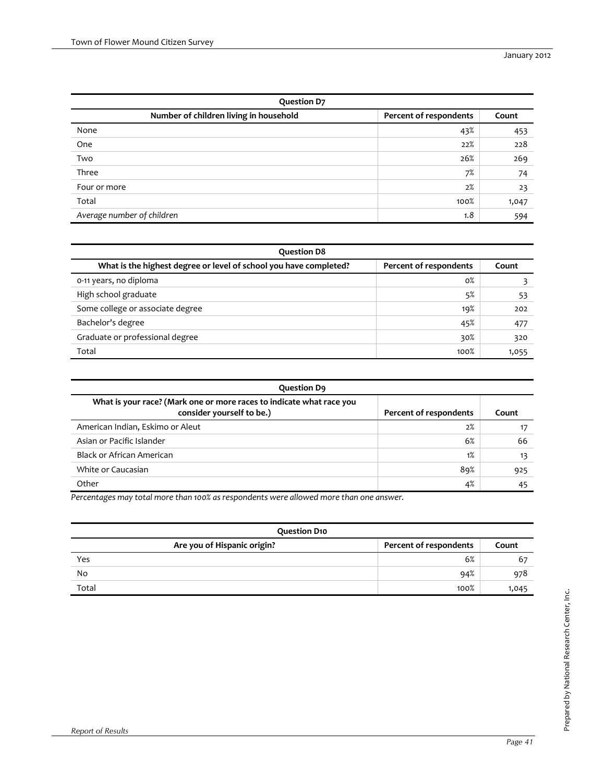| <b>Question D7</b>                     |                        |       |  |
|----------------------------------------|------------------------|-------|--|
| Number of children living in household | Percent of respondents | Count |  |
| None                                   | 43%                    | 453   |  |
| One                                    | 22%                    | 228   |  |
| Two                                    | 26%                    | 269   |  |
| Three                                  | 7%                     | 74    |  |
| Four or more                           | 2%                     | 23    |  |
| Total                                  | 100%                   | 1,047 |  |
| Average number of children             | 1.8                    | 594   |  |

| <b>Question D8</b>                                                |                        |       |
|-------------------------------------------------------------------|------------------------|-------|
| What is the highest degree or level of school you have completed? | Percent of respondents | Count |
| 0-11 years, no diploma                                            | $0\%$                  |       |
| High school graduate                                              | 5%                     | 53    |
| Some college or associate degree                                  | 19%                    | 202   |
| Bachelor's degree                                                 | 45%                    | 477   |
| Graduate or professional degree                                   | 30%                    | 320   |
| Total                                                             | 100%                   | 1,055 |

| <b>Question D9</b>                                                                                |                        |       |  |  |  |  |  |  |  |  |  |
|---------------------------------------------------------------------------------------------------|------------------------|-------|--|--|--|--|--|--|--|--|--|
| What is your race? (Mark one or more races to indicate what race you<br>consider yourself to be.) | Percent of respondents | Count |  |  |  |  |  |  |  |  |  |
| American Indian, Eskimo or Aleut                                                                  | 2%                     |       |  |  |  |  |  |  |  |  |  |
| Asian or Pacific Islander                                                                         | 6%                     | 66    |  |  |  |  |  |  |  |  |  |
| Black or African American                                                                         | 1%                     | 13    |  |  |  |  |  |  |  |  |  |
| White or Caucasian                                                                                | 89%                    | 925   |  |  |  |  |  |  |  |  |  |
| Other                                                                                             | 4%                     | 45    |  |  |  |  |  |  |  |  |  |

| <b>Question D10</b>         |                        |       |
|-----------------------------|------------------------|-------|
| Are you of Hispanic origin? | Percent of respondents | Count |
| Yes                         | 6%                     | 67    |
| No                          | 94%                    | 978   |
| Total                       | 100%                   | 1,045 |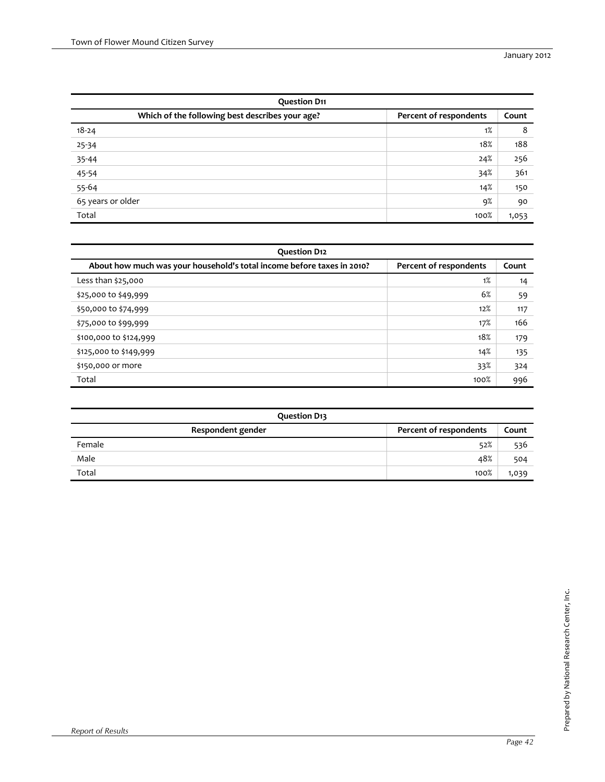| <b>Question D11</b>                                                       |      |       |  |  |  |  |  |  |  |
|---------------------------------------------------------------------------|------|-------|--|--|--|--|--|--|--|
| Which of the following best describes your age?<br>Percent of respondents |      |       |  |  |  |  |  |  |  |
| $18 - 24$                                                                 | 1%   | 8     |  |  |  |  |  |  |  |
| 25-34                                                                     | 18%  | 188   |  |  |  |  |  |  |  |
| 35-44                                                                     | 24%  | 256   |  |  |  |  |  |  |  |
|                                                                           | 34%  | 361   |  |  |  |  |  |  |  |
| $\frac{45-54}{55-64}$                                                     | 14%  | 150   |  |  |  |  |  |  |  |
| 65 years or older                                                         | 9%   | 90    |  |  |  |  |  |  |  |
| Total                                                                     | 100% | 1,053 |  |  |  |  |  |  |  |

| <b>Question D12</b>                                                    |                        |       |
|------------------------------------------------------------------------|------------------------|-------|
| About how much was your household's total income before taxes in 2010? | Percent of respondents | Count |
| Less than \$25,000                                                     | 1%                     | 14    |
| \$25,000 to \$49,999                                                   | 6%                     | 59    |
| \$50,000 to \$74,999                                                   | 12%                    | 117   |
| \$75,000 to \$99,999                                                   | 17%                    | 166   |
| \$100,000 to \$124,999                                                 | 18%                    | 179   |
| \$125,000 to \$149,999                                                 | 14%                    | 135   |
| \$150,000 or more                                                      | 33%                    | 324   |
| Total                                                                  | 100%                   | 996   |

| <b>Question D13</b> |                        |       |
|---------------------|------------------------|-------|
| Respondent gender   | Percent of respondents | Count |
| Female              | 52%                    | 536   |
| Male                | 48%                    | 504   |
| Total               | 100%                   | 1,039 |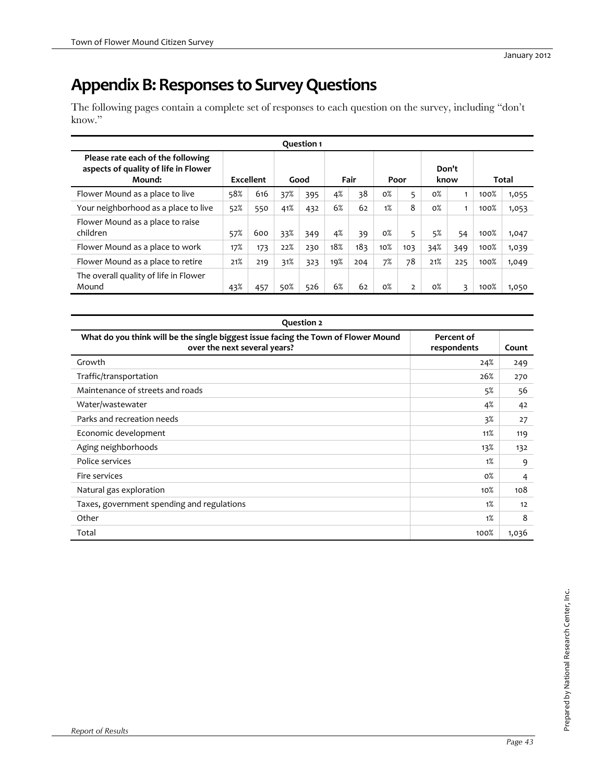# **Appendix B: Responses to Survey Questions**

The following pages contain a complete set of responses to each question on the survey, including "don't know."

|                                                                                     |           |     |      | <b>Question 1</b> |      |     |       |                |       |               |       |       |
|-------------------------------------------------------------------------------------|-----------|-----|------|-------------------|------|-----|-------|----------------|-------|---------------|-------|-------|
| Please rate each of the following<br>aspects of quality of life in Flower<br>Mound: | Excellent |     | Good |                   | Fair |     | Poor  |                |       | Don't<br>know | Total |       |
| Flower Mound as a place to live                                                     | 58%       | 616 | 37%  | 395               | 4%   | 38  | $0\%$ | 5              | $0\%$ |               | 100%  | 1,055 |
| Your neighborhood as a place to live                                                | 52%       | 550 | 41%  | 432               | 6%   | 62  | 1%    | 8              | $0\%$ |               | 100%  | 1,053 |
| Flower Mound as a place to raise<br>children                                        | 57%       | 600 | 33%  | 349               | 4%   | 39  | $0\%$ | 5              | 5%    | 54            | 100%  | 1,047 |
| Flower Mound as a place to work                                                     | 17%       | 173 | 22%  | 230               | 18%  | 183 | 10%   | 103            | 34%   | 349           | 100%  | 1,039 |
| Flower Mound as a place to retire                                                   | 21%       | 219 | 31%  | 323               | 19%  | 204 | 7%    | 78             | 21%   | 225           | 100%  | 1,049 |
| The overall quality of life in Flower<br>Mound                                      | 43%       | 457 | 50%  | 526               | 6%   | 62  | $0\%$ | $\overline{2}$ | $0\%$ | 3             | 100%  | 1,050 |

| <b>Question 2</b>                                                                                                  |                           |       |
|--------------------------------------------------------------------------------------------------------------------|---------------------------|-------|
| What do you think will be the single biggest issue facing the Town of Flower Mound<br>over the next several years? | Percent of<br>respondents | Count |
| Growth                                                                                                             | 24%                       | 249   |
| Traffic/transportation                                                                                             | 26%                       | 270   |
| Maintenance of streets and roads                                                                                   | 5%                        | 56    |
| Water/wastewater                                                                                                   | 4%                        | 42    |
| Parks and recreation needs                                                                                         | 3%                        | 27    |
| Economic development                                                                                               | 11%                       | 119   |
| Aging neighborhoods                                                                                                | 13%                       | 132   |
| Police services                                                                                                    | 1%                        | 9     |
| Fire services                                                                                                      | $0\%$                     | 4     |
| Natural gas exploration                                                                                            | $10\%$                    | 108   |
| Taxes, government spending and regulations                                                                         | 1%                        | 12    |
| Other                                                                                                              | 1%                        | 8     |
| Total                                                                                                              | 100%                      | 1,036 |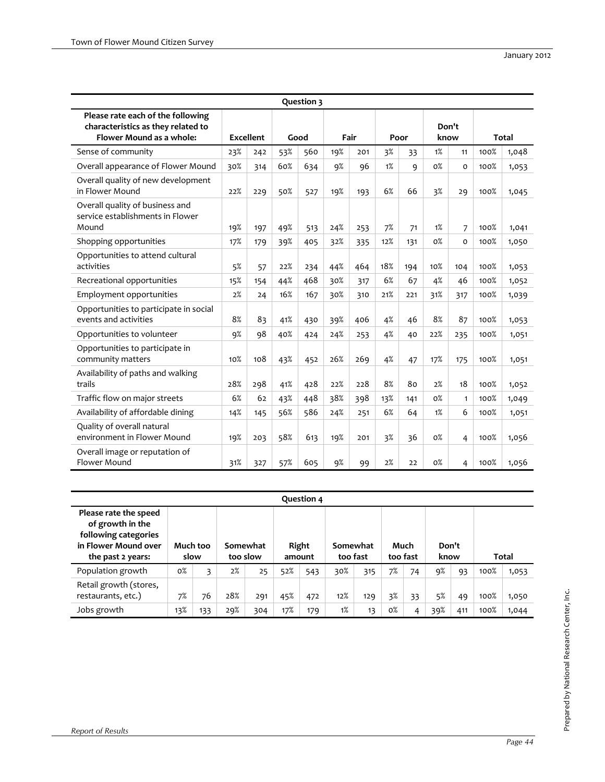|                                                                                                     |     |                  |     | Question 3 |     |      |     |      |       |               |              |       |
|-----------------------------------------------------------------------------------------------------|-----|------------------|-----|------------|-----|------|-----|------|-------|---------------|--------------|-------|
| Please rate each of the following<br>characteristics as they related to<br>Flower Mound as a whole: |     | <b>Excellent</b> |     | Good       |     | Fair |     | Poor |       | Don't<br>know | <b>Total</b> |       |
| Sense of community                                                                                  | 23% | 242              | 53% | 560        | 19% | 201  | 3%  | 33   | 1%    | 11            | 100%         | 1,048 |
| Overall appearance of Flower Mound                                                                  | 30% | 314              | 60% | 634        | 9%  | 96   | 1%  | 9    | $0\%$ | $\Omega$      | 100%         | 1,053 |
| Overall quality of new development<br>in Flower Mound                                               | 22% | 229              | 50% | 527        | 19% | 193  | 6%  | 66   | 3%    | 29            | 100%         | 1,045 |
| Overall quality of business and<br>service establishments in Flower<br>Mound                        | 19% | 197              | 49% | 513        | 24% | 253  | 7%  | 71   | 1%    | 7             | 100%         | 1,041 |
| Shopping opportunities                                                                              | 17% | 179              | 39% | 405        | 32% | 335  | 12% | 131  | $0\%$ | $\Omega$      | 100%         | 1,050 |
| Opportunities to attend cultural<br>activities                                                      | 5%  | 57               | 22% | 234        | 44% | 464  | 18% | 194  | 10%   | 104           | 100%         | 1,053 |
| Recreational opportunities                                                                          | 15% | 154              | 44% | 468        | 30% | 317  | 6%  | 67   | 4%    | 46            | 100%         | 1,052 |
| Employment opportunities                                                                            | 2%  | 24               | 16% | 167        | 30% | 310  | 21% | 221  | 31%   | 317           | 100%         | 1,039 |
| Opportunities to participate in social<br>events and activities                                     | 8%  | 83               | 41% | 430        | 39% | 406  | 4%  | 46   | 8%    | 87            | 100%         | 1,053 |
| Opportunities to volunteer                                                                          | 9%  | 98               | 40% | 424        | 24% | 253  | 4%  | 40   | 22%   | 235           | 100%         | 1,051 |
| Opportunities to participate in<br>community matters                                                | 10% | 108              | 43% | 452        | 26% | 269  | 4%  | 47   | 17%   | 175           | 100%         | 1,051 |
| Availability of paths and walking<br>trails                                                         | 28% | 298              | 41% | 428        | 22% | 228  | 8%  | 80   | 2%    | 18            | 100%         | 1,052 |
| Traffic flow on major streets                                                                       | 6%  | 62               | 43% | 448        | 38% | 398  | 13% | 141  | $0\%$ | $\mathbf{1}$  | 100%         | 1,049 |
| Availability of affordable dining                                                                   | 14% | 145              | 56% | 586        | 24% | 251  | 6%  | 64   | 1%    | 6             | 100%         | 1,051 |
| Quality of overall natural<br>environment in Flower Mound                                           | 19% | 203              | 58% | 613        | 19% | 201  | 3%  | 36   | $0\%$ | 4             | 100%         | 1,056 |
| Overall image or reputation of<br>Flower Mound                                                      | 31% | 327              | 57% | 605        | 9%  | 99   | 2%  | 22   | $0\%$ | 4             | 100%         | 1,056 |

|                                                                                                                |          |      |     |                      |     | Question 4      |                      |     |       |                  |               |     |      |       |
|----------------------------------------------------------------------------------------------------------------|----------|------|-----|----------------------|-----|-----------------|----------------------|-----|-------|------------------|---------------|-----|------|-------|
| Please rate the speed<br>of growth in the<br>following categories<br>in Flower Mound over<br>the past 2 years: | Much too | slow |     | Somewhat<br>too slow |     | Right<br>amount | Somewhat<br>too fast |     |       | Much<br>too fast | Don't<br>know |     |      | Total |
| Population growth                                                                                              | $0\%$    | 3    | 2%  | 25                   | 52% | 543             | 30%                  | 315 | 7%    | 74               | 9%            | 93  | 100% | 1,053 |
| Retail growth (stores,<br>restaurants, etc.)                                                                   | 7%       | 76   | 28% | 291                  | 45% | 472             | 12%                  | 129 | 3%    | 33               | 5%            | 49  | 100% | 1,050 |
| Jobs growth                                                                                                    | 13%      | 133  | 29% | 304                  | 17% | 179             | 1%                   | 13  | $0\%$ | 4                | 39%           | 411 | 100% | 1,044 |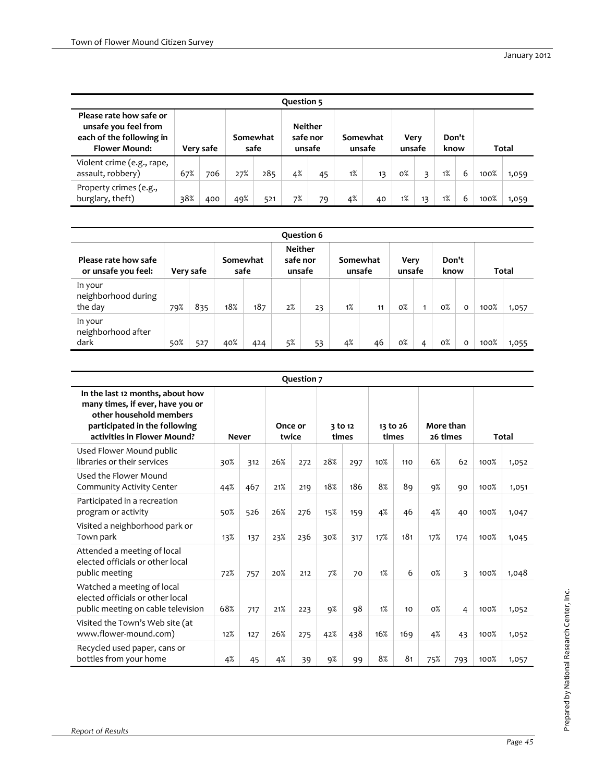| Question 5                                                                                          |           |     |                  |     |                                      |    |                    |    |                |    |               |   |              |       |
|-----------------------------------------------------------------------------------------------------|-----------|-----|------------------|-----|--------------------------------------|----|--------------------|----|----------------|----|---------------|---|--------------|-------|
| Please rate how safe or<br>unsafe you feel from<br>each of the following in<br><b>Flower Mound:</b> | Very safe |     | Somewhat<br>safe |     | <b>Neither</b><br>safe nor<br>unsafe |    | Somewhat<br>unsafe |    | Verv<br>unsafe |    | Don't<br>know |   | <b>Total</b> |       |
| Violent crime (e.g., rape,<br>assault, robbery)                                                     | 67%       | 706 | 27%              | 285 | 4%                                   | 45 | 1%                 | 13 | $0\%$          | ₹  | 1%            | 6 | 100%         | 1,059 |
| Property crimes (e.g.,<br>burglary, theft)                                                          | 38%       | 400 | 49%              | 521 | 7%                                   | 79 | 4%                 | 40 | 1%             | 13 | 1%            | 6 | 100%         | 1,059 |

| Question 6                                  |     |           |                  |     |    |                                      |    |                    |                |   |               |   |              |       |
|---------------------------------------------|-----|-----------|------------------|-----|----|--------------------------------------|----|--------------------|----------------|---|---------------|---|--------------|-------|
| Please rate how safe<br>or unsafe you feel: |     | Very safe | Somewhat<br>safe |     |    | <b>Neither</b><br>safe nor<br>unsafe |    | Somewhat<br>unsafe | Very<br>unsafe |   | Don't<br>know |   | <b>Total</b> |       |
| In your<br>neighborhood during<br>the day   | 79% | 835       | 18%              | 187 | 2% | 23                                   | 1% | 11                 | $0\%$          |   | $0\%$         | 0 | 100%         | 1,057 |
| In your<br>neighborhood after<br>dark       | 50% | 527       | 40%              | 424 | 5% | 53                                   | 4% | 46                 | $0\%$          | 4 | $0\%$         | 0 | 100%         | 1,055 |

|                                                                                                                                                                 |     |              |     | Question 7       |     |                  |     |                   |       |                         |       |       |
|-----------------------------------------------------------------------------------------------------------------------------------------------------------------|-----|--------------|-----|------------------|-----|------------------|-----|-------------------|-------|-------------------------|-------|-------|
| In the last 12 months, about how<br>many times, if ever, have you or<br>other household members<br>participated in the following<br>activities in Flower Mound? |     | <b>Never</b> |     | Once or<br>twice |     | 3 to 12<br>times |     | 13 to 26<br>times |       | More than<br>26 times   | Total |       |
| Used Flower Mound public<br>libraries or their services                                                                                                         | 30% | 312          | 26% | 272              | 28% | 297              | 10% | 110               | 6%    | 62                      | 100%  | 1,052 |
| Used the Flower Mound<br>Community Activity Center                                                                                                              | 44% | 467          | 21% | 219              | 18% | 186              | 8%  | 89                | 9%    | 90                      | 100%  | 1,051 |
| Participated in a recreation<br>program or activity                                                                                                             | 50% | 526          | 26% | 276              | 15% | 159              | 4%  | 46                | 4%    | 40                      | 100%  | 1,047 |
| Visited a neighborhood park or<br>Town park                                                                                                                     | 13% | 137          | 23% | 236              | 30% | 317              | 17% | 181               | 17%   | 174                     | 100%  | 1,045 |
| Attended a meeting of local<br>elected officials or other local<br>public meeting                                                                               | 72% | 757          | 20% | 212              | 7%  | 70               | 1%  | 6                 | $0\%$ | $\overline{\mathbf{3}}$ | 100%  | 1,048 |
| Watched a meeting of local<br>elected officials or other local<br>public meeting on cable television                                                            | 68% | 717          | 21% | 223              | 9%  | 98               | 1%  | 10                | $0\%$ | 4                       | 100%  | 1,052 |
| Visited the Town's Web site (at<br>www.flower-mound.com)                                                                                                        | 12% | 127          | 26% | 275              | 42% | 438              | 16% | 169               | 4%    | 43                      | 100%  | 1,052 |
| Recycled used paper, cans or<br>bottles from your home                                                                                                          | 4%  | 45           | 4%  | 39               | 9%  | 99               | 8%  | 81                | 75%   | 793                     | 100%  | 1,057 |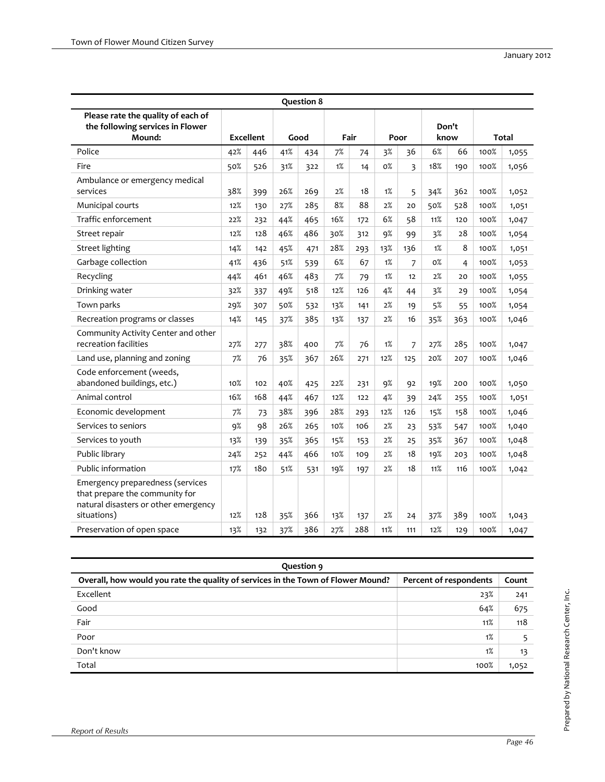|                                                                                                                           |     |                  |     | <b>Question 8</b> |     |      |     |      |       |               |      |              |
|---------------------------------------------------------------------------------------------------------------------------|-----|------------------|-----|-------------------|-----|------|-----|------|-------|---------------|------|--------------|
| Please rate the quality of each of<br>the following services in Flower<br>Mound:                                          |     | <b>Excellent</b> |     | Good              |     | Fair |     | Poor |       | Don't<br>know |      | <b>Total</b> |
| Police                                                                                                                    | 42% | 446              | 41% | 434               | 7%  | 74   | 3%  | 36   | 6%    | 66            | 100% | 1,055        |
| Fire                                                                                                                      | 50% | 526              | 31% | 322               | 1%  | 14   | 0%  | 3    | 18%   | 190           | 100% | 1,056        |
| Ambulance or emergency medical<br>services                                                                                | 38% | 399              | 26% | 269               | 2%  | 18   | 1%  | 5    | 34%   | 362           | 100% | 1,052        |
| Municipal courts                                                                                                          | 12% | 130              | 27% | 285               | 8%  | 88   | 2%  | 20   | 50%   | 528           | 100% | 1,051        |
| Traffic enforcement                                                                                                       | 22% | 232              | 44% | 465               | 16% | 172  | 6%  | 58   | 11%   | 120           | 100% | 1,047        |
| Street repair                                                                                                             | 12% | 128              | 46% | 486               | 30% | 312  | 9%  | 99   | 3%    | 28            | 100% | 1,054        |
| <b>Street lighting</b>                                                                                                    | 14% | 142              | 45% | 471               | 28% | 293  | 13% | 136  | 1%    | 8             | 100% | 1,051        |
| Garbage collection                                                                                                        | 41% | 436              | 51% | 539               | 6%  | 67   | 1%  | 7    | $0\%$ | 4             | 100% | 1,053        |
| Recycling                                                                                                                 | 44% | 461              | 46% | 483               | 7%  | 79   | 1%  | 12   | 2%    | 20            | 100% | 1,055        |
| Drinking water                                                                                                            | 32% | 337              | 49% | 518               | 12% | 126  | 4%  | 44   | 3%    | 29            | 100% | 1,054        |
| Town parks                                                                                                                | 29% | 307              | 50% | 532               | 13% | 141  | 2%  | 19   | 5%    | 55            | 100% | 1,054        |
| Recreation programs or classes                                                                                            | 14% | 145              | 37% | 385               | 13% | 137  | 2%  | 16   | 35%   | 363           | 100% | 1,046        |
| Community Activity Center and other<br>recreation facilities                                                              | 27% | 277              | 38% | 400               | 7%  | 76   | 1%  | 7    | 27%   | 285           | 100% | 1,047        |
| Land use, planning and zoning                                                                                             | 7%  | 76               | 35% | 367               | 26% | 271  | 12% | 125  | 20%   | 207           | 100% | 1,046        |
| Code enforcement (weeds,<br>abandoned buildings, etc.)                                                                    | 10% | 102              | 40% | 425               | 22% | 231  | 9%  | 92   | 19%   | 200           | 100% | 1,050        |
| Animal control                                                                                                            | 16% | 168              | 44% | 467               | 12% | 122  | 4%  | 39   | 24%   | 255           | 100% | 1,051        |
| Economic development                                                                                                      | 7%  | 73               | 38% | 396               | 28% | 293  | 12% | 126  | 15%   | 158           | 100% | 1,046        |
| Services to seniors                                                                                                       | 9%  | 98               | 26% | 265               | 10% | 106  | 2%  | 23   | 53%   | 547           | 100% | 1,040        |
| Services to youth                                                                                                         | 13% | 139              | 35% | 365               | 15% | 153  | 2%  | 25   | 35%   | 367           | 100% | 1,048        |
| Public library                                                                                                            | 24% | 252              | 44% | 466               | 10% | 109  | 2%  | 18   | 19%   | 203           | 100% | 1,048        |
| Public information                                                                                                        | 17% | 180              | 51% | 531               | 19% | 197  | 2%  | 18   | 11%   | 116           | 100% | 1,042        |
| Emergency preparedness (services<br>that prepare the community for<br>natural disasters or other emergency<br>situations) | 12% | 128              | 35% | 366               | 13% | 137  | 2%  | 24   | 37%   | 389           | 100% | 1,043        |
| Preservation of open space                                                                                                | 13% | 132              | 37% | 386               | 27% | 288  | 11% | 111  | 12%   | 129           | 100% | 1,047        |

| Question 9                                                                       |                        |       |
|----------------------------------------------------------------------------------|------------------------|-------|
| Overall, how would you rate the quality of services in the Town of Flower Mound? | Percent of respondents | Count |
| Excellent                                                                        | 23%                    | 241   |
| Good                                                                             | 64%                    | 675   |
| Fair                                                                             | 11%                    | 118   |
| Poor                                                                             | 1%                     |       |
| Don't know                                                                       | 1%                     | 13    |
| Total                                                                            | 100%                   | 1,052 |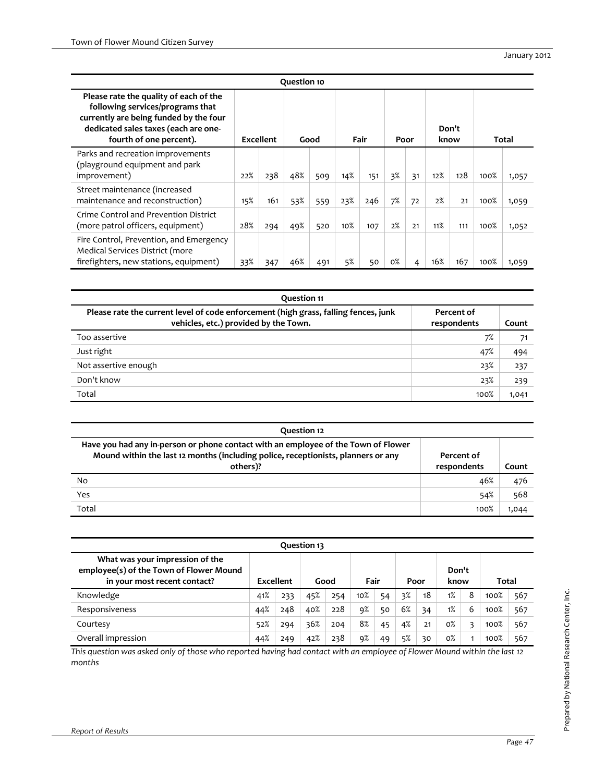|                                                                                                                                                                                         |     |           | Question 10 |      |        |      |       |      |     |               |      |       |
|-----------------------------------------------------------------------------------------------------------------------------------------------------------------------------------------|-----|-----------|-------------|------|--------|------|-------|------|-----|---------------|------|-------|
| Please rate the quality of each of the<br>following services/programs that<br>currently are being funded by the four<br>dedicated sales taxes (each are one-<br>fourth of one percent). |     | Excellent |             | Good |        | Fair |       | Poor |     | Don't<br>know |      | Total |
| Parks and recreation improvements<br>(playground equipment and park<br>improvement)                                                                                                     | 22% | 238       | 48%         | 509  | 14%    | 151  | 3%    | 31   | 12% | 128           | 100% | 1,057 |
| Street maintenance (increased<br>maintenance and reconstruction)                                                                                                                        | 15% | 161       | 53%         | 559  | 23%    | 246  | 7%    | 72   | 2%  | 21            | 100% | 1,059 |
| Crime Control and Prevention District<br>(more patrol officers, equipment)                                                                                                              | 28% | 294       | 49%         | 520  | $10\%$ | 107  | 2%    | 21   | 11% | 111           | 100% | 1,052 |
| Fire Control, Prevention, and Emergency<br>Medical Services District (more<br>firefighters, new stations, equipment)                                                                    | 33% | 347       | 46%         | 491  | 5%     | 50   | $0\%$ | 4    | 16% | 167           | 100% | 1,059 |

| <b>Question 11</b>                                                                                                           |                           |       |
|------------------------------------------------------------------------------------------------------------------------------|---------------------------|-------|
| Please rate the current level of code enforcement (high grass, falling fences, junk<br>vehicles, etc.) provided by the Town. | Percent of<br>respondents | Count |
| Too assertive                                                                                                                | 7%                        | 71    |
| Just right                                                                                                                   | 47%                       | 494   |
| Not assertive enough                                                                                                         | 23%                       | 237   |
| Don't know                                                                                                                   | 23%                       | 239   |
| Total                                                                                                                        | 100%                      | 1,041 |

| Ouestion 12                                                                                                                                                                         |                           |       |
|-------------------------------------------------------------------------------------------------------------------------------------------------------------------------------------|---------------------------|-------|
| Have you had any in-person or phone contact with an employee of the Town of Flower<br>Mound within the last 12 months (including police, receptionists, planners or any<br>others)? | Percent of<br>respondents | Count |
| No                                                                                                                                                                                  | 46%                       | 476   |
| Yes                                                                                                                                                                                 | 54%                       | 568   |
| Total                                                                                                                                                                               | 100%                      | 1,044 |

|                                                                                                            |           |     | Question 13 |     |      |    |      |    |               |   |       |     |
|------------------------------------------------------------------------------------------------------------|-----------|-----|-------------|-----|------|----|------|----|---------------|---|-------|-----|
| What was your impression of the<br>employee(s) of the Town of Flower Mound<br>in your most recent contact? | Excellent |     | Good        |     | Fair |    | Poor |    | Don't<br>know |   | Total |     |
| Knowledge                                                                                                  | 41%       | 233 | 45%         | 254 | 10%  | 54 | 3%   | 18 | 1%            | 8 | 100%  | 567 |
| Responsiveness                                                                                             | 44%       | 248 | 40%         | 228 | q%   | 50 | 6%   | 34 | 1%            | 6 | 100%  | 567 |
| Courtesy                                                                                                   | 52%       | 294 | 36%         | 204 | 8%   | 45 | 4%   | 21 | $0\%$         | 3 | 100%  | 567 |
| Overall impression                                                                                         | 44%       | 249 | 42%         | 238 | 9%   | 49 | 5%   | 30 | $0\%$         |   | 100%  | 567 |

This question was asked only of those who reported having had contact with an employee of Flower Mound within the last 12 *months*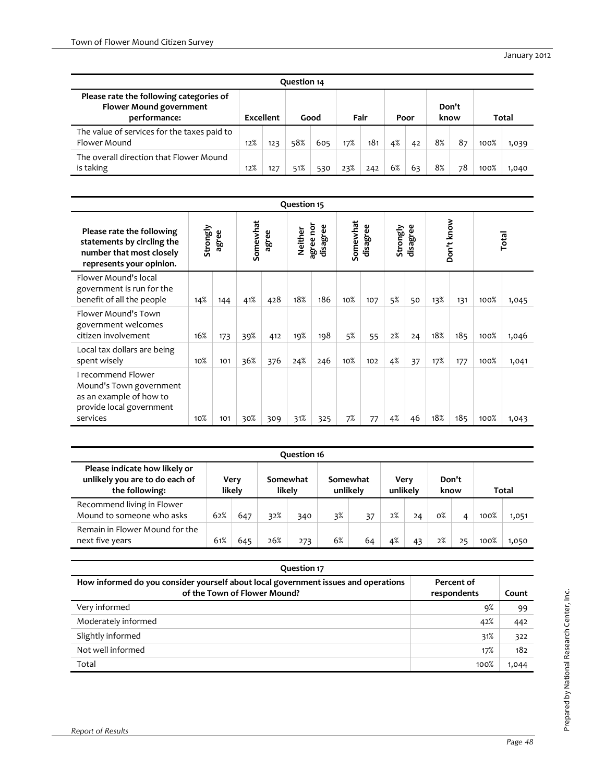| Question 14                                                                               |                  |     |      |     |      |     |      |    |               |    |      |       |
|-------------------------------------------------------------------------------------------|------------------|-----|------|-----|------|-----|------|----|---------------|----|------|-------|
| Please rate the following categories of<br><b>Flower Mound government</b><br>performance: | <b>Excellent</b> |     | Good |     | Fair |     | Poor |    | Don't<br>know |    |      | Total |
| The value of services for the taxes paid to<br>Flower Mound                               | 12%              | 123 | 58%  | 605 | 17%  | 181 | 4%   | 42 | 8%            | 87 | 100% | 1,039 |
| The overall direction that Flower Mound<br>is taking                                      | 12%              | 127 | 51%  | 530 | 23%  | 242 | 6%   | 63 | 8%            | 78 | 100% | 1.040 |

|                                                                                                                  |          |       |                   |     | Question 15 |     |     |     |    |    |         |                       |          |          |          |          |  |            |  |       |
|------------------------------------------------------------------------------------------------------------------|----------|-------|-------------------|-----|-------------|-----|-----|-----|----|----|---------|-----------------------|----------|----------|----------|----------|--|------------|--|-------|
| Please rate the following<br>statements by circling the<br>number that most closely<br>represents your opinion.  | Strongly | agree | Somewhat<br>agree |     |             |     |     |     |    |    | Neither | agree nor<br>disagree | Somewhat | disagree | Strongly | disagree |  | Don't know |  | Total |
| Flower Mound's local<br>government is run for the<br>benefit of all the people                                   | 14%      | 144   | 41%               | 428 | 18%         | 186 | 10% | 107 | 5% | 50 | 13%     | 131                   | 100%     | 1,045    |          |          |  |            |  |       |
| Flower Mound's Town<br>government welcomes<br>citizen involvement                                                | 16%      | 173   | 39%               | 412 | 19%         | 198 | 5%  | 55  | 2% | 24 | 18%     | 185                   | 100%     | 1,046    |          |          |  |            |  |       |
| Local tax dollars are being<br>spent wisely                                                                      | 10%      | 101   | 36%               | 376 | 24%         | 246 | 10% | 102 | 4% | 37 | 17%     | 177                   | 100%     | 1,041    |          |          |  |            |  |       |
| I recommend Flower<br>Mound's Town government<br>as an example of how to<br>provide local government<br>services | 10%      | 101   | 30%               | 309 | 31%         | 325 | 7%  | 77  | 4% | 46 | 18%     | 185                   | 100%     | 1,043    |          |          |  |            |  |       |

|                                                                                   |     |                |     | Ouestion 16        |                      |    |    |                  |       |       |      |       |
|-----------------------------------------------------------------------------------|-----|----------------|-----|--------------------|----------------------|----|----|------------------|-------|-------|------|-------|
| Please indicate how likely or<br>unlikely you are to do each of<br>the following: |     | Very<br>likely |     | Somewhat<br>likely | Somewhat<br>unlikely |    |    | Verv<br>unlikely | know  | Don't |      | Total |
| Recommend living in Flower<br>Mound to someone who asks                           | 62% | 647            | 32% | 340                | 3%                   | 37 | 2% | 24               | $0\%$ | 4     | 100% | 1,051 |
| Remain in Flower Mound for the<br>next five years                                 | 61% | 645            | 26% | 273                | 6%                   | 64 | 4% | 43               | 2%    | 25    | 100% | 1,050 |

| Question 17                                                                                                        |                           |       |
|--------------------------------------------------------------------------------------------------------------------|---------------------------|-------|
| How informed do you consider yourself about local government issues and operations<br>of the Town of Flower Mound? | Percent of<br>respondents | Count |
| Very informed                                                                                                      | 9%                        | 99    |
| Moderately informed                                                                                                | 42%                       | 442   |
| Slightly informed                                                                                                  | 31%                       | 322   |
| Not well informed                                                                                                  | 17%                       | 182   |
| Total                                                                                                              | 100%                      | 1,044 |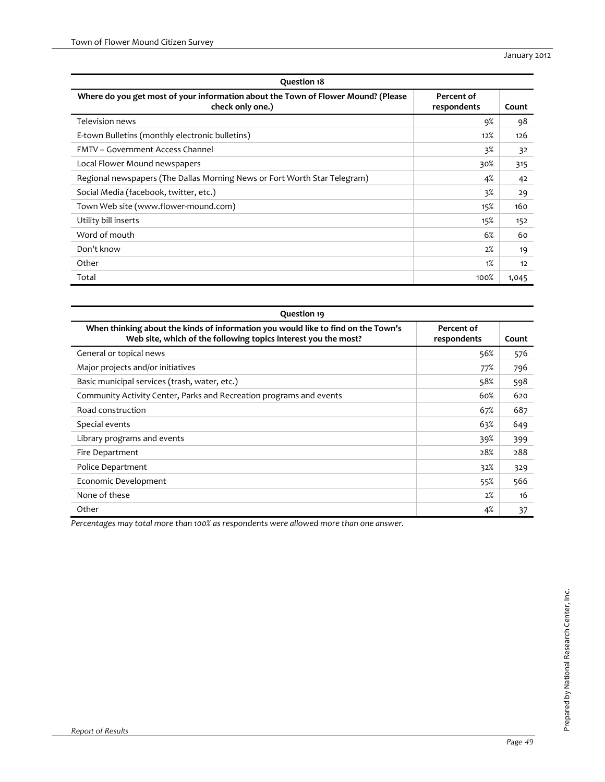| <b>Question 18</b>                                                                                    |                           |       |
|-------------------------------------------------------------------------------------------------------|---------------------------|-------|
| Where do you get most of your information about the Town of Flower Mound? (Please<br>check only one.) | Percent of<br>respondents | Count |
| Television news                                                                                       | 9%                        | 98    |
| E-town Bulletins (monthly electronic bulletins)                                                       | 12%                       | 126   |
| FMTV – Government Access Channel                                                                      | 3%                        | 32    |
| Local Flower Mound newspapers                                                                         | 30%                       | 315   |
| Regional newspapers (The Dallas Morning News or Fort Worth Star Telegram)                             | 4%                        | 42    |
| Social Media (facebook, twitter, etc.)                                                                | $3\%$                     | 29    |
| Town Web site (www.flower-mound.com)                                                                  | 15%                       | 160   |
| Utility bill inserts                                                                                  | 15%                       | 152   |
| Word of mouth                                                                                         | 6%                        | 60    |
| Don't know                                                                                            | 2%                        | 19    |
| Other                                                                                                 | 1%                        | 12    |
| Total                                                                                                 | 100%                      | 1,045 |

| Question 19                                                                                                                                         |                           |       |
|-----------------------------------------------------------------------------------------------------------------------------------------------------|---------------------------|-------|
| When thinking about the kinds of information you would like to find on the Town's<br>Web site, which of the following topics interest you the most? | Percent of<br>respondents | Count |
| General or topical news                                                                                                                             | 56%                       | 576   |
| Major projects and/or initiatives                                                                                                                   | 77%                       | 796   |
| Basic municipal services (trash, water, etc.)                                                                                                       | 58%                       | 598   |
| Community Activity Center, Parks and Recreation programs and events                                                                                 | 60%                       | 620   |
| Road construction                                                                                                                                   | 67%                       | 687   |
| Special events                                                                                                                                      | 63%                       | 649   |
| Library programs and events                                                                                                                         | 39%                       | 399   |
| Fire Department                                                                                                                                     | 28%                       | 288   |
| Police Department                                                                                                                                   | 32%                       | 329   |
| Economic Development                                                                                                                                | 55%                       | 566   |
| None of these                                                                                                                                       | 2%                        | 16    |
| Other                                                                                                                                               | 4%                        | 37    |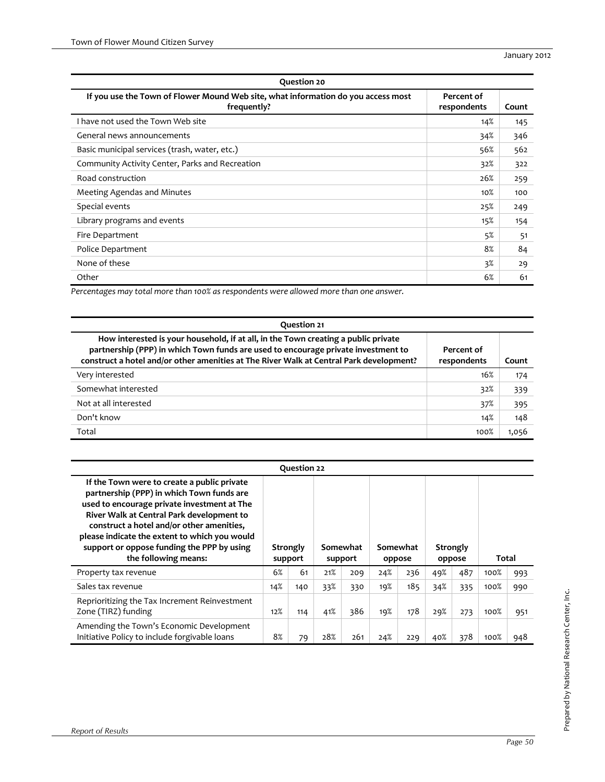| <b>Question 20</b>                                                                               |                           |       |  |  |  |  |  |  |
|--------------------------------------------------------------------------------------------------|---------------------------|-------|--|--|--|--|--|--|
| If you use the Town of Flower Mound Web site, what information do you access most<br>frequently? | Percent of<br>respondents | Count |  |  |  |  |  |  |
| I have not used the Town Web site                                                                | 14%                       | 145   |  |  |  |  |  |  |
| General news announcements                                                                       | 34%                       | 346   |  |  |  |  |  |  |
| Basic municipal services (trash, water, etc.)                                                    | 56%                       | 562   |  |  |  |  |  |  |
| Community Activity Center, Parks and Recreation                                                  | 32%                       | 322   |  |  |  |  |  |  |
| Road construction                                                                                | 26%                       | 259   |  |  |  |  |  |  |
| Meeting Agendas and Minutes                                                                      | 10%                       | 100   |  |  |  |  |  |  |
| Special events                                                                                   | 25%                       | 249   |  |  |  |  |  |  |
| Library programs and events                                                                      | 15%                       | 154   |  |  |  |  |  |  |
| Fire Department                                                                                  | 5%                        | 51    |  |  |  |  |  |  |
| Police Department                                                                                | 8%                        | 84    |  |  |  |  |  |  |
| None of these                                                                                    | 3%                        | 29    |  |  |  |  |  |  |
| Other                                                                                            | 6%                        | 61    |  |  |  |  |  |  |

| Question 21                                                                                                                                                                                                                                                        |                           |       |  |  |  |  |  |  |  |
|--------------------------------------------------------------------------------------------------------------------------------------------------------------------------------------------------------------------------------------------------------------------|---------------------------|-------|--|--|--|--|--|--|--|
| How interested is your household, if at all, in the Town creating a public private<br>partnership (PPP) in which Town funds are used to encourage private investment to<br>construct a hotel and/or other amenities at The River Walk at Central Park development? | Percent of<br>respondents | Count |  |  |  |  |  |  |  |
| Very interested                                                                                                                                                                                                                                                    | 16%                       | 174   |  |  |  |  |  |  |  |
| Somewhat interested                                                                                                                                                                                                                                                | 32%                       | 339   |  |  |  |  |  |  |  |
| Not at all interested                                                                                                                                                                                                                                              | 37%                       | 395   |  |  |  |  |  |  |  |
| Don't know                                                                                                                                                                                                                                                         | 14%                       | 148   |  |  |  |  |  |  |  |
| Total                                                                                                                                                                                                                                                              | 100%                      | 1,056 |  |  |  |  |  |  |  |

|                                                                                                                                                                                                                                                                                                                                                          |                     | Question 22 |                     |     |                    |     |                    |     |       |     |
|----------------------------------------------------------------------------------------------------------------------------------------------------------------------------------------------------------------------------------------------------------------------------------------------------------------------------------------------------------|---------------------|-------------|---------------------|-----|--------------------|-----|--------------------|-----|-------|-----|
| If the Town were to create a public private<br>partnership (PPP) in which Town funds are<br>used to encourage private investment at The<br>River Walk at Central Park development to<br>construct a hotel and/or other amenities,<br>please indicate the extent to which you would<br>support or oppose funding the PPP by using<br>the following means: | Strongly<br>support |             | Somewhat<br>support |     | Somewhat<br>oppose |     | Strongly<br>oppose |     | Total |     |
| Property tax revenue                                                                                                                                                                                                                                                                                                                                     | 6%                  | 61          | 21%                 | 209 | 24%                | 236 | 49%                | 487 | 100%  | 993 |
| Sales tax revenue                                                                                                                                                                                                                                                                                                                                        | 14%                 | 140         | 33%                 | 330 | 19%                | 185 | 34%                | 335 | 100%  | 990 |
| Reprioritizing the Tax Increment Reinvestment<br>Zone (TIRZ) funding                                                                                                                                                                                                                                                                                     | 12%                 | 114         | 41%                 | 386 | 19%                | 178 | 29%                | 273 | 100%  | 951 |
|                                                                                                                                                                                                                                                                                                                                                          |                     |             |                     |     |                    |     |                    |     |       |     |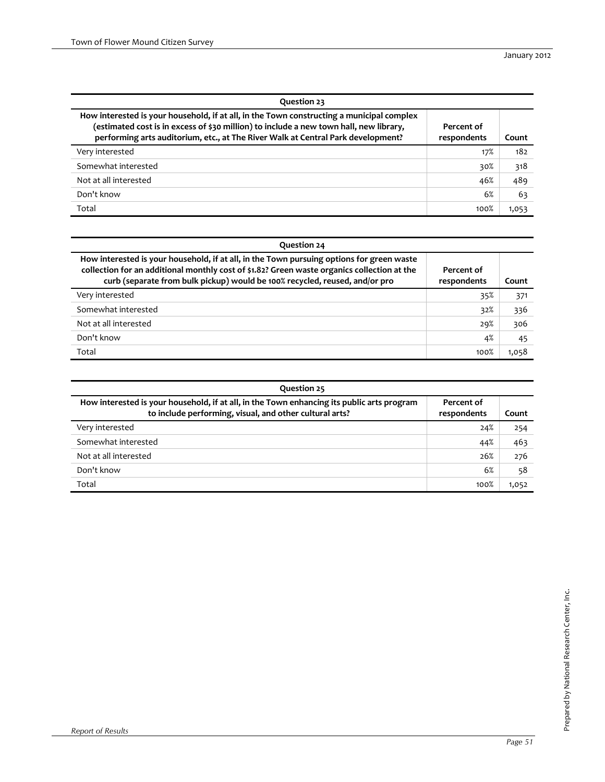| Question 23                                                                                                                                                                                                                                                             |                           |       |  |  |  |  |  |  |
|-------------------------------------------------------------------------------------------------------------------------------------------------------------------------------------------------------------------------------------------------------------------------|---------------------------|-------|--|--|--|--|--|--|
| How interested is your household, if at all, in the Town constructing a municipal complex<br>(estimated cost is in excess of \$30 million) to include a new town hall, new library,<br>performing arts auditorium, etc., at The River Walk at Central Park development? | Percent of<br>respondents | Count |  |  |  |  |  |  |
| Very interested                                                                                                                                                                                                                                                         | 17%                       | 182   |  |  |  |  |  |  |
| Somewhat interested                                                                                                                                                                                                                                                     | 30%                       | 318   |  |  |  |  |  |  |
| Not at all interested                                                                                                                                                                                                                                                   | 46%                       | 489   |  |  |  |  |  |  |
| Don't know                                                                                                                                                                                                                                                              | 6%                        | 63    |  |  |  |  |  |  |
| Total                                                                                                                                                                                                                                                                   | 100%                      | 1,053 |  |  |  |  |  |  |

| Question 24                                                                                                                                                                                                                                                             |                           |       |  |  |  |  |  |  |  |
|-------------------------------------------------------------------------------------------------------------------------------------------------------------------------------------------------------------------------------------------------------------------------|---------------------------|-------|--|--|--|--|--|--|--|
| How interested is your household, if at all, in the Town pursuing options for green waste<br>collection for an additional monthly cost of \$1.82? Green waste organics collection at the<br>curb (separate from bulk pickup) would be 100% recycled, reused, and/or pro | Percent of<br>respondents | Count |  |  |  |  |  |  |  |
| Very interested                                                                                                                                                                                                                                                         | 35%                       | 371   |  |  |  |  |  |  |  |
| Somewhat interested                                                                                                                                                                                                                                                     | 32%                       | 336   |  |  |  |  |  |  |  |
| Not at all interested                                                                                                                                                                                                                                                   | 29%                       | 306   |  |  |  |  |  |  |  |
| Don't know                                                                                                                                                                                                                                                              | 4%                        | 45    |  |  |  |  |  |  |  |
| Total                                                                                                                                                                                                                                                                   | 100%                      | 1,058 |  |  |  |  |  |  |  |

| Question 25                                                                                                                                           |                           |       |  |  |  |  |  |  |
|-------------------------------------------------------------------------------------------------------------------------------------------------------|---------------------------|-------|--|--|--|--|--|--|
| How interested is your household, if at all, in the Town enhancing its public arts program<br>to include performing, visual, and other cultural arts? | Percent of<br>respondents | Count |  |  |  |  |  |  |
| Very interested                                                                                                                                       | 24%                       | 254   |  |  |  |  |  |  |
| Somewhat interested                                                                                                                                   | 44%                       | 463   |  |  |  |  |  |  |
| Not at all interested                                                                                                                                 | 26%                       | 276   |  |  |  |  |  |  |
| Don't know                                                                                                                                            | 6%                        | 58    |  |  |  |  |  |  |
| Total                                                                                                                                                 | 100%                      | 1,052 |  |  |  |  |  |  |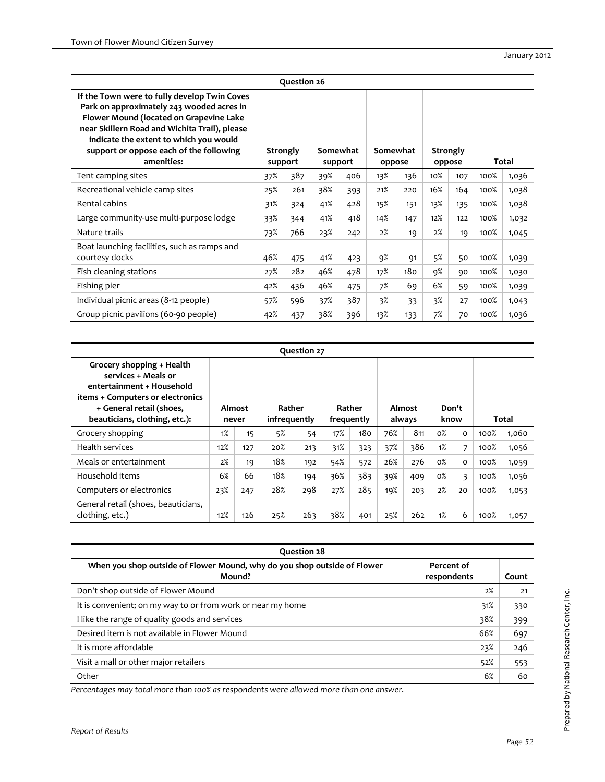| Question 26                                                                                                                                                                                                                                                                              |     |                            |     |                     |        |          |        |                    |      |       |  |  |
|------------------------------------------------------------------------------------------------------------------------------------------------------------------------------------------------------------------------------------------------------------------------------------------|-----|----------------------------|-----|---------------------|--------|----------|--------|--------------------|------|-------|--|--|
| If the Town were to fully develop Twin Coves<br>Park on approximately 243 wooded acres in<br>Flower Mound (located on Grapevine Lake<br>near Skillern Road and Wichita Trail), please<br>indicate the extent to which you would<br>support or oppose each of the following<br>amenities: |     | <b>Strongly</b><br>support |     | Somewhat<br>support | oppose | Somewhat |        | Strongly<br>oppose |      | Total |  |  |
| Tent camping sites                                                                                                                                                                                                                                                                       | 37% | 387                        | 39% | 406                 | 13%    | 136      | $10\%$ | 107                | 100% | 1,036 |  |  |
| Recreational vehicle camp sites                                                                                                                                                                                                                                                          | 25% | 261                        | 38% | 393                 | 21%    | 220      | 16%    | 164                | 100% | 1,038 |  |  |
| Rental cabins                                                                                                                                                                                                                                                                            | 31% | 324                        | 41% | 428                 | 15%    | 151      | 13%    | 135                | 100% | 1,038 |  |  |
| Large community-use multi-purpose lodge                                                                                                                                                                                                                                                  |     | 344                        | 41% | 418                 | 14%    | 147      | 12%    | 122                | 100% | 1,032 |  |  |
| Nature trails                                                                                                                                                                                                                                                                            | 73% | 766                        | 23% | 242                 | 2%     | 19       | 2%     | 19                 | 100% | 1,045 |  |  |
| Boat launching facilities, such as ramps and<br>courtesy docks                                                                                                                                                                                                                           | 46% | 475                        | 41% | 423                 | 9%     | 91       | 5%     | 50                 | 100% | 1,039 |  |  |
| Fish cleaning stations                                                                                                                                                                                                                                                                   | 27% | 282                        | 46% | 478                 | 17%    | 180      | 9%     | 90                 | 100% | 1,030 |  |  |
| Fishing pier                                                                                                                                                                                                                                                                             | 42% | 436                        | 46% | 475                 | 7%     | 69       | 6%     | 59                 | 100% | 1,039 |  |  |
| Individual picnic areas (8-12 people)                                                                                                                                                                                                                                                    | 57% | 596                        | 37% | 387                 | 3%     | 33       | 3%     | 27                 | 100% | 1,043 |  |  |
| Group picnic pavilions (60-90 people)                                                                                                                                                                                                                                                    | 42% | 437                        | 38% | 396                 | 13%    | 133      | 7%     | 70                 | 100% | 1,036 |  |  |

| Question 27                                                                                                                                                                    |                 |     |                        |     |                      |     |                  |     |               |          |       |       |
|--------------------------------------------------------------------------------------------------------------------------------------------------------------------------------|-----------------|-----|------------------------|-----|----------------------|-----|------------------|-----|---------------|----------|-------|-------|
| Grocery shopping + Health<br>services + Meals or<br>entertainment + Household<br>items + Computers or electronics<br>+ General retail (shoes,<br>beauticians, clothing, etc.): | Almost<br>never |     | Rather<br>infrequently |     | Rather<br>frequently |     | Almost<br>always |     | Don't<br>know |          | Total |       |
| Grocery shopping                                                                                                                                                               | 1%              | 15  | 5%                     | 54  | 17%                  | 180 | 76%              | 811 | $0\%$         | $\Omega$ | 100%  | 1,060 |
| <b>Health services</b>                                                                                                                                                         | 12%             | 127 | 20%                    | 213 | 31%                  | 323 | 37%              | 386 | 1%            | 7        | 100%  | 1,056 |
| Meals or entertainment                                                                                                                                                         | 2%              | 19  | 18%                    | 192 | 54%                  | 572 | 26%              | 276 | $0\%$         | $\Omega$ | 100%  | 1,059 |
| Household items                                                                                                                                                                | 6%              | 66  | 18%                    | 194 | 36%                  | 383 | 39%              | 409 | $0\%$         | 3        | 100%  | 1,056 |
| Computers or electronics                                                                                                                                                       | 23%             | 247 | 28%                    | 298 | 27%                  | 285 | 19%              | 203 | 2%            | 20       | 100%  | 1,053 |
| General retail (shoes, beauticians,<br>clothing, etc.)                                                                                                                         | 12%             | 126 | 25%                    | 263 | 38%                  | 401 | 25%              | 262 | 1%            | 6        | 100%  | 1,057 |

| Question 28                                                                                                     |     |     |  |  |  |  |  |  |  |
|-----------------------------------------------------------------------------------------------------------------|-----|-----|--|--|--|--|--|--|--|
| When you shop outside of Flower Mound, why do you shop outside of Flower<br>Percent of<br>Mound?<br>respondents |     |     |  |  |  |  |  |  |  |
| Don't shop outside of Flower Mound                                                                              | 2%  | 21  |  |  |  |  |  |  |  |
| It is convenient; on my way to or from work or near my home                                                     | 31% | 330 |  |  |  |  |  |  |  |
| I like the range of quality goods and services                                                                  | 38% | 399 |  |  |  |  |  |  |  |
| Desired item is not available in Flower Mound                                                                   | 66% | 697 |  |  |  |  |  |  |  |
| It is more affordable                                                                                           | 23% | 246 |  |  |  |  |  |  |  |
| Visit a mall or other major retailers                                                                           | 52% | 553 |  |  |  |  |  |  |  |
| Other                                                                                                           | 6%  | 60  |  |  |  |  |  |  |  |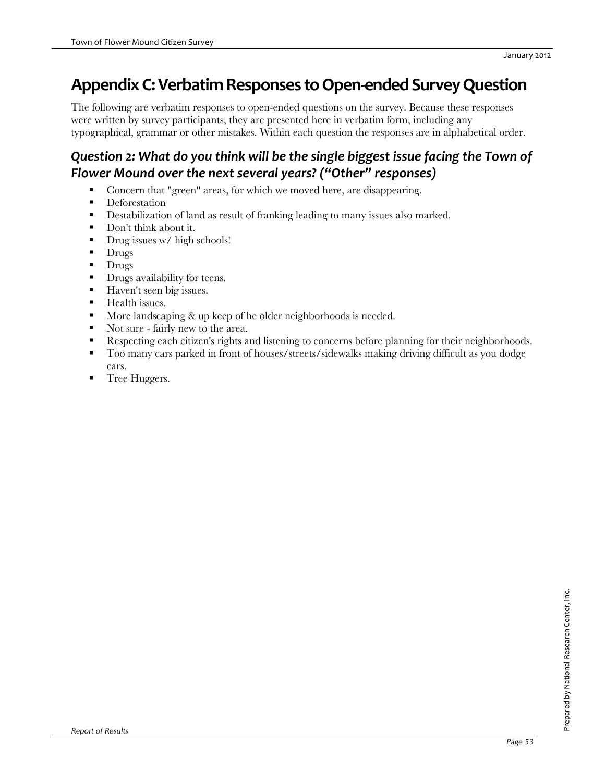# **AppendixC:VerbatimResponses toOpen‐ended SurveyQuestion**

The following are verbatim responses to open-ended questions on the survey. Because these responses were written by survey participants, they are presented here in verbatim form, including any typographical, grammar or other mistakes. Within each question the responses are in alphabetical order.

## *Question 2: What do you think will be the single biggest issue facing the Town of Flower Mound over the next several years? ("Other" responses)*

- Concern that "green" areas, for which we moved here, are disappearing.
- **Deforestation**
- **Destabilization of land as result of franking leading to many issues also marked.**
- Don't think about it.
- $\blacksquare$  Drug issues w/ high schools!
- $\blacksquare$  Drugs
- $\blacksquare$  Drugs
- **Drugs availability for teens.**
- Haven't seen big issues.
- **Health issues.**
- More landscaping & up keep of he older neighborhoods is needed.
- Not sure fairly new to the area.
- Respecting each citizen's rights and listening to concerns before planning for their neighborhoods.
- Too many cars parked in front of houses/streets/sidewalks making driving difficult as you dodge cars.
- **Tree Huggers.**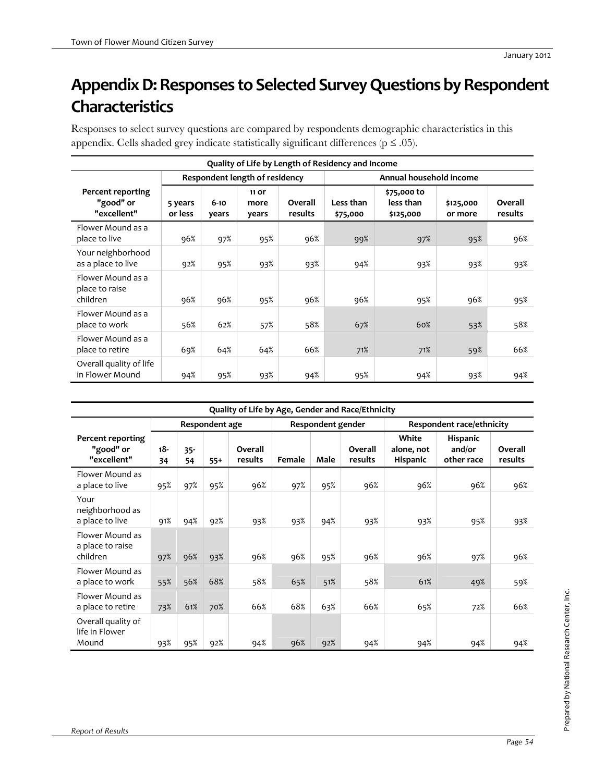# Appendix D: Responses to Selected Survey Questions by Respondent **Characteristics**

Responses to select survey questions are compared by respondents demographic characteristics in this appendix. Cells shaded grey indicate statistically significant differences ( $p \le .05$ ).

| Quality of Life by Length of Residency and Income |                    |                                                           |                        |                    |                       |                                       |                      |                    |  |  |  |
|---------------------------------------------------|--------------------|-----------------------------------------------------------|------------------------|--------------------|-----------------------|---------------------------------------|----------------------|--------------------|--|--|--|
|                                                   |                    | Respondent length of residency<br>Annual household income |                        |                    |                       |                                       |                      |                    |  |  |  |
| Percent reporting<br>"good" or<br>"excellent"     | 5 years<br>or less | $6 - 10$<br>years                                         | 11 or<br>more<br>years | Overall<br>results | Less than<br>\$75,000 | \$75,000 to<br>less than<br>\$125,000 | \$125,000<br>or more | Overall<br>results |  |  |  |
| Flower Mound as a<br>place to live                | 96%                | 97%                                                       | 95%                    | 96%                | 99%                   | 97%                                   | 95%                  | 96%                |  |  |  |
| Your neighborhood<br>as a place to live           | 92%                | 95%                                                       | 93%                    | 93%                | 94%                   | 93%                                   | 93%                  | 93%                |  |  |  |
| Flower Mound as a<br>place to raise<br>children   | 96%                | 96%                                                       | 95%                    | 96%                | 96%                   | 95%                                   | 96%                  | 95%                |  |  |  |
| Flower Mound as a<br>place to work                | 56%                | 62%                                                       | 57%                    | 58%                | 67%                   | 60%                                   | 53%                  | 58%                |  |  |  |
| Flower Mound as a<br>place to retire              | 69%                | 64%                                                       | 64%                    | 66%                | 71%                   | 71%                                   | 59%                  | 66%                |  |  |  |
| Overall quality of life<br>in Flower Mound        | 94%                | 95%                                                       | 93%                    | 94%                | 95%                   | 94%                                   | 93%                  | 94%                |  |  |  |

| Quality of Life by Age, Gender and Race/Ethnicity |                                     |              |       |                    |        |                           |                    |                                        |                                         |                    |  |
|---------------------------------------------------|-------------------------------------|--------------|-------|--------------------|--------|---------------------------|--------------------|----------------------------------------|-----------------------------------------|--------------------|--|
|                                                   | Respondent age<br>Respondent gender |              |       |                    |        | Respondent race/ethnicity |                    |                                        |                                         |                    |  |
| Percent reporting<br>"good" or<br>"excellent"     | $18 -$<br>34                        | $35 -$<br>54 | $55+$ | Overall<br>results | Female | Male                      | Overall<br>results | White<br>alone, not<br><b>Hispanic</b> | <b>Hispanic</b><br>and/or<br>other race | Overall<br>results |  |
| Flower Mound as<br>a place to live                | 95%                                 | 97%          | 95%   | 96%                | 97%    | 95%                       | 96%                | 96%                                    | 96%                                     | 96%                |  |
| Your<br>neighborhood as<br>a place to live        | 91%                                 | 94%          | 92%   | 93%                | 93%    | 94%                       | 93%                | 93%                                    | 95%                                     | 93%                |  |
| Flower Mound as<br>a place to raise<br>children   | 97%                                 | 96%          | 93%   | 96%                | 96%    | 95%                       | 96%                | 96%                                    | 97%                                     | 96%                |  |
| Flower Mound as<br>a place to work                | 55%                                 | 56%          | 68%   | 58%                | 65%    | 51%                       | 58%                | 61%                                    | 49%                                     | 59%                |  |
| Flower Mound as<br>a place to retire              | 73%                                 | 61%          | 70%   | 66%                | 68%    | 63%                       | 66%                | 65%                                    | 72%                                     | 66%                |  |
| Overall quality of<br>life in Flower<br>Mound     | 93%                                 | 95%          | 92%   | 94%                | 96%    | 92%                       | 94%                | 94%                                    | 94%                                     | 94%                |  |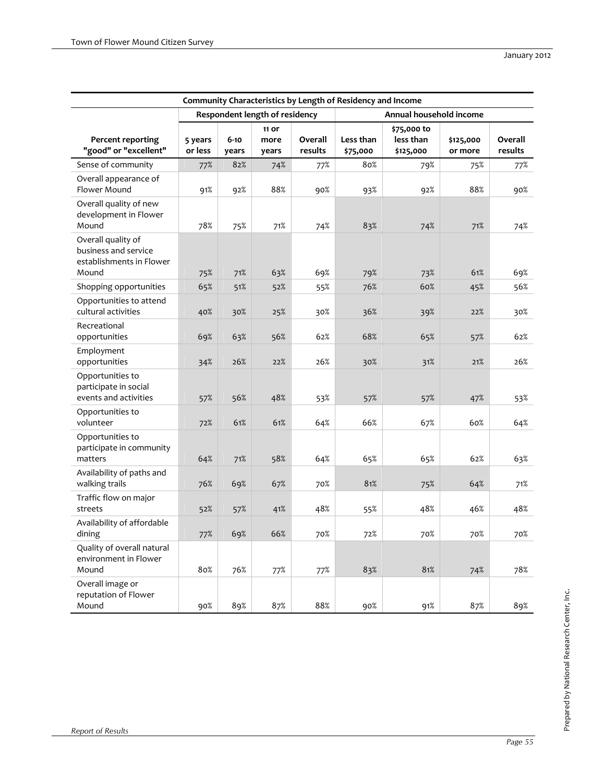| Community Characteristics by Length of Residency and Income                     |                    |                   |                                |                    |                       |                                       |                      |                    |  |  |  |
|---------------------------------------------------------------------------------|--------------------|-------------------|--------------------------------|--------------------|-----------------------|---------------------------------------|----------------------|--------------------|--|--|--|
|                                                                                 |                    |                   | Respondent length of residency |                    |                       | Annual household income               |                      |                    |  |  |  |
| <b>Percent reporting</b><br>"good" or "excellent"                               | 5 years<br>or less | $6 - 10$<br>years | 11 or<br>more<br>years         | Overall<br>results | Less than<br>\$75,000 | \$75,000 to<br>less than<br>\$125,000 | \$125,000<br>or more | Overall<br>results |  |  |  |
| Sense of community                                                              | 77%                | 82%               | 74%                            | 77%                | 80%                   | 79%                                   | 75%                  | 77%                |  |  |  |
| Overall appearance of<br>Flower Mound                                           | 91%                | 92%               | 88%                            | 90%                | 93%                   | 92%                                   | 88%                  | 90%                |  |  |  |
| Overall quality of new<br>development in Flower<br>Mound                        | 78%                | 75%               | 71%                            | 74%                | 83%                   | 74%                                   | 71%                  | 74%                |  |  |  |
| Overall quality of<br>business and service<br>establishments in Flower<br>Mound | 75%                | 71%               | 63%                            | 69%                | 79%                   | 73%                                   | 61%                  | 69%                |  |  |  |
| Shopping opportunities                                                          | 65%                | 51%               | 52%                            | 55%                | 76%                   | 60%                                   | 45%                  | 56%                |  |  |  |
| Opportunities to attend<br>cultural activities                                  | 40%                | 30%               | 25%                            | 30%                | 36%                   | 39%                                   | 22%                  | 30%                |  |  |  |
| Recreational<br>opportunities                                                   | 69%                | 63%               | 56%                            | 62%                | 68%                   | 65%                                   | 57%                  | 62%                |  |  |  |
| Employment<br>opportunities                                                     | 34%                | 26%               | 22%                            | 26%                | 30%                   | 31%                                   | 21%                  | 26%                |  |  |  |
| Opportunities to<br>participate in social<br>events and activities              | 57%                | 56%               | 48%                            | 53%                | 57%                   | 57%                                   | 47%                  | 53%                |  |  |  |
| Opportunities to<br>volunteer                                                   | 72%                | 61%               | 61%                            | 64%                | 66%                   | 67%                                   | 60%                  | 64%                |  |  |  |
| Opportunities to<br>participate in community<br>matters                         | 64%                | 71%               | 58%                            | 64%                | 65%                   | 65%                                   | 62%                  | 63%                |  |  |  |
| Availability of paths and<br>walking trails                                     | 76%                | 69%               | 67%                            | 70%                | 81%                   | 75%                                   | 64%                  | 71%                |  |  |  |
| Traffic flow on major<br>streets                                                | 52%                | 57%               | 41%                            | 48%                | 55%                   | 48%                                   | 46%                  | 48%                |  |  |  |
| Availability of affordable<br>dining                                            | 77%                | 69%               | 66%                            | 70%                | 72%                   | 70%                                   | 70%                  | 70%                |  |  |  |
| Quality of overall natural<br>environment in Flower<br>Mound                    | 80%                | 76%               | 77%                            | 77%                | 83%                   | 81%                                   | 74%                  | 78%                |  |  |  |
| Overall image or<br>reputation of Flower<br>Mound                               | 90%                | 89%               | 87%                            | 88%                | 90%                   | 91%                                   | 87%                  | 89%                |  |  |  |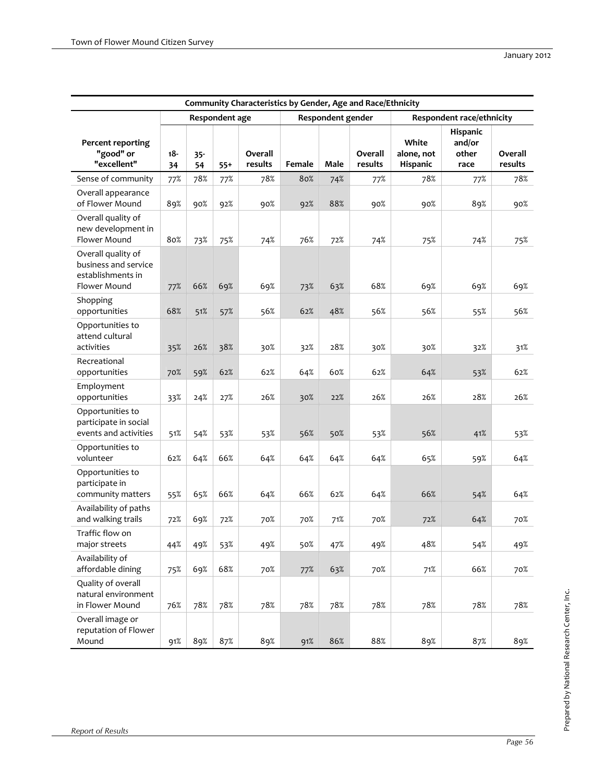|                                                                                 | Community Characteristics by Gender, Age and Race/Ethnicity |              |                |                    |        |                   |                    |                                 |                                     |                    |  |
|---------------------------------------------------------------------------------|-------------------------------------------------------------|--------------|----------------|--------------------|--------|-------------------|--------------------|---------------------------------|-------------------------------------|--------------------|--|
|                                                                                 |                                                             |              | Respondent age |                    |        | Respondent gender |                    |                                 | Respondent race/ethnicity           |                    |  |
| <b>Percent reporting</b><br>"good" or<br>"excellent"                            | $18 -$<br>34                                                | $35 -$<br>54 | $55+$          | Overall<br>results | Female | Male              | Overall<br>results | White<br>alone, not<br>Hispanic | Hispanic<br>and/or<br>other<br>race | Overall<br>results |  |
| Sense of community                                                              | 77%                                                         | 78%          | 77%            | 78%                | 80%    | 74%               | 77%                | 78%                             | 77%                                 | 78%                |  |
| Overall appearance<br>of Flower Mound                                           | 89%                                                         | 90%          | 92%            | 90%                | 92%    | 88%               | 90%                | 90%                             | 89%                                 | 90%                |  |
| Overall quality of<br>new development in<br>Flower Mound                        | 80%                                                         | 73%          | 75%            | 74%                | 76%    | 72%               | 74%                | 75%                             | 74%                                 | 75%                |  |
| Overall quality of<br>business and service<br>establishments in<br>Flower Mound | 77%                                                         | 66%          | 69%            | 69%                | 73%    | 63%               | 68%                | 69%                             | 69%                                 | 69%                |  |
| Shopping<br>opportunities                                                       | 68%                                                         | 51%          | 57%            | 56%                | 62%    | 48%               | 56%                | 56%                             | 55%                                 | 56%                |  |
| Opportunities to<br>attend cultural<br>activities                               | 35%                                                         | 26%          | 38%            | 30%                | 32%    | 28%               | 30%                | 30%                             | 32%                                 | 31%                |  |
| Recreational<br>opportunities                                                   | 70%                                                         | 59%          | 62%            | 62%                | 64%    | 60%               | 62%                | 64%                             | 53%                                 | 62%                |  |
| Employment<br>opportunities                                                     | 33%                                                         | 24%          | 27%            | 26%                | 30%    | 22%               | 26%                | 26%                             | 28%                                 | 26%                |  |
| Opportunities to<br>participate in social<br>events and activities              | 51%                                                         | 54%          | 53%            | 53%                | 56%    | 50%               | 53%                | 56%                             | 41%                                 | 53%                |  |
| Opportunities to<br>volunteer                                                   | 62%                                                         | 64%          | 66%            | 64%                | 64%    | 64%               | 64%                | 65%                             | 59%                                 | 64%                |  |
| Opportunities to<br>participate in<br>community matters                         | 55%                                                         | 65%          | 66%            | 64%                | 66%    | 62%               | 64%                | 66%                             | 54%                                 | 64%                |  |
| Availability of paths<br>and walking trails                                     | 72%                                                         | 69%          | 72%            | 70%                | 70%    | 71%               | 70%                | 72%                             | 64%                                 | 70%                |  |
| Traffic flow on<br>major streets                                                | 44%                                                         | 49%          | 53%            | 49%                | 50%    | 47%               | 49%                | 48%                             | 54%                                 | 49%                |  |
| Availability of<br>affordable dining                                            | 75%                                                         | 69%          | 68%            | 70%                | 77%    | 63%               | 70%                | 71%                             | 66%                                 | 70%                |  |
| Quality of overall<br>natural environment<br>in Flower Mound                    | 76%                                                         | 78%          | 78%            | 78%                | 78%    | 78%               | 78%                | 78%                             | 78%                                 | 78%                |  |
| Overall image or<br>reputation of Flower<br>Mound                               | 91%                                                         | 89%          | 87%            | 89%                | 91%    | 86%               | 88%                | 89%                             | 87%                                 | 89%                |  |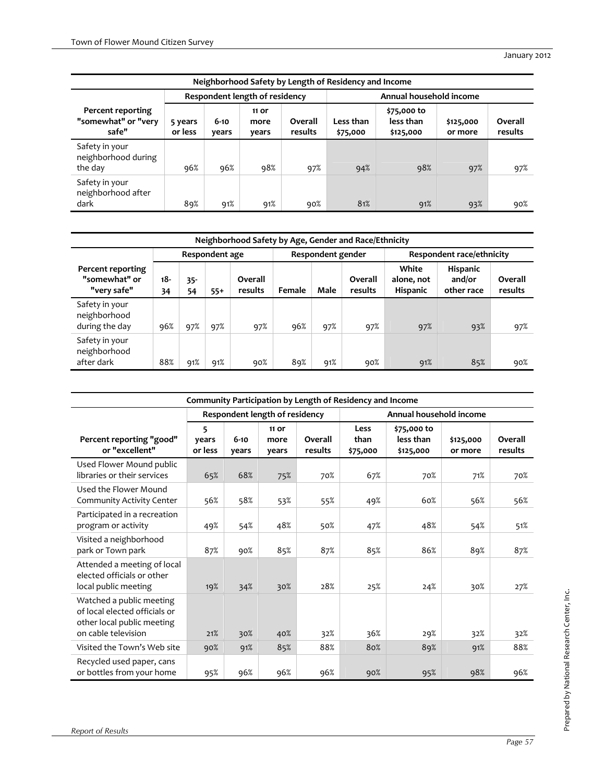|                                                   | Neighborhood Safety by Length of Residency and Income |                   |                                |                    |                         |                                       |                      |                    |  |  |  |  |
|---------------------------------------------------|-------------------------------------------------------|-------------------|--------------------------------|--------------------|-------------------------|---------------------------------------|----------------------|--------------------|--|--|--|--|
|                                                   |                                                       |                   | Respondent length of residency |                    | Annual household income |                                       |                      |                    |  |  |  |  |
| Percent reporting<br>"somewhat" or "very<br>safe" | 5 years<br>or less                                    | $6 - 10$<br>years | 11 or<br>more<br>years         | Overall<br>results | Less than<br>\$75,000   | \$75,000 to<br>less than<br>\$125,000 | \$125,000<br>or more | Overall<br>results |  |  |  |  |
| Safety in your<br>neighborhood during<br>the day  | 96%                                                   | 96%               | 98%                            | 97%                | 94%                     | 98%                                   | 97%                  | 97%                |  |  |  |  |
| Safety in your<br>neighborhood after<br>dark      | 89%                                                   | 91%               | 91%                            | 90%                | 81%                     | 91%                                   | 93%                  | 90%                |  |  |  |  |

|                                                   | Neighborhood Safety by Age, Gender and Race/Ethnicity |              |                |                    |        |                   |                    |                                        |                                  |                    |  |  |  |
|---------------------------------------------------|-------------------------------------------------------|--------------|----------------|--------------------|--------|-------------------|--------------------|----------------------------------------|----------------------------------|--------------------|--|--|--|
|                                                   |                                                       |              | Respondent age |                    |        | Respondent gender |                    | Respondent race/ethnicity              |                                  |                    |  |  |  |
| Percent reporting<br>"somewhat" or<br>"very safe" | 18-<br>34                                             | $35 -$<br>54 | $55+$          | Overall<br>results | Female | Male              | Overall<br>results | White<br>alone, not<br><b>Hispanic</b> | Hispanic<br>and/or<br>other race | Overall<br>results |  |  |  |
| Safety in your<br>neighborhood<br>during the day  | 96%                                                   | 97%          | 97%            | 97%                | 96%    | 97%               | 97%                | 97%                                    | 93%                              | 97%                |  |  |  |
| Safety in your<br>neighborhood<br>after dark      | 88%                                                   | 91%          | 91%            | 90%                | 89%    | 91%               | 90%                | 91%                                    | 85%                              | 90%                |  |  |  |

|                                                                                                                | Community Participation by Length of Residency and Income |                   |                                |                    |                          |                                       |                      |                    |  |  |  |
|----------------------------------------------------------------------------------------------------------------|-----------------------------------------------------------|-------------------|--------------------------------|--------------------|--------------------------|---------------------------------------|----------------------|--------------------|--|--|--|
|                                                                                                                |                                                           |                   | Respondent length of residency |                    |                          | Annual household income               |                      |                    |  |  |  |
| Percent reporting "good"<br>or "excellent"                                                                     | 5<br>vears<br>or less                                     | $6 - 10$<br>years | 11 or<br>more<br>years         | Overall<br>results | Less<br>than<br>\$75,000 | \$75,000 to<br>less than<br>\$125,000 | \$125,000<br>or more | Overall<br>results |  |  |  |
| Used Flower Mound public<br>libraries or their services                                                        | 65%                                                       | 68%               | 75%                            | 70%                | 67%                      | 70%                                   | 71%                  | 70%                |  |  |  |
| Used the Flower Mound<br>Community Activity Center                                                             | 56%                                                       | 58%               | 53%                            | 55%                | 49%                      | 60%                                   | 56%                  | 56%                |  |  |  |
| Participated in a recreation<br>program or activity                                                            | 49%                                                       | 54%               | 48%                            | 50%                | 47%                      | 48%                                   | 54%                  | 51%                |  |  |  |
| Visited a neighborhood<br>park or Town park                                                                    | 87%                                                       | 90%               | 85%                            | 87%                | 85%                      | 86%                                   | 89%                  | 87%                |  |  |  |
| Attended a meeting of local<br>elected officials or other<br>local public meeting                              | 19%                                                       | 34%               | 30%                            | 28%                | 25%                      | 24%                                   | 30%                  | 27%                |  |  |  |
| Watched a public meeting<br>of local elected officials or<br>other local public meeting<br>on cable television | 21%                                                       | 30%               | 40%                            | 32%                | 36%                      | 29%                                   | 32%                  | 32%                |  |  |  |
| Visited the Town's Web site                                                                                    | 90%                                                       | 91%               | 85%                            | 88%                | 80%                      | 89%                                   | 91%                  | 88%                |  |  |  |
| Recycled used paper, cans<br>or bottles from your home                                                         | 95%                                                       | 96%               | 96%                            | 96%                | 90%                      | 95%                                   | 98%                  | 96%                |  |  |  |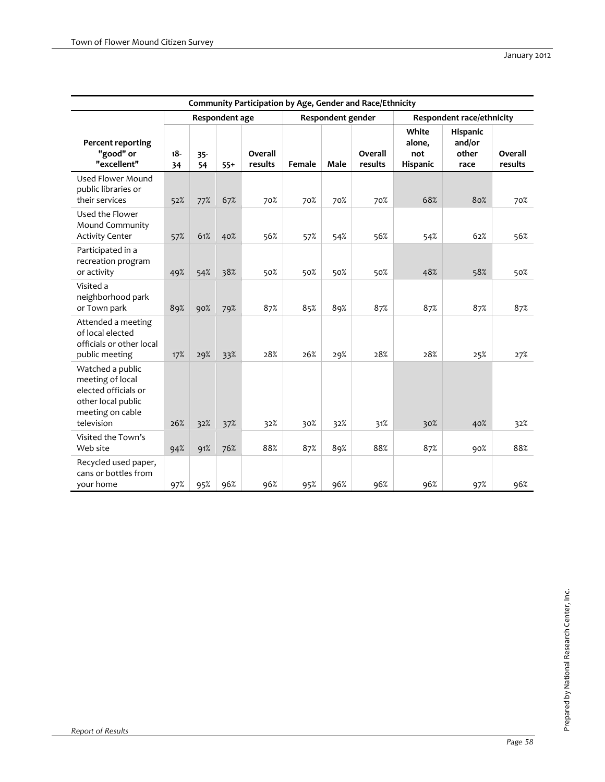|                                                                                                                      |              |              |                |                    |        |                   | Community Participation by Age, Gender and Race/Ethnicity |                                    |                                     |                    |
|----------------------------------------------------------------------------------------------------------------------|--------------|--------------|----------------|--------------------|--------|-------------------|-----------------------------------------------------------|------------------------------------|-------------------------------------|--------------------|
|                                                                                                                      |              |              | Respondent age |                    |        | Respondent gender |                                                           |                                    | Respondent race/ethnicity           |                    |
| <b>Percent reporting</b><br>"good" or<br>"excellent"                                                                 | $18 -$<br>34 | $35 -$<br>54 | $55+$          | Overall<br>results | Female | Male              | Overall<br>results                                        | White<br>alone,<br>not<br>Hispanic | Hispanic<br>and/or<br>other<br>race | Overall<br>results |
| Used Flower Mound<br>public libraries or<br>their services                                                           | 52%          | 77%          | 67%            | 70%                | 70%    | 70%               | 70%                                                       | 68%                                | 80%                                 | 70%                |
| Used the Flower<br>Mound Community<br><b>Activity Center</b>                                                         | 57%          | 61%          | 40%            | 56%                | 57%    | 54%               | 56%                                                       | 54%                                | 62%                                 | 56%                |
| Participated in a<br>recreation program<br>or activity                                                               | 49%          | 54%          | 38%            | 50%                | 50%    | 50%               | 50%                                                       | 48%                                | 58%                                 | 50%                |
| Visited a<br>neighborhood park<br>or Town park                                                                       | 89%          | 90%          | 79%            | 87%                | 85%    | 89%               | 87%                                                       | 87%                                | 87%                                 | 87%                |
| Attended a meeting<br>of local elected<br>officials or other local<br>public meeting                                 | 17%          | 29%          | 33%            | 28%                | 26%    | 29%               | 28%                                                       | 28%                                | 25%                                 | 27%                |
| Watched a public<br>meeting of local<br>elected officials or<br>other local public<br>meeting on cable<br>television | 26%          | 32%          | 37%            | 32%                | 30%    | 32%               | 31%                                                       | 30%                                | 40%                                 | 32%                |
| Visited the Town's<br>Web site                                                                                       | 94%          | 91%          | 76%            | 88%                | 87%    | 89%               | 88%                                                       | 87%                                | 90%                                 | 88%                |
| Recycled used paper,<br>cans or bottles from<br>your home                                                            | 97%          | 95%          | 96%            | 96%                | 95%    | 96%               | 96%                                                       | 96%                                | 97%                                 | 96%                |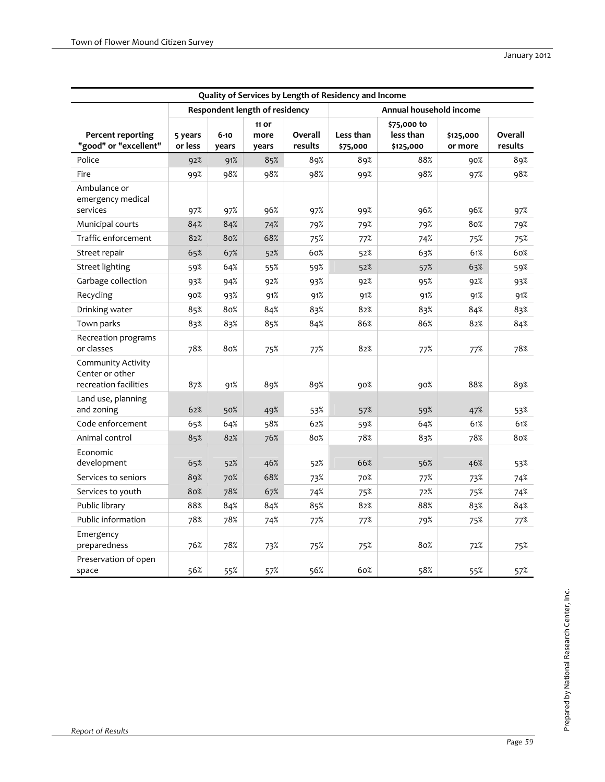|                                                                |                    |                   |                                |                    | Quality of Services by Length of Residency and Income |                                       |                      |                    |
|----------------------------------------------------------------|--------------------|-------------------|--------------------------------|--------------------|-------------------------------------------------------|---------------------------------------|----------------------|--------------------|
|                                                                |                    |                   | Respondent length of residency |                    |                                                       | Annual household income               |                      |                    |
| <b>Percent reporting</b><br>"good" or "excellent"              | 5 years<br>or less | $6 - 10$<br>years | 11 or<br>more<br>years         | Overall<br>results | Less than<br>\$75,000                                 | \$75,000 to<br>less than<br>\$125,000 | \$125,000<br>or more | Overall<br>results |
| Police                                                         | 92%                | 91%               | 85%                            | 89%                | 89%                                                   | 88%                                   | 90%                  | 89%                |
| Fire                                                           | 99%                | 98%               | 98%                            | 98%                | 99%                                                   | 98%                                   | 97%                  | 98%                |
| Ambulance or<br>emergency medical<br>services                  | 97%                | 97%               | 96%                            | 97%                | 99%                                                   | 96%                                   | 96%                  | 97%                |
| Municipal courts                                               | 84%                | 84%               | 74%                            | 79%                | 79%                                                   | 79%                                   | 80%                  | 79%                |
| Traffic enforcement                                            | 82%                | 80%               | 68%                            | 75%                | 77%                                                   | 74%                                   | 75%                  | 75%                |
| Street repair                                                  | 65%                | 67%               | 52%                            | 60%                | 52%                                                   | 63%                                   | 61%                  | 60%                |
| <b>Street lighting</b>                                         | 59%                | 64%               | 55%                            | 59%                | 52%                                                   | 57%                                   | 63%                  | 59%                |
| Garbage collection                                             | 93%                | 94%               | 92%                            | 93%                | 92%                                                   | 95%                                   | 92%                  | 93%                |
| Recycling                                                      | 90%                | 93%               | 91%                            | 91%                | 91%                                                   | 91%                                   | 91%                  | 91%                |
| Drinking water                                                 | 85%                | 80%               | 84%                            | 83%                | 82%                                                   | 83%                                   | 84%                  | 83%                |
| Town parks                                                     | 83%                | 83%               | 85%                            | 84%                | 86%                                                   | 86%                                   | 82%                  | 84%                |
| Recreation programs<br>or classes                              | 78%                | 80%               | 75%                            | 77%                | 82%                                                   | 77%                                   | 77%                  | 78%                |
| Community Activity<br>Center or other<br>recreation facilities | 87%                | 91%               | 89%                            | 89%                | 90%                                                   | 90%                                   | 88%                  | 89%                |
| Land use, planning<br>and zoning                               | 62%                | 50%               | 49%                            | 53%                | 57%                                                   | 59%                                   | 47%                  | 53%                |
| Code enforcement                                               | 65%                | 64%               | 58%                            | 62%                | 59%                                                   | 64%                                   | 61%                  | 61%                |
| Animal control                                                 | 85%                | 82%               | 76%                            | 80%                | 78%                                                   | 83%                                   | 78%                  | 80%                |
| Economic<br>development                                        | 65%                | 52%               | 46%                            | 52%                | 66%                                                   | 56%                                   | 46%                  | 53%                |
| Services to seniors                                            | 89%                | 70%               | 68%                            | 73%                | 70%                                                   | 77%                                   | 73%                  | 74%                |
| Services to youth                                              | 80%                | 78%               | 67%                            | 74%                | 75%                                                   | 72%                                   | 75%                  | 74%                |
| Public library                                                 | 88%                | 84%               | 84%                            | 85%                | 82%                                                   | 88%                                   | 83%                  | 84%                |
| Public information                                             | 78%                | 78%               | 74%                            | 77%                | 77%                                                   | 79%                                   | 75%                  | 77%                |
| Emergency<br>preparedness                                      | 76%                | 78%               | 73%                            | 75%                | 75%                                                   | 80%                                   | 72%                  | 75%                |
| Preservation of open<br>space                                  | 56%                | 55%               | 57%                            | 56%                | 60%                                                   | 58%                                   | 55%                  | 57%                |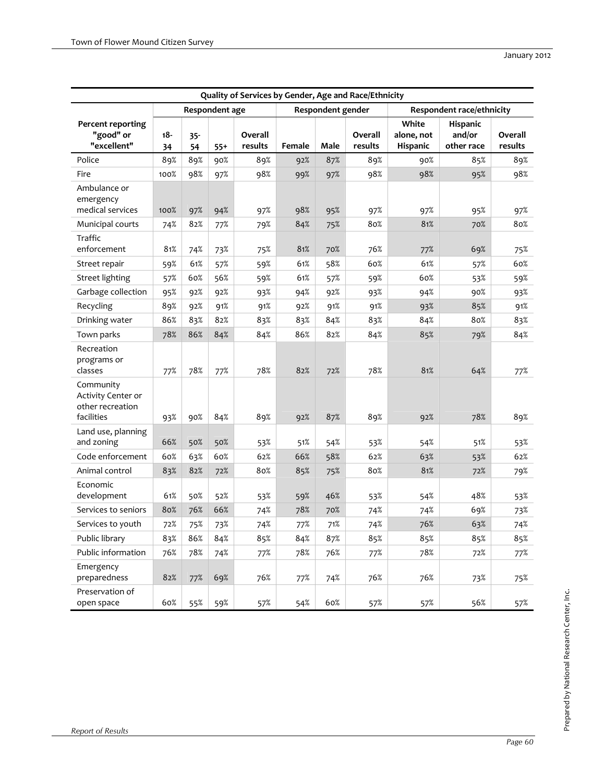| Quality of Services by Gender, Age and Race/Ethnicity             |           |              |                |                    |        |                   |                    |                                 |                                  |                    |
|-------------------------------------------------------------------|-----------|--------------|----------------|--------------------|--------|-------------------|--------------------|---------------------------------|----------------------------------|--------------------|
|                                                                   |           |              | Respondent age |                    |        | Respondent gender |                    |                                 | Respondent race/ethnicity        |                    |
| <b>Percent reporting</b><br>"good" or<br>"excellent"              | 18-<br>34 | $35 -$<br>54 | $55+$          | Overall<br>results | Female | Male              | Overall<br>results | White<br>alone, not<br>Hispanic | Hispanic<br>and/or<br>other race | Overall<br>results |
| Police                                                            | 89%       | 89%          | 90%            | 89%                | 92%    | 87%               | 89%                | 90%                             | 85%                              | 89%                |
| Fire                                                              | 100%      | 98%          | 97%            | 98%                | 99%    | 97%               | 98%                | 98%                             | 95%                              | 98%                |
| Ambulance or<br>emergency<br>medical services                     | 100%      | 97%          | 94%            | 97%                | 98%    | 95%               | 97%                | 97%                             | 95%                              | 97%                |
| Municipal courts                                                  | 74%       | 82%          | 77%            | 79%                | 84%    | 75%               | 80%                | 81%                             | 70%                              | 80%                |
| Traffic<br>enforcement                                            | 81%       | 74%          | 73%            | 75%                | 81%    | 70%               | 76%                | 77%                             | 69%                              | 75%                |
| Street repair                                                     | 59%       | 61%          | 57%            | 59%                | 61%    | 58%               | 60%                | 61%                             | 57%                              | 60%                |
| <b>Street lighting</b>                                            | 57%       | 60%          | 56%            | 59%                | 61%    | 57%               | 59%                | 60%                             | 53%                              | 59%                |
| Garbage collection                                                | 95%       | 92%          | 92%            | 93%                | 94%    | 92%               | 93%                | 94%                             | 90%                              | 93%                |
| Recycling                                                         | 89%       | 92%          | 91%            | 91%                | 92%    | 91%               | 91%                | 93%                             | 85%                              | 91%                |
| Drinking water                                                    | 86%       | 83%          | 82%            | 83%                | 83%    | 84%               | 83%                | 84%                             | 80%                              | 83%                |
| Town parks                                                        | 78%       | 86%          | 84%            | 84%                | 86%    | 82%               | 84%                | 85%                             | 79%                              | 84%                |
| Recreation<br>programs or<br>classes                              | 77%       | 78%          | 77%            | 78%                | 82%    | 72%               | 78%                | 81%                             | 64%                              | 77%                |
| Community<br>Activity Center or<br>other recreation<br>facilities | 93%       | 90%          | 84%            | 89%                | 92%    | 87%               | 89%                | 92%                             | 78%                              | 89%                |
| Land use, planning<br>and zoning                                  | 66%       | 50%          | 50%            | 53%                | 51%    | 54%               | 53%                | 54%                             | 51%                              | 53%                |
| Code enforcement                                                  | 60%       | 63%          | 60%            | 62%                | 66%    | 58%               | 62%                | 63%                             | 53%                              | 62%                |
| Animal control                                                    | 83%       | 82%          | 72%            | 80%                | 85%    | 75%               | 80%                | 81%                             | 72%                              | 79%                |
| Economic<br>development                                           | 61%       | 50%          | 52%            | 53%                | 59%    | 46%               | 53%                | 54%                             | 48%                              | 53%                |
| Services to seniors                                               | 80%       | 76%          | 66%            | 74%                | 78%    | 70%               | 74%                | 74%                             | 69%                              | 73%                |
| Services to youth                                                 | 72%       | 75%          | 73%            | 74%                | 77%    | 71%               | 74%                | 76%                             | 63%                              | 74%                |
| Public library                                                    | 83%       | 86%          | 84%            | 85%                | 84%    | 87%               | 85%                | 85%                             | 85%                              | 85%                |
| Public information                                                | 76%       | 78%          | 74%            | 77%                | 78%    | 76%               | 77%                | 78%                             | 72%                              | 77%                |
| Emergency<br>preparedness                                         | 82%       | 77%          | 69%            | 76%                | 77%    | 74%               | 76%                | 76%                             | 73%                              | 75%                |
| Preservation of<br>open space                                     | 60%       | 55%          | 59%            | 57%                | 54%    | 60%               | 57%                | 57%                             | 56%                              | 57%                |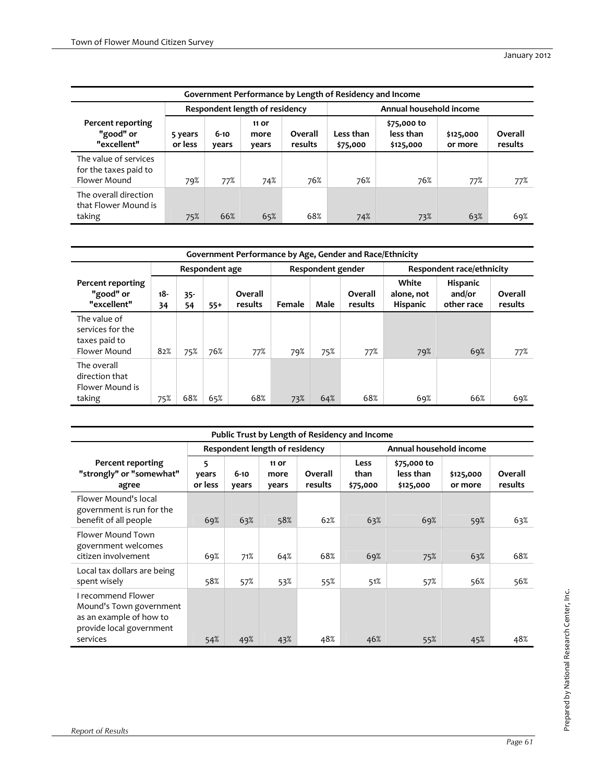|                                                                | Government Performance by Length of Residency and Income |                   |                        |                    |                       |                                       |                      |                    |  |  |  |  |
|----------------------------------------------------------------|----------------------------------------------------------|-------------------|------------------------|--------------------|-----------------------|---------------------------------------|----------------------|--------------------|--|--|--|--|
| Annual household income<br>Respondent length of residency      |                                                          |                   |                        |                    |                       |                                       |                      |                    |  |  |  |  |
| Percent reporting<br>"good" or<br>"excellent"                  | 5 years<br>or less                                       | $6 - 10$<br>years | 11 or<br>more<br>years | Overall<br>results | Less than<br>\$75,000 | \$75,000 to<br>less than<br>\$125,000 | \$125,000<br>or more | Overall<br>results |  |  |  |  |
| The value of services<br>for the taxes paid to<br>Flower Mound | 79%                                                      | 77%               | 74%                    | 76%                | 76%                   | 76%                                   | 77%                  | 77%                |  |  |  |  |
| The overall direction<br>that Flower Mound is<br>taking        | 75%                                                      | 66%               | 65%                    | 68%                | 74%                   | 73%                                   | 63%                  | 69%                |  |  |  |  |

|                                                                   | Government Performance by Age, Gender and Race/Ethnicity |              |       |                    |        |                   |                    |                                        |                                         |                    |  |
|-------------------------------------------------------------------|----------------------------------------------------------|--------------|-------|--------------------|--------|-------------------|--------------------|----------------------------------------|-----------------------------------------|--------------------|--|
|                                                                   | Respondent age                                           |              |       |                    |        | Respondent gender |                    | Respondent race/ethnicity              |                                         |                    |  |
| Percent reporting<br>"good" or<br>"excellent"                     | $18-$<br>34                                              | $35 -$<br>54 | $55+$ | Overall<br>results | Female | Male              | Overall<br>results | White<br>alone, not<br><b>Hispanic</b> | <b>Hispanic</b><br>and/or<br>other race | Overall<br>results |  |
| The value of<br>services for the<br>taxes paid to<br>Flower Mound | 82%                                                      | 75%          | 76%   | 77%                | 79%    | 75%               | 77%                | 79%                                    | 69%                                     | 77%                |  |
| The overall<br>direction that<br>Flower Mound is<br>taking        | 75%                                                      | 68%          | 65%   | 68%                | 73%    | 64%               | 68%                | 69%                                    | 66%                                     | 69%                |  |

|                                                                                                                  | Public Trust by Length of Residency and Income |                   |                                |                    |                          |                                       |                      |                    |
|------------------------------------------------------------------------------------------------------------------|------------------------------------------------|-------------------|--------------------------------|--------------------|--------------------------|---------------------------------------|----------------------|--------------------|
|                                                                                                                  |                                                |                   | Respondent length of residency |                    |                          | Annual household income               |                      |                    |
| Percent reporting<br>"strongly" or "somewhat"<br>agree                                                           | 5<br>years<br>or less                          | $6 - 10$<br>years | 11 or<br>more<br>years         | Overall<br>results | Less<br>than<br>\$75,000 | \$75,000 to<br>less than<br>\$125,000 | \$125,000<br>or more | Overall<br>results |
| Flower Mound's local<br>government is run for the<br>benefit of all people                                       | 69%                                            | 63%               | 58%                            | 62%                | 63%                      | 69%                                   | 59%                  | 63%                |
| Flower Mound Town<br>government welcomes<br>citizen involvement                                                  | 69%                                            | 71%               | 64%                            | 68%                | 69%                      | 75%                                   | 63%                  | 68%                |
| Local tax dollars are being<br>spent wisely                                                                      | 58%                                            | 57%               | 53%                            | 55%                | 51%                      | 57%                                   | 56%                  | 56%                |
| I recommend Flower<br>Mound's Town government<br>as an example of how to<br>provide local government<br>services | 54%                                            | 49%               | 43%                            | 48%                | 46%                      | 55%                                   | 45%                  | 48%                |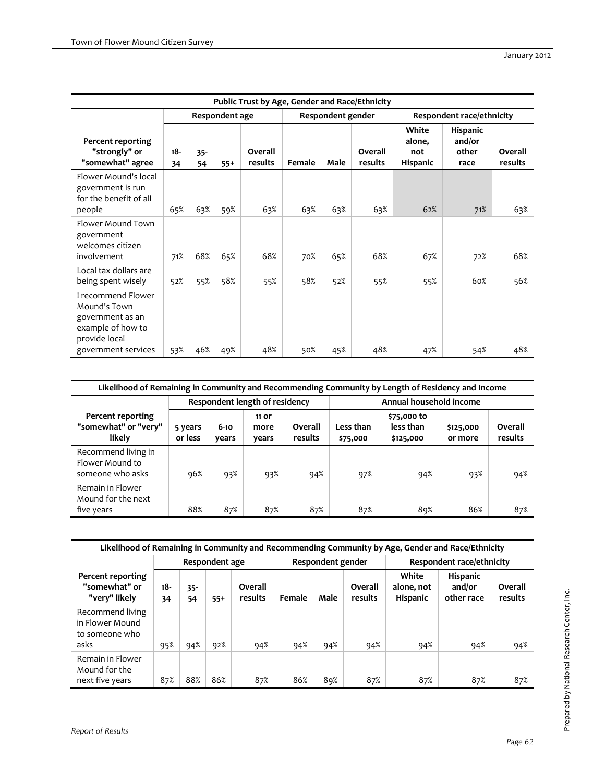|                                                                                              | Public Trust by Age, Gender and Race/Ethnicity |              |                |                    |        |                   |                    |                                    |                                     |                    |
|----------------------------------------------------------------------------------------------|------------------------------------------------|--------------|----------------|--------------------|--------|-------------------|--------------------|------------------------------------|-------------------------------------|--------------------|
|                                                                                              |                                                |              | Respondent age |                    |        | Respondent gender |                    |                                    | Respondent race/ethnicity           |                    |
| Percent reporting<br>"strongly" or<br>"somewhat" agree                                       | $18 -$<br>34                                   | $35 -$<br>54 | $55+$          | Overall<br>results | Female | Male              | Overall<br>results | White<br>alone,<br>not<br>Hispanic | Hispanic<br>and/or<br>other<br>race | Overall<br>results |
| Flower Mound's local<br>government is run<br>for the benefit of all<br>people                | 65%                                            | 63%          | 59%            | 63%                | 63%    | 63%               | 63%                | 62%                                | 71%                                 | 63%                |
| <b>Flower Mound Town</b><br>government<br>welcomes citizen<br>involvement                    | 71%                                            | 68%          | 65%            | 68%                | 70%    | 65%               | 68%                | 67%                                | 72%                                 | 68%                |
| Local tax dollars are<br>being spent wisely                                                  | 52%                                            | 55%          | 58%            | 55%                | 58%    | 52%               | 55%                | 55%                                | 60%                                 | 56%                |
| I recommend Flower<br>Mound's Town<br>government as an<br>example of how to<br>provide local |                                                |              |                |                    |        |                   |                    |                                    |                                     | 48%                |
| government services                                                                          | 53%                                            | 46%          | 49%            | 48%                | 50%    | 45%               | 48%                | 47%                                | 54%                                 |                    |

| Likelihood of Remaining in Community and Recommending Community by Length of Residency and Income |                    |                   |                                |                    |                         |                                       |                      |                    |  |  |
|---------------------------------------------------------------------------------------------------|--------------------|-------------------|--------------------------------|--------------------|-------------------------|---------------------------------------|----------------------|--------------------|--|--|
|                                                                                                   |                    |                   | Respondent length of residency |                    | Annual household income |                                       |                      |                    |  |  |
| Percent reporting<br>"somewhat" or "very"<br>likely                                               | 5 years<br>or less | $6 - 10$<br>years | 11 or<br>more<br>years         | Overall<br>results | Less than<br>\$75,000   | \$75,000 to<br>less than<br>\$125,000 | \$125,000<br>or more | Overall<br>results |  |  |
| Recommend living in<br>Flower Mound to<br>someone who asks                                        | 96%                | 93%               | 93%                            | 94%                | 97%                     | 94%                                   | 93%                  | 94%                |  |  |
| Remain in Flower<br>Mound for the next<br>five years                                              | 88%                | 87%               | 87%                            | 87%                | 87%                     | 89%                                   | 86%                  | 87%                |  |  |

| Likelihood of Remaining in Community and Recommending Community by Age, Gender and Race/Ethnicity |                |              |       |                    |        |                   |                    |                                        |                                         |                    |  |
|---------------------------------------------------------------------------------------------------|----------------|--------------|-------|--------------------|--------|-------------------|--------------------|----------------------------------------|-----------------------------------------|--------------------|--|
|                                                                                                   | Respondent age |              |       |                    |        | Respondent gender |                    | Respondent race/ethnicity              |                                         |                    |  |
| Percent reporting<br>"somewhat" or<br>"very" likely                                               | $18-$<br>34    | $35 -$<br>54 | $55+$ | Overall<br>results | Female | Male              | Overall<br>results | White<br>alone, not<br><b>Hispanic</b> | <b>Hispanic</b><br>and/or<br>other race | Overall<br>results |  |
| Recommend living<br>in Flower Mound<br>to someone who<br>asks                                     | 95%            | 94%          | 92%   | 94%                | 94%    | 94%               | 94%                | 94%                                    | 94%                                     | 94%                |  |
| Remain in Flower<br>Mound for the<br>next five years                                              | 87%            | 88%          | 86%   | 87%                | 86%    | 89%               | 87%                | 87%                                    | 87%                                     | 87%                |  |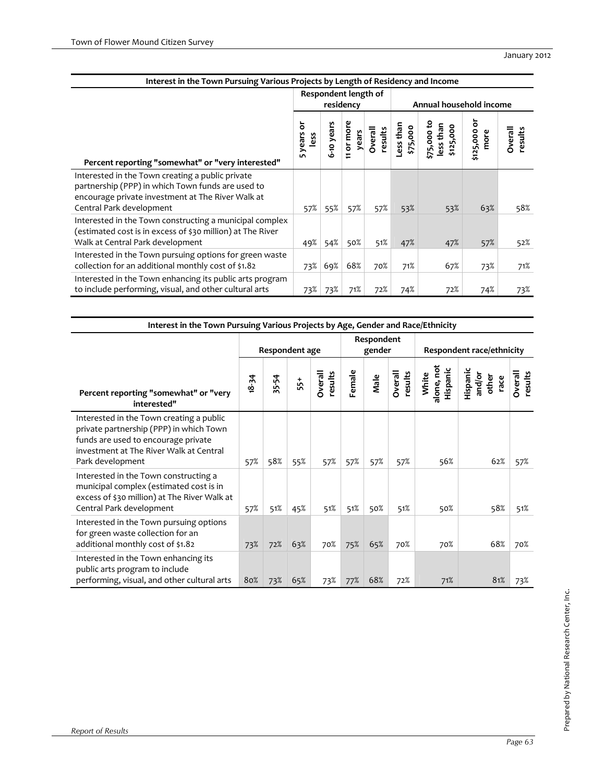| Interest in the Town Pursuing Various Projects by Length of Residency and Income                                                                                                       |                                                              |                |                                      |                    |                       |                                       |                         |                    |  |
|----------------------------------------------------------------------------------------------------------------------------------------------------------------------------------------|--------------------------------------------------------------|----------------|--------------------------------------|--------------------|-----------------------|---------------------------------------|-------------------------|--------------------|--|
|                                                                                                                                                                                        | Respondent length of<br>residency<br>Annual household income |                |                                      |                    |                       |                                       |                         |                    |  |
| Percent reporting "somewhat" or "very interested"                                                                                                                                      | ៑<br>years<br>less<br>LO.                                    | -10 years<br>ە | more<br>years<br>$\overline{5}$<br>Ξ | Overall<br>results | Less than<br>\$75,000 | \$75,000 to<br>less than<br>\$125,000 | ۲Ó<br>\$125,000<br>more | Overall<br>results |  |
| Interested in the Town creating a public private<br>partnership (PPP) in which Town funds are used to<br>encourage private investment at The River Walk at<br>Central Park development | 57%                                                          | 55%            | 57%                                  | 57%                | 53%                   | 53%                                   | 63%                     | 58%                |  |
| Interested in the Town constructing a municipal complex<br>(estimated cost is in excess of \$30 million) at The River<br>Walk at Central Park development                              | 49%                                                          | 54%            | 50%                                  | 51%                | 47%                   | 47%                                   | 57%                     | 52%                |  |
| Interested in the Town pursuing options for green waste<br>collection for an additional monthly cost of \$1.82                                                                         | 73%                                                          | 69%            | 68%                                  | 70%                | 71%                   | 67%                                   | 73%                     | 71%                |  |
| Interested in the Town enhancing its public arts program<br>to include performing, visual, and other cultural arts                                                                     | 73%                                                          | 73%            | 71%                                  | 72%                | 74%                   | 72%                                   | 74%                     | 73%                |  |

| Interest in the Town Pursuing Various Projects by Age, Gender and Race/Ethnicity                                                                                                          |           |           |                |                    |        |                      |                    |                                 |                                     |                    |  |
|-------------------------------------------------------------------------------------------------------------------------------------------------------------------------------------------|-----------|-----------|----------------|--------------------|--------|----------------------|--------------------|---------------------------------|-------------------------------------|--------------------|--|
|                                                                                                                                                                                           |           |           | Respondent age |                    |        | Respondent<br>gender |                    | Respondent race/ethnicity       |                                     |                    |  |
| Percent reporting "somewhat" or "very<br>interested"                                                                                                                                      | $18 - 34$ | 5-54<br>w | 55+            | Overall<br>results | Female | Male                 | Overall<br>results | alone, not<br>Hispanic<br>White | Hispanic<br>and/or<br>other<br>race | Overall<br>results |  |
| Interested in the Town creating a public<br>private partnership (PPP) in which Town<br>funds are used to encourage private<br>investment at The River Walk at Central<br>Park development | 57%       | 58%       | 55%            | 57%                | 57%    | 57%                  | 57%                | 56%                             | 62%                                 | 57%                |  |
| Interested in the Town constructing a<br>municipal complex (estimated cost is in<br>excess of \$30 million) at The River Walk at<br>Central Park development                              | 57%       | 51%       | 45%            | 51%                | 51%    | 50%                  | 51%                | 50%                             | 58%                                 | 51%                |  |
| Interested in the Town pursuing options<br>for green waste collection for an<br>additional monthly cost of \$1.82                                                                         | 73%       | 72%       | 63%            | 70%                | 75%    | 65%                  | 70%                | 70%                             | 68%                                 | 70%                |  |
| Interested in the Town enhancing its<br>public arts program to include<br>performing, visual, and other cultural arts                                                                     | 80%       | 73%       | 65%            | 73%                | 77%    | 68%                  | 72%                | 71%                             | 81%                                 | 73%                |  |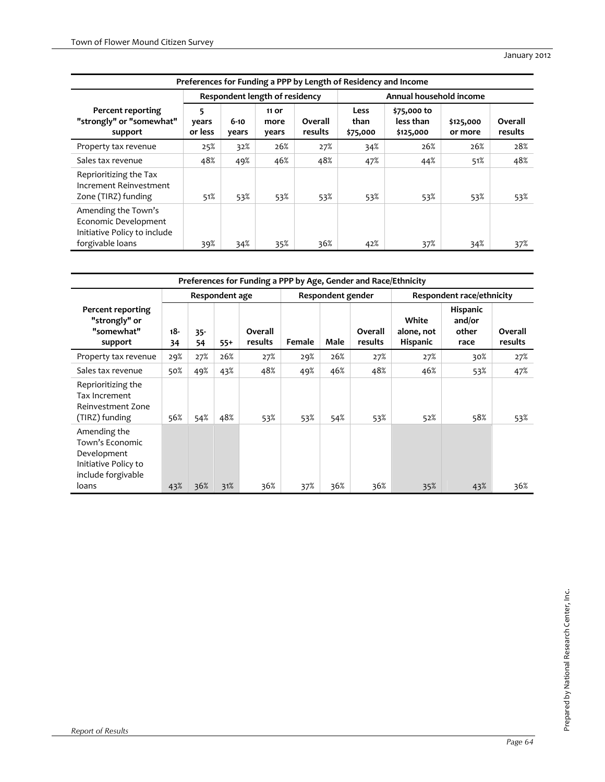| Preferences for Funding a PPP by Length of Residency and Income                                 |                       |                   |                                |                    |                          |                                       |                      |                    |  |  |  |
|-------------------------------------------------------------------------------------------------|-----------------------|-------------------|--------------------------------|--------------------|--------------------------|---------------------------------------|----------------------|--------------------|--|--|--|
|                                                                                                 |                       |                   | Respondent length of residency |                    |                          | Annual household income               |                      |                    |  |  |  |
| Percent reporting<br>"strongly" or "somewhat"<br>support                                        | 5<br>years<br>or less | $6 - 10$<br>years | 11 or<br>more<br>years         | Overall<br>results | Less<br>than<br>\$75,000 | \$75,000 to<br>less than<br>\$125,000 | \$125,000<br>or more | Overall<br>results |  |  |  |
| Property tax revenue                                                                            | 25%                   | 32%               | 26%                            | 27%                | 34%                      | 26%                                   | 26%                  | 28%                |  |  |  |
| Sales tax revenue                                                                               | 48%                   | 49%               | 46%                            | 48%                | 47%                      | 44%                                   | 51%                  | 48%                |  |  |  |
| Reprioritizing the Tax<br>Increment Reinvestment<br>Zone (TIRZ) funding                         | 51%                   | 53%               | 53%                            | 53%                | 53%                      | 53%                                   | 53%                  | 53%                |  |  |  |
| Amending the Town's<br>Economic Development<br>Initiative Policy to include<br>forgivable loans | 39%                   | 34%               | 35%                            | 36%                | 42%                      | 37%                                   | 34%                  | 37%                |  |  |  |

| Preferences for Funding a PPP by Age, Gender and Race/Ethnicity                              |                |              |       |                    |        |                   |                    |                                        |                                            |                    |
|----------------------------------------------------------------------------------------------|----------------|--------------|-------|--------------------|--------|-------------------|--------------------|----------------------------------------|--------------------------------------------|--------------------|
|                                                                                              | Respondent age |              |       |                    |        | Respondent gender |                    | Respondent race/ethnicity              |                                            |                    |
| Percent reporting<br>"strongly" or<br>"somewhat"<br>support                                  | $18 -$<br>34   | $35 -$<br>54 | $55+$ | Overall<br>results | Female | Male              | Overall<br>results | White<br>alone, not<br><b>Hispanic</b> | <b>Hispanic</b><br>and/or<br>other<br>race | Overall<br>results |
| Property tax revenue                                                                         | 29%            | 27%          | 26%   | 27%                | 29%    | 26%               | 27%                | 27%                                    | 30%                                        | 27%                |
| Sales tax revenue                                                                            | 50%            | 49%          | 43%   | 48%                | 49%    | 46%               | 48%                | 46%                                    | 53%                                        | 47%                |
| Reprioritizing the<br>Tax Increment<br>Reinvestment Zone<br>(TIRZ) funding                   | 56%            | 54%          | 48%   | 53%                | 53%    | 54%               | 53%                | 52%                                    | 58%                                        | 53%                |
| Amending the<br>Town's Economic<br>Development<br>Initiative Policy to<br>include forgivable |                |              |       |                    |        |                   |                    |                                        |                                            |                    |
| loans                                                                                        | 43%            | 36%          | 31%   | 36%                | 37%    | 36%               | 36%                | 35%                                    | 43%                                        | 36%                |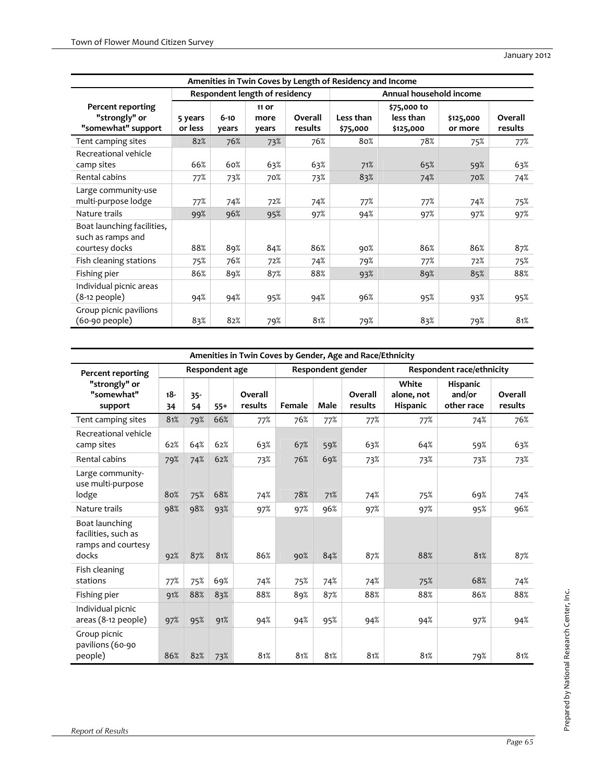| Amenities in Twin Coves by Length of Residency and Income         |                    |                   |                                |                    |                         |                                       |                      |                    |  |  |
|-------------------------------------------------------------------|--------------------|-------------------|--------------------------------|--------------------|-------------------------|---------------------------------------|----------------------|--------------------|--|--|
|                                                                   |                    |                   | Respondent length of residency |                    | Annual household income |                                       |                      |                    |  |  |
| Percent reporting<br>"strongly" or<br>"somewhat" support          | 5 years<br>or less | $6 - 10$<br>years | 11 or<br>more<br>years         | Overall<br>results | Less than<br>\$75,000   | \$75,000 to<br>less than<br>\$125,000 | \$125,000<br>or more | Overall<br>results |  |  |
| Tent camping sites                                                | 82%                | 76%               | 73%                            | 76%                | 80%                     | 78%                                   | 75%                  | 77%                |  |  |
| Recreational vehicle<br>camp sites                                | 66%                | 60%               | 63%                            | 63%                | 71%                     | 65%                                   | 59%                  | 63%                |  |  |
| Rental cabins                                                     | 77%                | 73%               | 70%                            | 73%                | 83%                     | 74%                                   | 70%                  | 74%                |  |  |
| Large community-use<br>multi-purpose lodge                        | 77%                | 74%               | 72%                            | 74%                | 77%                     | 77%                                   | 74%                  | 75%                |  |  |
| Nature trails                                                     | 99%                | 96%               | 95%                            | 97%                | 94%                     | 97%                                   | 97%                  | 97%                |  |  |
| Boat launching facilities,<br>such as ramps and<br>courtesy docks | 88%                | 89%               | 84%                            | 86%                | 90%                     | 86%                                   | 86%                  | 87%                |  |  |
| Fish cleaning stations                                            | 75%                | 76%               | 72%                            | 74%                | 79%                     | 77%                                   | 72%                  | 75%                |  |  |
| Fishing pier                                                      | 86%                | 89%               | 87%                            | 88%                | 93%                     | 89%                                   | 85%                  | 88%                |  |  |
| Individual picnic areas<br>$(8-12$ people)                        | 94%                | 94%               | 95%                            | 94%                | 96%                     | 95%                                   | 93%                  | 95%                |  |  |
| Group picnic pavilions<br>(60-90 people)                          | 83%                | 82%               | 79%                            | 81%                | 79%                     | 83%                                   | 79%                  | 81%                |  |  |

| Amenities in Twin Coves by Gender, Age and Race/Ethnicity            |              |              |                |                    |        |                   |                    |                                 |                                  |                    |
|----------------------------------------------------------------------|--------------|--------------|----------------|--------------------|--------|-------------------|--------------------|---------------------------------|----------------------------------|--------------------|
| <b>Percent reporting</b>                                             |              |              | Respondent age |                    |        | Respondent gender |                    | Respondent race/ethnicity       |                                  |                    |
| "strongly" or<br>"somewhat"<br>support                               | $18 -$<br>34 | $35 -$<br>54 | $55+$          | Overall<br>results | Female | Male              | Overall<br>results | White<br>alone, not<br>Hispanic | Hispanic<br>and/or<br>other race | Overall<br>results |
| Tent camping sites                                                   | 81%          | 79%          | 66%            | 77%                | 76%    | 77%               | 77%                | 77%                             | 74%                              | 76%                |
| Recreational vehicle<br>camp sites                                   | 62%          | 64%          | 62%            | 63%                | 67%    | 59%               | 63%                | 64%                             | 59%                              | 63%                |
| Rental cabins                                                        | 79%          | 74%          | 62%            | 73%                | 76%    | 69%               | 73%                | 73%                             | 73%                              | 73%                |
| Large community-<br>use multi-purpose<br>lodge                       | 80%          | 75%          | 68%            | 74%                | 78%    | 71%               | 74%                | 75%                             | 69%                              | 74%                |
| Nature trails                                                        | 98%          | 98%          | 93%            | 97%                | 97%    | 96%               | 97%                | 97%                             | 95%                              | 96%                |
| Boat launching<br>facilities, such as<br>ramps and courtesy<br>docks | 92%          | 87%          | 81%            | 86%                | 90%    | 84%               | 87%                | 88%                             | 81%                              | 87%                |
| Fish cleaning<br>stations                                            | 77%          | 75%          | 69%            | 74%                | 75%    | 74%               | 74%                | 75%                             | 68%                              | 74%                |
| Fishing pier                                                         | 91%          | 88%          | 83%            | 88%                | 89%    | 87%               | 88%                | 88%                             | 86%                              | 88%                |
| Individual picnic<br>areas (8-12 people)                             | 97%          | 95%          | 91%            | 94%                | 94%    | 95%               | 94%                | 94%                             | 97%                              | 94%                |
| Group picnic<br>pavilions (60-90<br>people)                          | 86%          | 82%          | 73%            | 81%                | 81%    | 81%               | 81%                | 81%                             | 79%                              | 81%                |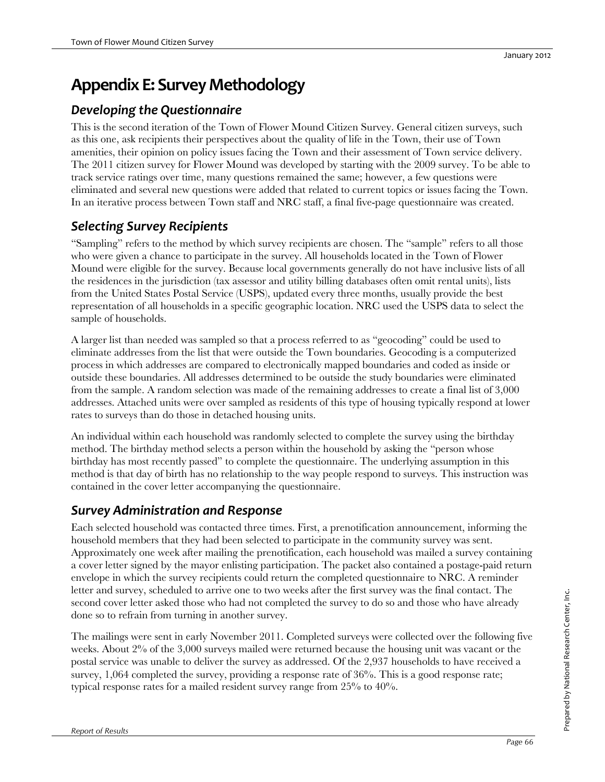# **Appendix E: Survey Methodology**

# *Developing the Questionnaire*

This is the second iteration of the Town of Flower Mound Citizen Survey. General citizen surveys, such as this one, ask recipients their perspectives about the quality of life in the Town, their use of Town amenities, their opinion on policy issues facing the Town and their assessment of Town service delivery. The 2011 citizen survey for Flower Mound was developed by starting with the 2009 survey. To be able to track service ratings over time, many questions remained the same; however, a few questions were eliminated and several new questions were added that related to current topics or issues facing the Town. In an iterative process between Town staff and NRC staff, a final five-page questionnaire was created.

# *Selecting Survey Recipients*

"Sampling" refers to the method by which survey recipients are chosen. The "sample" refers to all those who were given a chance to participate in the survey. All households located in the Town of Flower Mound were eligible for the survey. Because local governments generally do not have inclusive lists of all the residences in the jurisdiction (tax assessor and utility billing databases often omit rental units), lists from the United States Postal Service (USPS), updated every three months, usually provide the best representation of all households in a specific geographic location. NRC used the USPS data to select the sample of households.

A larger list than needed was sampled so that a process referred to as "geocoding" could be used to eliminate addresses from the list that were outside the Town boundaries. Geocoding is a computerized process in which addresses are compared to electronically mapped boundaries and coded as inside or outside these boundaries. All addresses determined to be outside the study boundaries were eliminated from the sample. A random selection was made of the remaining addresses to create a final list of 3,000 addresses. Attached units were over sampled as residents of this type of housing typically respond at lower rates to surveys than do those in detached housing units.

An individual within each household was randomly selected to complete the survey using the birthday method. The birthday method selects a person within the household by asking the "person whose birthday has most recently passed" to complete the questionnaire. The underlying assumption in this method is that day of birth has no relationship to the way people respond to surveys. This instruction was contained in the cover letter accompanying the questionnaire.

## *Survey Administration and Response*

Each selected household was contacted three times. First, a prenotification announcement, informing the household members that they had been selected to participate in the community survey was sent. Approximately one week after mailing the prenotification, each household was mailed a survey containing a cover letter signed by the mayor enlisting participation. The packet also contained a postage-paid return envelope in which the survey recipients could return the completed questionnaire to NRC. A reminder letter and survey, scheduled to arrive one to two weeks after the first survey was the final contact. The second cover letter asked those who had not completed the survey to do so and those who have already done so to refrain from turning in another survey.

The mailings were sent in early November 2011. Completed surveys were collected over the following five weeks. About 2% of the 3,000 surveys mailed were returned because the housing unit was vacant or the postal service was unable to deliver the survey as addressed. Of the 2,937 households to have received a survey,  $1,064$  completed the survey, providing a response rate of  $36\%$ . This is a good response rate; typical response rates for a mailed resident survey range from 25% to 40%.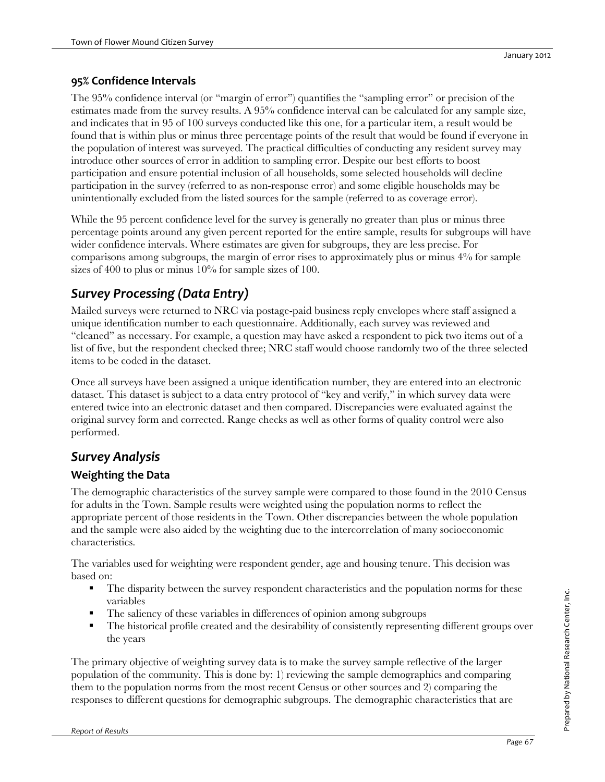### **95% Confidence Intervals**

The 95% confidence interval (or "margin of error") quantifies the "sampling error" or precision of the estimates made from the survey results. A 95% confidence interval can be calculated for any sample size, and indicates that in 95 of 100 surveys conducted like this one, for a particular item, a result would be found that is within plus or minus three percentage points of the result that would be found if everyone in the population of interest was surveyed. The practical difficulties of conducting any resident survey may introduce other sources of error in addition to sampling error. Despite our best efforts to boost participation and ensure potential inclusion of all households, some selected households will decline participation in the survey (referred to as non-response error) and some eligible households may be unintentionally excluded from the listed sources for the sample (referred to as coverage error).

While the 95 percent confidence level for the survey is generally no greater than plus or minus three percentage points around any given percent reported for the entire sample, results for subgroups will have wider confidence intervals. Where estimates are given for subgroups, they are less precise. For comparisons among subgroups, the margin of error rises to approximately plus or minus 4% for sample sizes of 400 to plus or minus  $10\%$  for sample sizes of 100.

# *Survey Processing (Data Entry)*

Mailed surveys were returned to NRC via postage-paid business reply envelopes where staff assigned a unique identification number to each questionnaire. Additionally, each survey was reviewed and "cleaned" as necessary. For example, a question may have asked a respondent to pick two items out of a list of five, but the respondent checked three; NRC staff would choose randomly two of the three selected items to be coded in the dataset.

Once all surveys have been assigned a unique identification number, they are entered into an electronic dataset. This dataset is subject to a data entry protocol of "key and verify," in which survey data were entered twice into an electronic dataset and then compared. Discrepancies were evaluated against the original survey form and corrected. Range checks as well as other forms of quality control were also performed.

## *Survey Analysis*

### **Weighting the Data**

The demographic characteristics of the survey sample were compared to those found in the 2010 Census for adults in the Town. Sample results were weighted using the population norms to reflect the appropriate percent of those residents in the Town. Other discrepancies between the whole population and the sample were also aided by the weighting due to the intercorrelation of many socioeconomic characteristics.

The variables used for weighting were respondent gender, age and housing tenure. This decision was based on:

- The disparity between the survey respondent characteristics and the population norms for these variables
- The saliency of these variables in differences of opinion among subgroups
- The historical profile created and the desirability of consistently representing different groups over the years

The primary objective of weighting survey data is to make the survey sample reflective of the larger population of the community. This is done by: 1) reviewing the sample demographics and comparing them to the population norms from the most recent Census or other sources and 2) comparing the responses to different questions for demographic subgroups. The demographic characteristics that are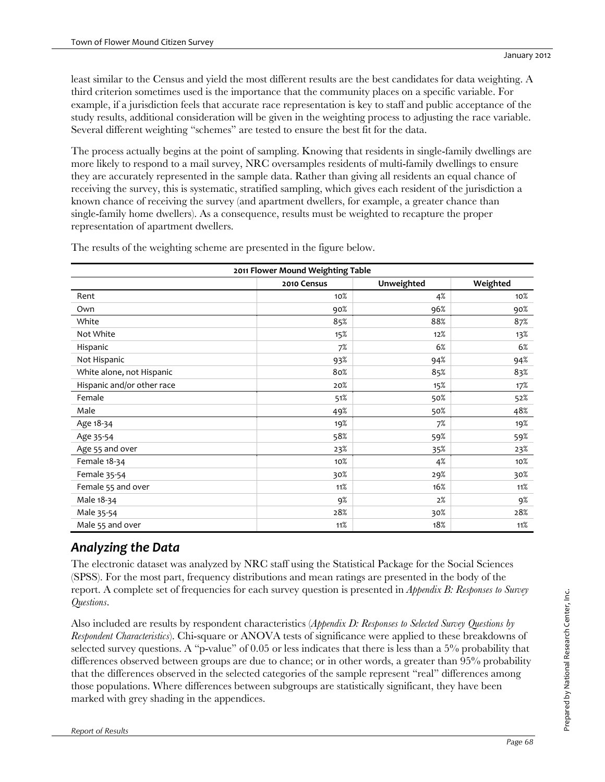least similar to the Census and yield the most different results are the best candidates for data weighting. A third criterion sometimes used is the importance that the community places on a specific variable. For example, if a jurisdiction feels that accurate race representation is key to staff and public acceptance of the study results, additional consideration will be given in the weighting process to adjusting the race variable. Several different weighting "schemes" are tested to ensure the best fit for the data.

The process actually begins at the point of sampling. Knowing that residents in single-family dwellings are more likely to respond to a mail survey, NRC oversamples residents of multi-family dwellings to ensure they are accurately represented in the sample data. Rather than giving all residents an equal chance of receiving the survey, this is systematic, stratified sampling, which gives each resident of the jurisdiction a known chance of receiving the survey (and apartment dwellers, for example, a greater chance than single-family home dwellers). As a consequence, results must be weighted to recapture the proper representation of apartment dwellers.

| 2011 Flower Mound Weighting Table |             |            |          |  |  |  |  |  |  |
|-----------------------------------|-------------|------------|----------|--|--|--|--|--|--|
|                                   | 2010 Census | Unweighted | Weighted |  |  |  |  |  |  |
| Rent                              | 10%         | 4%         | 10%      |  |  |  |  |  |  |
| Own                               | 90%         | 96%        | 90%      |  |  |  |  |  |  |
| White                             | 85%         | 88%        | 87%      |  |  |  |  |  |  |
| Not White                         | 15%         | 12%        | 13%      |  |  |  |  |  |  |
| Hispanic                          | 7%          | 6%         | 6%       |  |  |  |  |  |  |
| Not Hispanic                      | 93%         | 94%        | 94%      |  |  |  |  |  |  |
| White alone, not Hispanic         | 80%         | 85%        | 83%      |  |  |  |  |  |  |
| Hispanic and/or other race        | 20%         | 15%        | 17%      |  |  |  |  |  |  |
| Female                            | 51%         | 50%        | 52%      |  |  |  |  |  |  |
| Male                              | 49%         | 50%        | 48%      |  |  |  |  |  |  |
| Age 18-34                         | 19%         | 7%         | 19%      |  |  |  |  |  |  |
| Age 35-54                         | 58%         | 59%        | 59%      |  |  |  |  |  |  |
| Age 55 and over                   | 23%         | 35%        | 23%      |  |  |  |  |  |  |
| Female 18-34                      | 10%         | 4%         | 10%      |  |  |  |  |  |  |
| Female 35-54                      | 30%         | 29%        | 30%      |  |  |  |  |  |  |
| Female 55 and over                | 11%         | 16%        | 11%      |  |  |  |  |  |  |
| Male 18-34                        | 9%          | 2%         | 9%       |  |  |  |  |  |  |
| Male 35-54                        | 28%         | 30%        | 28%      |  |  |  |  |  |  |
| Male 55 and over                  | 11%         | 18%        | 11%      |  |  |  |  |  |  |

The results of the weighting scheme are presented in the figure below.

# *Analyzing the Data*

The electronic dataset was analyzed by NRC staff using the Statistical Package for the Social Sciences (SPSS). For the most part, frequency distributions and mean ratings are presented in the body of the report. A complete set of frequencies for each survey question is presented in *Appendix B: Responses to Survey Questions*.

Also included are results by respondent characteristics (*Appendix D: Responses to Selected Survey Questions by Respondent Characteristics*). Chi-square or ANOVA tests of significance were applied to these breakdowns of selected survey questions. A "p-value" of 0.05 or less indicates that there is less than a 5% probability that differences observed between groups are due to chance; or in other words, a greater than 95% probability that the differences observed in the selected categories of the sample represent "real" differences among those populations. Where differences between subgroups are statistically significant, they have been marked with grey shading in the appendices.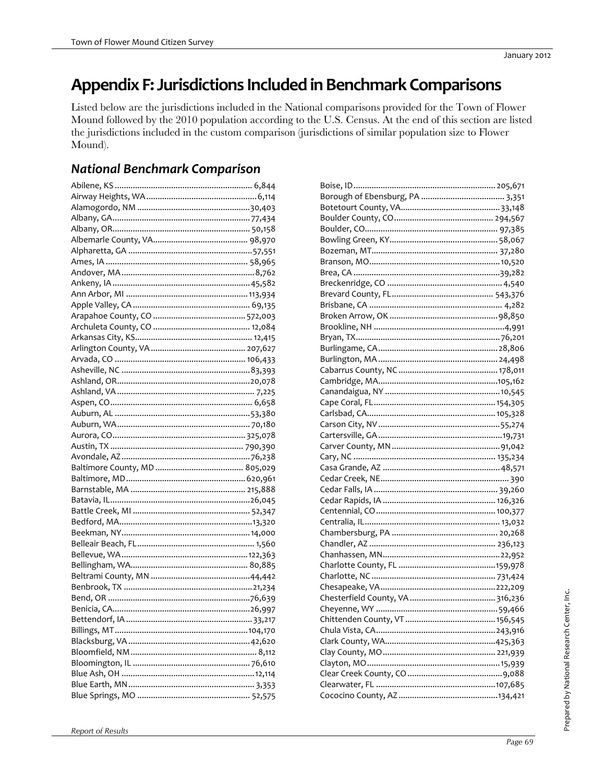### Appendix F: Jurisdictions Included in Benchmark Comparisons

Listed below are the jurisdictions included in the National comparisons provided for the Town of Flower Mound followed by the 2010 population according to the U.S. Census. At the end of this section are listed the jurisdictions included in the custom comparison (jurisdictions of similar population size to Flower Mound).

### **National Benchmark Comparison**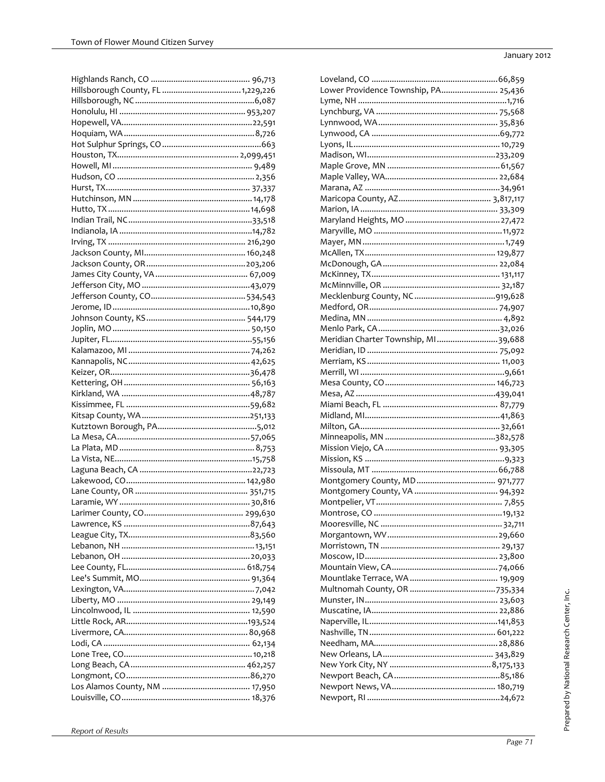| Lower Providence Township, PA 25,436 |  |
|--------------------------------------|--|
|                                      |  |
|                                      |  |
|                                      |  |
|                                      |  |
|                                      |  |
|                                      |  |
|                                      |  |
|                                      |  |
|                                      |  |
|                                      |  |
|                                      |  |
|                                      |  |
|                                      |  |
|                                      |  |
|                                      |  |
|                                      |  |
|                                      |  |
|                                      |  |
|                                      |  |
|                                      |  |
|                                      |  |
|                                      |  |
| Meridian Charter Township, MI39,688  |  |
|                                      |  |
|                                      |  |
|                                      |  |
|                                      |  |
|                                      |  |
|                                      |  |
|                                      |  |
|                                      |  |
|                                      |  |
|                                      |  |
|                                      |  |
|                                      |  |
|                                      |  |
|                                      |  |
|                                      |  |
|                                      |  |
|                                      |  |
|                                      |  |
|                                      |  |
|                                      |  |
|                                      |  |
|                                      |  |
|                                      |  |
|                                      |  |
|                                      |  |
|                                      |  |
|                                      |  |
|                                      |  |
|                                      |  |
|                                      |  |
|                                      |  |
|                                      |  |
|                                      |  |
|                                      |  |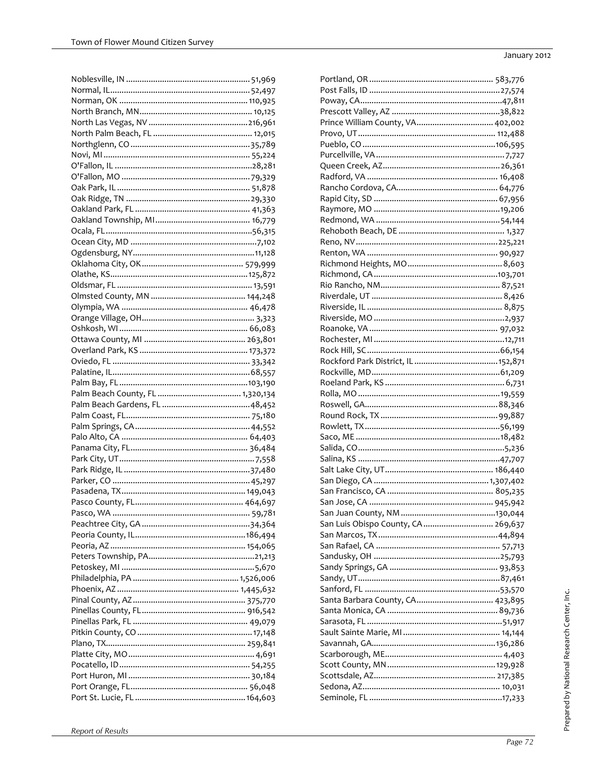| Prince William County, VA 402,002   |  |
|-------------------------------------|--|
|                                     |  |
|                                     |  |
|                                     |  |
|                                     |  |
|                                     |  |
|                                     |  |
|                                     |  |
|                                     |  |
|                                     |  |
|                                     |  |
|                                     |  |
|                                     |  |
|                                     |  |
|                                     |  |
|                                     |  |
|                                     |  |
|                                     |  |
|                                     |  |
|                                     |  |
|                                     |  |
|                                     |  |
|                                     |  |
|                                     |  |
|                                     |  |
|                                     |  |
|                                     |  |
|                                     |  |
|                                     |  |
|                                     |  |
|                                     |  |
|                                     |  |
|                                     |  |
|                                     |  |
|                                     |  |
|                                     |  |
|                                     |  |
|                                     |  |
| San Luis Obispo County, CA  269,637 |  |
|                                     |  |
|                                     |  |
|                                     |  |
|                                     |  |
|                                     |  |
|                                     |  |
| Santa Barbara County, CA 423,895    |  |
|                                     |  |
|                                     |  |
|                                     |  |
|                                     |  |
|                                     |  |
|                                     |  |
|                                     |  |
|                                     |  |
|                                     |  |
|                                     |  |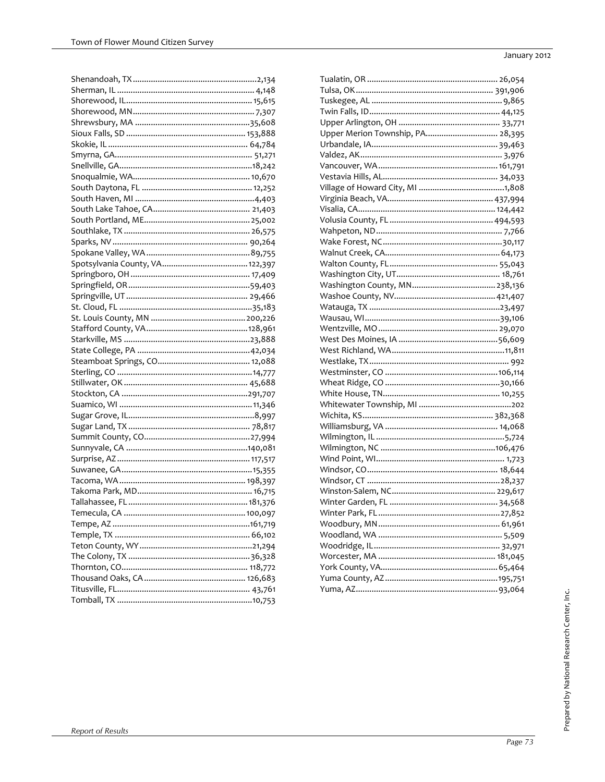| Upper Merion Township, PA 28,395 |  |
|----------------------------------|--|
|                                  |  |
|                                  |  |
|                                  |  |
|                                  |  |
|                                  |  |
|                                  |  |
|                                  |  |
|                                  |  |
|                                  |  |
|                                  |  |
|                                  |  |
|                                  |  |
|                                  |  |
|                                  |  |
|                                  |  |
|                                  |  |
|                                  |  |
|                                  |  |
|                                  |  |
|                                  |  |
|                                  |  |
|                                  |  |
|                                  |  |
|                                  |  |
|                                  |  |
|                                  |  |
|                                  |  |
|                                  |  |
|                                  |  |
|                                  |  |
|                                  |  |
|                                  |  |
|                                  |  |
|                                  |  |
|                                  |  |
|                                  |  |
|                                  |  |
|                                  |  |
|                                  |  |
|                                  |  |
|                                  |  |
|                                  |  |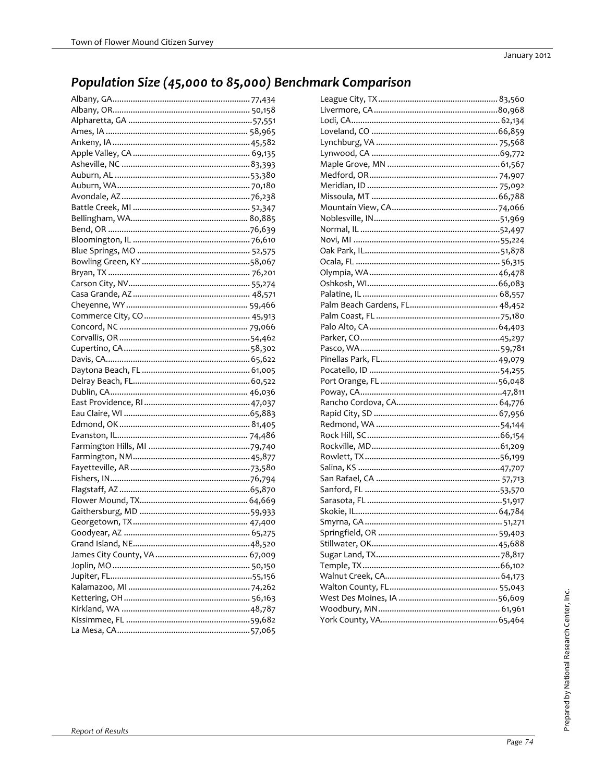### Population Size (45,000 to 85,000) Benchmark Comparison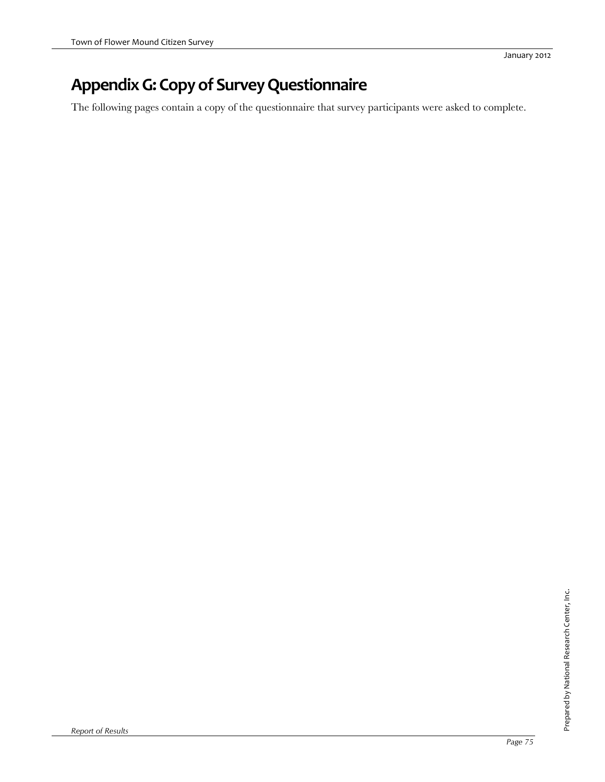## **AppendixG:Copyof SurveyQuestionnaire**

The following pages contain a copy of the questionnaire that survey participants were asked to complete.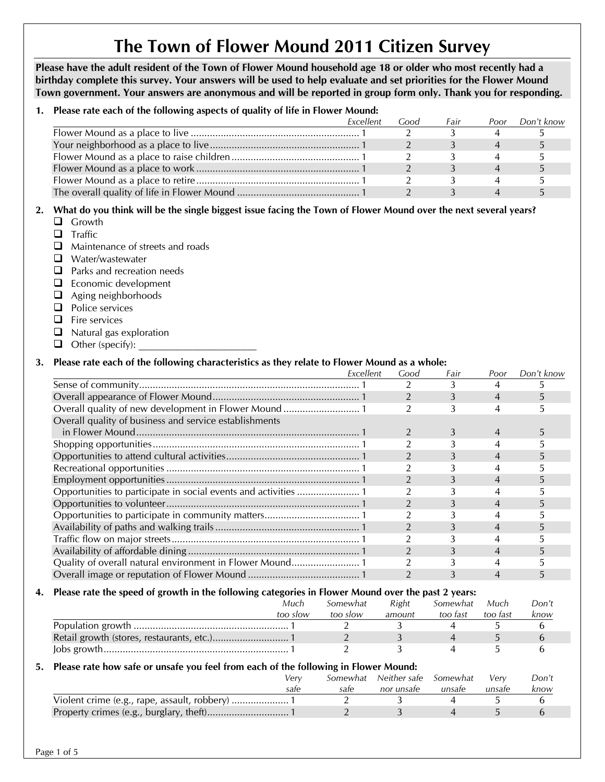# **The Town of Flower Mound 2011 Citizen Survey**

**Please have the adult resident of the Town of Flower Mound household age 18 or older who most recently had a birthday complete this survey. Your answers will be used to help evaluate and set priorities for the Flower Mound Town government. Your answers are anonymous and will be reported in group form only. Thank you for responding.** 

#### **1. Please rate each of the following aspects of quality of life in Flower Mound:**

| Excellent | Good | Fair | Poor | Don't know |
|-----------|------|------|------|------------|
|           |      |      |      |            |
|           |      |      |      |            |
|           |      |      |      |            |
|           |      |      |      |            |
|           |      |      |      |            |
|           |      |      |      |            |
|           |      |      |      |            |

#### **2. What do you think will be the single biggest issue facing the Town of Flower Mound over the next several years?**

- **Q** Growth
- $\Box$  Traffic
- $\Box$  Maintenance of streets and roads
- Water/wastewater
- **Q** Parks and recreation needs
- $\Box$  Economic development
- **a** Aging neighborhoods
- **Q** Police services
- $\Box$  Fire services
- $\Box$  Natural gas exploration
- $\Box$  Other (specify):

#### **3. Please rate each of the following characteristics as they relate to Flower Mound as a whole:**

|                                                        | Excellent | Good | Fair | Poor | Don't know |
|--------------------------------------------------------|-----------|------|------|------|------------|
|                                                        |           |      |      |      |            |
|                                                        |           |      | 3    | 4    |            |
| Overall quality of new development in Flower Mound  1  |           |      |      |      |            |
| Overall quality of business and service establishments |           |      |      |      |            |
|                                                        |           |      | 3    | 4    |            |
|                                                        |           |      |      |      |            |
|                                                        |           |      |      | 4    |            |
|                                                        |           |      |      |      |            |
|                                                        |           |      | 3    | 4    |            |
|                                                        |           |      |      |      |            |
|                                                        |           |      |      | 4    |            |
|                                                        |           |      |      |      |            |
|                                                        |           |      |      | 4    |            |
|                                                        |           |      |      |      |            |
|                                                        |           |      |      | 4    |            |
|                                                        |           |      |      |      |            |
|                                                        |           |      |      |      |            |

#### **4. Please rate the speed of growth in the following categories in Flower Mound over the past 2 years:**

| Much     | Somewhat | Right  | Somewhat | Much     | Don't |
|----------|----------|--------|----------|----------|-------|
| too slow | too slow | amount | too fast | too fast | know  |
|          |          |        |          |          |       |
|          |          |        |          |          |       |
|          |          |        |          |          |       |

#### **5. Please rate how safe or unsafe you feel from each of the following in Flower Mound:**

| Verv |      | Somewhat Neither safe Somewhat |        | Verv   | Don't |
|------|------|--------------------------------|--------|--------|-------|
| sate | sate | nor unsafe                     | unsate | unsafe | know  |
|      |      |                                |        |        |       |
|      |      |                                |        |        |       |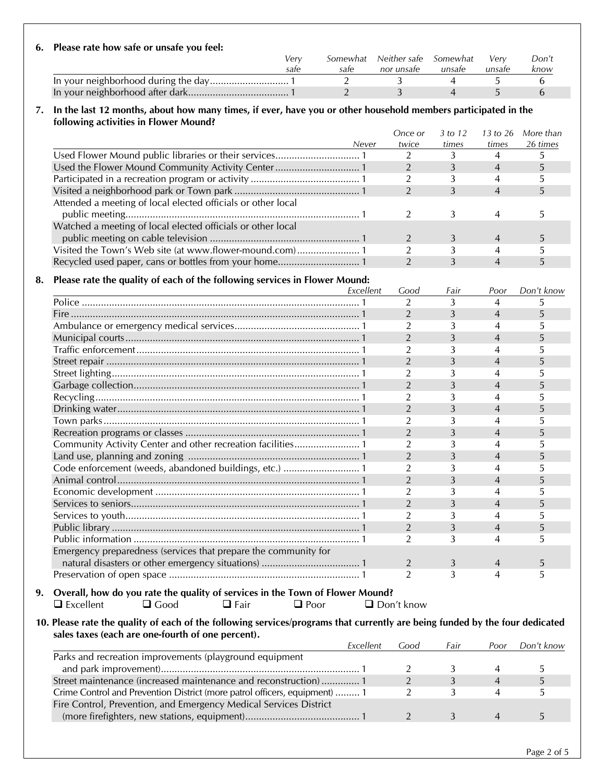#### **6. Please rate how safe or unsafe you feel:**   *Very Somewhat Neither safe Somewhat Very Don't safe safe nor unsafe unsafe unsafe know*  In your neighborhood during the day ............................. 1 2 3 4 5 6 In your neighborhood after dark ..................................... 1 2 3 4 5 6

#### **7. In the last 12 months, about how many times, if ever, have you or other household members participated in the following activities in Flower Mound?**

|                                                              |       | Once or | 3 to 12 | 13 to 26       | More than |
|--------------------------------------------------------------|-------|---------|---------|----------------|-----------|
|                                                              | Never | twice   | times   | times          | 26 times  |
|                                                              |       |         |         |                |           |
|                                                              |       |         |         | 4              |           |
|                                                              |       |         |         |                |           |
|                                                              |       |         |         | $\overline{4}$ |           |
| Attended a meeting of local elected officials or other local |       |         |         |                |           |
|                                                              |       |         |         |                |           |
| Watched a meeting of local elected officials or other local  |       |         |         |                |           |
|                                                              |       |         |         |                |           |
|                                                              |       |         |         |                |           |
|                                                              |       |         |         |                |           |

#### **8. Please rate the quality of each of the following services in Flower Mound:**

|                                                                 | Excellent | Good           | Fair | Poor | Don't know |
|-----------------------------------------------------------------|-----------|----------------|------|------|------------|
|                                                                 |           | 2              | 3    | 4    | 5          |
|                                                                 |           | $\overline{2}$ | 3    | 4    | 5          |
|                                                                 |           | $\overline{2}$ | 3    | 4    | 5          |
|                                                                 |           | $\overline{2}$ | 3    | 4    | 5          |
|                                                                 |           | 2              | 3    | 4    | 5          |
|                                                                 |           | $\overline{2}$ | 3    | 4    | 5          |
|                                                                 |           | $\overline{2}$ |      | 4    |            |
|                                                                 |           | $\overline{2}$ | 3    | 4    | 5          |
|                                                                 |           | $\overline{2}$ |      |      | 5          |
|                                                                 |           | $\overline{2}$ |      | 4    | 5          |
|                                                                 |           | $\overline{2}$ |      |      |            |
|                                                                 |           | $\overline{2}$ | 3    | 4    | 5          |
| Community Activity Center and other recreation facilities 1     |           | $\overline{2}$ |      | 4    |            |
|                                                                 |           | $\overline{2}$ | 3    | 4    |            |
| Code enforcement (weeds, abandoned buildings, etc.)  1          |           | $\overline{2}$ |      | 4    |            |
|                                                                 |           | $\overline{2}$ | 3    | 4    | 5          |
|                                                                 |           | $\overline{2}$ |      | 4    |            |
|                                                                 |           | $\overline{2}$ | 3    | 4    | 5          |
|                                                                 |           | $\overline{2}$ | 3    | 4    |            |
|                                                                 |           | $\mathcal{P}$  | 3    | 4    | 5          |
|                                                                 |           | $\mathfrak{D}$ | 3    | 4    | 5          |
| Emergency preparedness (services that prepare the community for |           |                |      |      |            |
|                                                                 |           | $\overline{2}$ | 3    | 4    | 5          |
|                                                                 |           | $\overline{2}$ | 3    | 4    | 5          |

**9. Overall, how do you rate the quality of services in the Town of Flower Mound?**  Excellent Good Fair Poor Don't know

**10. Please rate the quality of each of the following services/programs that currently are being funded by the four dedicated sales taxes (each are one-fourth of one percent) .** 

|                                                                            | Excellent | Good | Fair | Poor | Don't know |
|----------------------------------------------------------------------------|-----------|------|------|------|------------|
| Parks and recreation improvements (playground equipment                    |           |      |      |      |            |
|                                                                            |           |      |      |      |            |
| Street maintenance (increased maintenance and reconstruction) 1            |           |      |      |      |            |
| Crime Control and Prevention District (more patrol officers, equipment)  1 |           |      |      |      |            |
| Fire Control, Prevention, and Emergency Medical Services District          |           |      |      |      |            |
|                                                                            |           |      |      |      |            |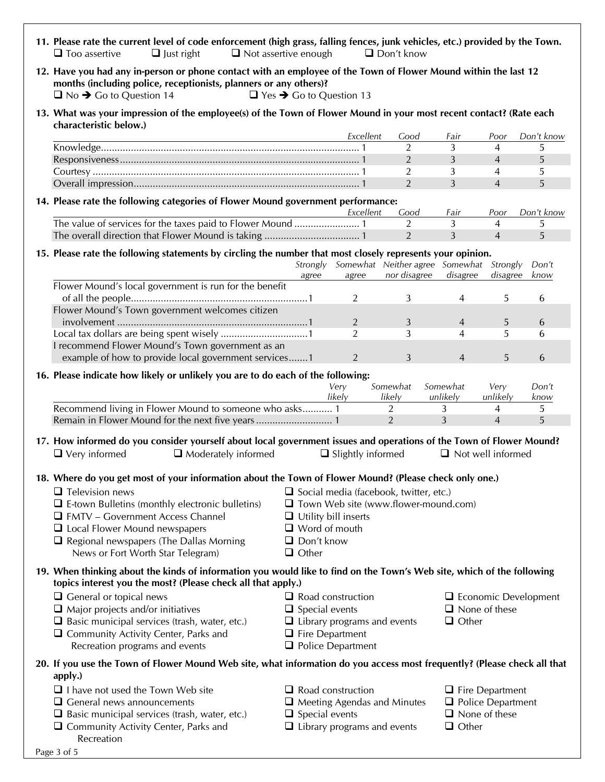| 11. Please rate the current level of code enforcement (high grass, falling fences, junk vehicles, etc.) provided by the Town.<br>$\Box$ Just right<br>$\Box$ Too assertive                                                        | $\Box$ Not assertive enough                |                                    | $\Box$ Don't know                             |                                                  |                     |                             |
|-----------------------------------------------------------------------------------------------------------------------------------------------------------------------------------------------------------------------------------|--------------------------------------------|------------------------------------|-----------------------------------------------|--------------------------------------------------|---------------------|-----------------------------|
| 12. Have you had any in-person or phone contact with an employee of the Town of Flower Mound within the last 12<br>months (including police, receptionists, planners or any others)?<br>$\Box$ No $\rightarrow$ Go to Question 14 | $\Box$ Yes $\rightarrow$ Go to Question 13 |                                    |                                               |                                                  |                     |                             |
| 13. What was your impression of the employee(s) of the Town of Flower Mound in your most recent contact? (Rate each<br>characteristic below.)                                                                                     |                                            |                                    |                                               |                                                  |                     |                             |
|                                                                                                                                                                                                                                   |                                            | Excellent                          | Good                                          | Fair                                             | Poor                | Don't know                  |
|                                                                                                                                                                                                                                   |                                            |                                    | 2                                             | 3                                                | 4                   | 5                           |
|                                                                                                                                                                                                                                   |                                            |                                    | 2                                             | 3                                                | $\overline{4}$      | 5                           |
|                                                                                                                                                                                                                                   |                                            |                                    | 2                                             | 3                                                | 4                   | 5                           |
|                                                                                                                                                                                                                                   |                                            |                                    | 2                                             | 3                                                | $\overline{4}$      | 5                           |
| 14. Please rate the following categories of Flower Mound government performance:                                                                                                                                                  |                                            | Excellent                          | Good                                          | Fair                                             | Poor                | Don't know                  |
| The value of services for the taxes paid to Flower Mound  1                                                                                                                                                                       |                                            |                                    | $\overline{2}$                                | 3                                                | 4                   | 5                           |
|                                                                                                                                                                                                                                   |                                            |                                    | $\overline{2}$                                | 3                                                | $\overline{4}$      | 5                           |
| 15. Please rate the following statements by circling the number that most closely represents your opinion.                                                                                                                        | Strongly                                   |                                    | Somewhat Neither agree Somewhat               |                                                  | Strongly            | Don't                       |
| Flower Mound's local government is run for the benefit                                                                                                                                                                            | agree                                      | agree                              | nor disagree                                  | disagree                                         | disagree            | know                        |
| Flower Mound's Town government welcomes citizen                                                                                                                                                                                   |                                            | $\overline{2}$                     | 3                                             | 4                                                | 5                   | 6                           |
|                                                                                                                                                                                                                                   |                                            | $\overline{2}$                     | 3                                             | $\overline{4}$                                   | 5                   | 6                           |
|                                                                                                                                                                                                                                   |                                            | $\overline{2}$                     | 3                                             | 4                                                | 5                   | 6                           |
| I recommend Flower Mound's Town government as an                                                                                                                                                                                  |                                            |                                    |                                               |                                                  |                     |                             |
| example of how to provide local government services1                                                                                                                                                                              |                                            | 2                                  | 3                                             | 4                                                | 5                   | 6                           |
| 16. Please indicate how likely or unlikely you are to do each of the following:                                                                                                                                                   |                                            | Very                               | Somewhat                                      | Somewhat                                         | Very                | Don't                       |
|                                                                                                                                                                                                                                   |                                            | likely                             | likely                                        | unlikely                                         | unlikely            | know                        |
| Recommend living in Flower Mound to someone who asks 1                                                                                                                                                                            |                                            |                                    | $\overline{2}$<br>2                           | 3<br>3                                           | 4<br>$\overline{4}$ | 5<br>5                      |
|                                                                                                                                                                                                                                   |                                            |                                    |                                               |                                                  |                     |                             |
| 17. How informed do you consider yourself about local government issues and operations of the Town of Flower Mound?<br>$\Box$ Very informed<br>$\Box$ Moderately informed                                                         |                                            | $\Box$ Slightly informed           |                                               | $\Box$ Not well informed                         |                     |                             |
| 18. Where do you get most of your information about the Town of Flower Mound? (Please check only one.)                                                                                                                            |                                            |                                    |                                               |                                                  |                     |                             |
| $\Box$ Television news                                                                                                                                                                                                            |                                            |                                    | $\Box$ Social media (facebook, twitter, etc.) |                                                  |                     |                             |
| $\Box$ E-town Bulletins (monthly electronic bulletins)                                                                                                                                                                            |                                            |                                    | $\Box$ Town Web site (www.flower-mound.com)   |                                                  |                     |                             |
| $\Box$ FMTV – Government Access Channel                                                                                                                                                                                           | $\Box$ Utility bill inserts                |                                    |                                               |                                                  |                     |                             |
| $\Box$ Local Flower Mound newspapers                                                                                                                                                                                              | $\Box$ Word of mouth                       |                                    |                                               |                                                  |                     |                             |
| $\Box$ Regional newspapers (The Dallas Morning                                                                                                                                                                                    | $\Box$ Don't know                          |                                    |                                               |                                                  |                     |                             |
| News or Fort Worth Star Telegram)                                                                                                                                                                                                 | $\Box$ Other                               |                                    |                                               |                                                  |                     |                             |
| 19. When thinking about the kinds of information you would like to find on the Town's Web site, which of the following<br>topics interest you the most? (Please check all that apply.)                                            |                                            |                                    |                                               |                                                  |                     |                             |
| $\Box$ General or topical news                                                                                                                                                                                                    |                                            | $\Box$ Road construction           |                                               |                                                  |                     | $\Box$ Economic Development |
| $\Box$ Major projects and/or initiatives                                                                                                                                                                                          | $\Box$ Special events                      |                                    |                                               | $\Box$ None of these                             |                     |                             |
| $\Box$ Basic municipal services (trash, water, etc.)                                                                                                                                                                              |                                            | $\Box$ Library programs and events |                                               | $\Box$ Other                                     |                     |                             |
| $\Box$ Community Activity Center, Parks and                                                                                                                                                                                       | $\Box$ Fire Department                     |                                    |                                               |                                                  |                     |                             |
| Recreation programs and events                                                                                                                                                                                                    |                                            | $\Box$ Police Department           |                                               |                                                  |                     |                             |
| 20. If you use the Town of Flower Mound Web site, what information do you access most frequently? (Please check all that                                                                                                          |                                            |                                    |                                               |                                                  |                     |                             |
| apply.)                                                                                                                                                                                                                           |                                            |                                    |                                               |                                                  |                     |                             |
| $\Box$ I have not used the Town Web site                                                                                                                                                                                          |                                            | $\Box$ Road construction           |                                               | $\Box$ Fire Department                           |                     |                             |
| $\Box$ General news announcements                                                                                                                                                                                                 |                                            | $\Box$ Meeting Agendas and Minutes |                                               | $\Box$ Police Department<br>$\Box$ None of these |                     |                             |
| $\Box$ Basic municipal services (trash, water, etc.)<br>$\Box$ Community Activity Center, Parks and                                                                                                                               | $\Box$ Special events                      | $\Box$ Library programs and events |                                               | $\Box$ Other                                     |                     |                             |
| Recreation                                                                                                                                                                                                                        |                                            |                                    |                                               |                                                  |                     |                             |
| Page 3 of 5                                                                                                                                                                                                                       |                                            |                                    |                                               |                                                  |                     |                             |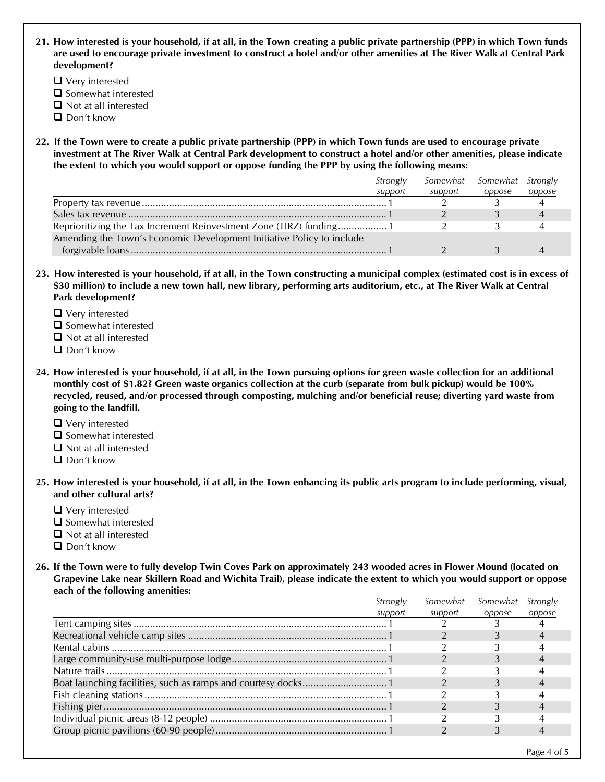**21. How interested is your household, if at all, in the Town creating a public private partnership (PPP) in which Town funds are used to encourage private investment to construct a hotel and/or other amenities at The River Walk at Central Park development?** 

- Very interested
- $\square$  Somewhat interested
- $\Box$  Not at all interested
- $\Box$  Don't know
- **22. If the Town were to create a public private partnership (PPP) in which Town funds are used to encourage private investment at The River Walk at Central Park development to construct a hotel and/or other amenities, please indicate the extent to which you would support or oppose funding the PPP by using the following means:**

|                                                                       | Strongly |         | Somewhat Somewhat Strongly |        |  |
|-----------------------------------------------------------------------|----------|---------|----------------------------|--------|--|
|                                                                       | support  | support | oppose                     | oppose |  |
|                                                                       |          |         |                            |        |  |
|                                                                       |          |         |                            |        |  |
|                                                                       |          |         |                            |        |  |
| Amending the Town's Economic Development Initiative Policy to include |          |         |                            |        |  |
|                                                                       |          |         |                            |        |  |

- **23. How interested is your household, if at all, in the Town constructing a municipal complex (estimated cost is in excess of \$30 million) to include a new town hall, new library, performing arts auditorium, etc., at The River Walk at Central Park development?** 
	- Very interested
	- $\square$  Somewhat interested
	- $\Box$  Not at all interested
	- $\Box$  Don't know
- **24. How interested is your household, if at all, in the Town pursuing options for green waste collection for an additional monthly cost of \$1.82? Green waste organics collection at the curb (separate from bulk pickup) would be 100% recycled, reused, and/or processed through composting, mulching and/or beneficial reuse; diverting yard waste from going to the landfill.** 
	- Very interested
	- $\square$  Somewhat interested
	- $\Box$  Not at all interested
	- Don't know
- **25. How interested is your household, if at all, in the Town enhancing its public arts program to include performing, visual, and other cultural arts?** 
	- Very interested
	- $\square$  Somewhat interested
	- $\Box$  Not at all interested
	- □ Don't know
- **26. If the Town were to fully develop Twin Coves Park on approximately 243 wooded acres in Flower Mound (located on Grapevine Lake near Skillern Road and Wichita Trail), please indicate the extent to which you would support or oppose each of the following amenities:**

| Strongly | Somewhat | Somewhat | Strongly |  |
|----------|----------|----------|----------|--|
| support  | support  | oppose   | oppose   |  |
|          |          |          |          |  |
|          |          |          |          |  |
|          |          |          |          |  |
|          |          |          |          |  |
|          |          |          |          |  |
|          |          |          |          |  |
|          |          |          |          |  |
|          |          |          |          |  |
|          |          |          |          |  |
|          |          |          |          |  |
|          |          |          |          |  |